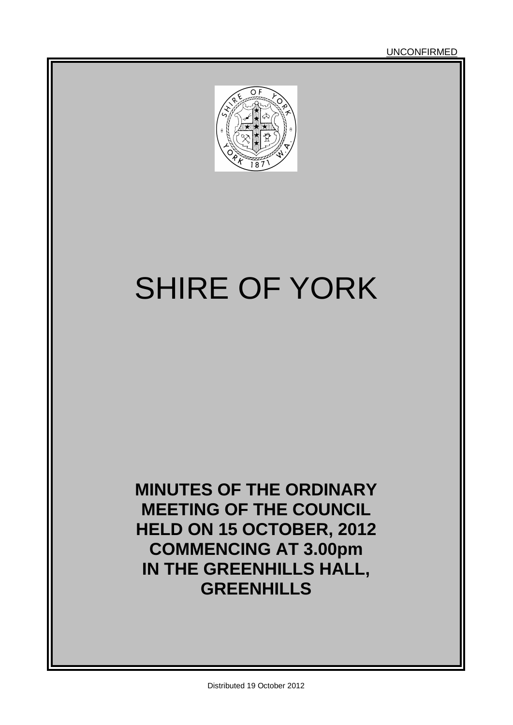

# SHIRE OF YORK

**MINUTES OF THE ORDINARY MEETING OF THE COUNCIL HELD ON 15 OCTOBER, 2012 COMMENCING AT 3.00pm IN THE GREENHILLS HALL, GREENHILLS**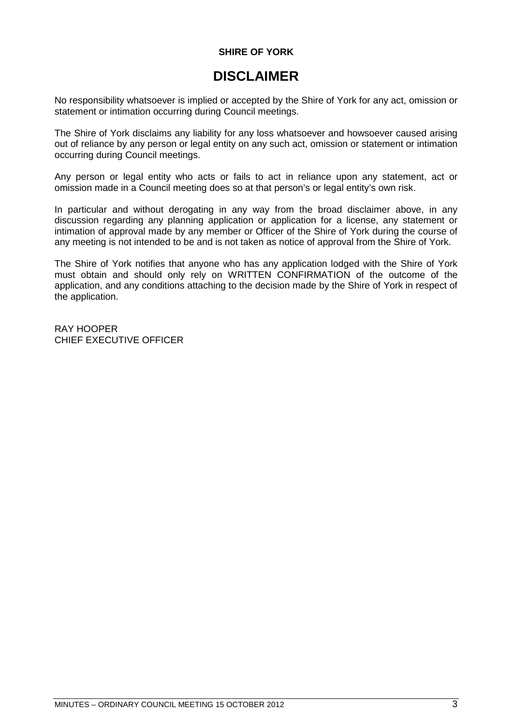# **SHIRE OF YORK**

# **DISCLAIMER**

No responsibility whatsoever is implied or accepted by the Shire of York for any act, omission or statement or intimation occurring during Council meetings.

The Shire of York disclaims any liability for any loss whatsoever and howsoever caused arising out of reliance by any person or legal entity on any such act, omission or statement or intimation occurring during Council meetings.

Any person or legal entity who acts or fails to act in reliance upon any statement, act or omission made in a Council meeting does so at that person's or legal entity's own risk.

In particular and without derogating in any way from the broad disclaimer above, in any discussion regarding any planning application or application for a license, any statement or intimation of approval made by any member or Officer of the Shire of York during the course of any meeting is not intended to be and is not taken as notice of approval from the Shire of York.

The Shire of York notifies that anyone who has any application lodged with the Shire of York must obtain and should only rely on WRITTEN CONFIRMATION of the outcome of the application, and any conditions attaching to the decision made by the Shire of York in respect of the application.

RAY HOOPER CHIEF EXECUTIVE OFFICER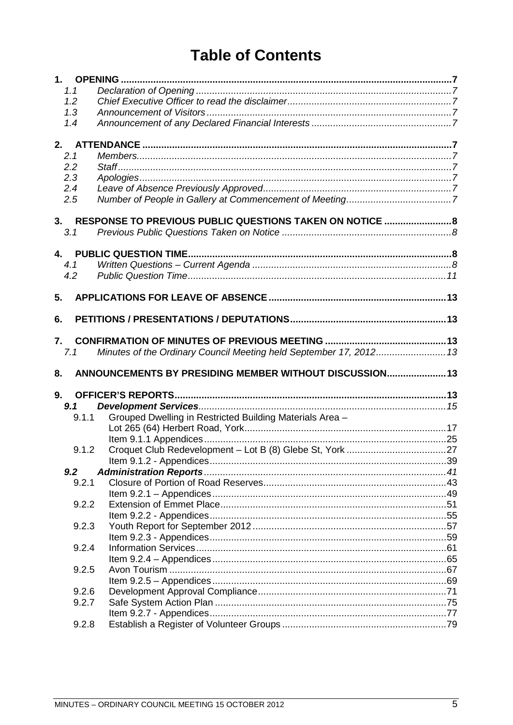# **Table of Contents**

| 1.1   |                                                                    |  |
|-------|--------------------------------------------------------------------|--|
| 1.2   |                                                                    |  |
| 1.3   |                                                                    |  |
| 1.4   |                                                                    |  |
|       |                                                                    |  |
|       |                                                                    |  |
| 2.1   |                                                                    |  |
| 2.2   |                                                                    |  |
| 2.3   |                                                                    |  |
| 2.4   |                                                                    |  |
| 2.5   |                                                                    |  |
|       |                                                                    |  |
|       | 3. RESPONSE TO PREVIOUS PUBLIC QUESTIONS TAKEN ON NOTICE  8        |  |
| 3.1   |                                                                    |  |
|       |                                                                    |  |
| 4.1   |                                                                    |  |
| 4.2   |                                                                    |  |
|       |                                                                    |  |
| 5.    |                                                                    |  |
|       |                                                                    |  |
| 6.    |                                                                    |  |
|       |                                                                    |  |
| 7.    |                                                                    |  |
| 7.1   | Minutes of the Ordinary Council Meeting held September 17, 2012 13 |  |
|       |                                                                    |  |
|       |                                                                    |  |
| 8.    | ANNOUNCEMENTS BY PRESIDING MEMBER WITHOUT DISCUSSION 13            |  |
|       |                                                                    |  |
| 9.    |                                                                    |  |
| 9.1   |                                                                    |  |
| 9.1.1 | Grouped Dwelling in Restricted Building Materials Area -           |  |
|       |                                                                    |  |
|       |                                                                    |  |
| 9.1.2 |                                                                    |  |
|       |                                                                    |  |
| 9.2   |                                                                    |  |
| 9.2.1 |                                                                    |  |
|       |                                                                    |  |
| 9.2.2 |                                                                    |  |
|       |                                                                    |  |
| 9.2.3 |                                                                    |  |
|       |                                                                    |  |
| 9.2.4 |                                                                    |  |
|       |                                                                    |  |
| 9.2.5 |                                                                    |  |
|       |                                                                    |  |
| 9.2.6 |                                                                    |  |
| 9.2.7 |                                                                    |  |
| 9.2.8 |                                                                    |  |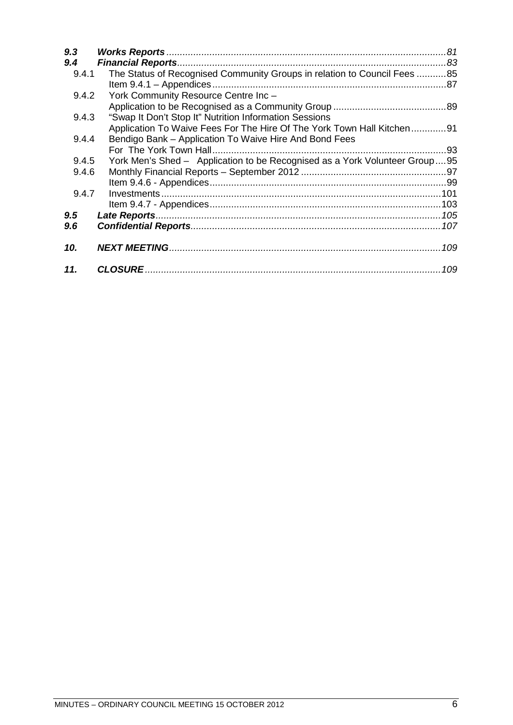| 9.3   |                                                                            |
|-------|----------------------------------------------------------------------------|
| 9.4   |                                                                            |
| 9.4.1 | The Status of Recognised Community Groups in relation to Council Fees 85   |
|       |                                                                            |
| 9.4.2 | York Community Resource Centre Inc-                                        |
|       |                                                                            |
| 9.4.3 | "Swap It Don't Stop It" Nutrition Information Sessions                     |
|       | Application To Waive Fees For The Hire Of The York Town Hall Kitchen91     |
| 9.4.4 | Bendigo Bank - Application To Waive Hire And Bond Fees                     |
|       |                                                                            |
| 9.4.5 | York Men's Shed - Application to be Recognised as a York Volunteer Group95 |
| 9.4.6 |                                                                            |
|       |                                                                            |
| 9.4.7 |                                                                            |
|       |                                                                            |
| 9.5   |                                                                            |
| 9.6   |                                                                            |
| 10.   |                                                                            |
| 11.   |                                                                            |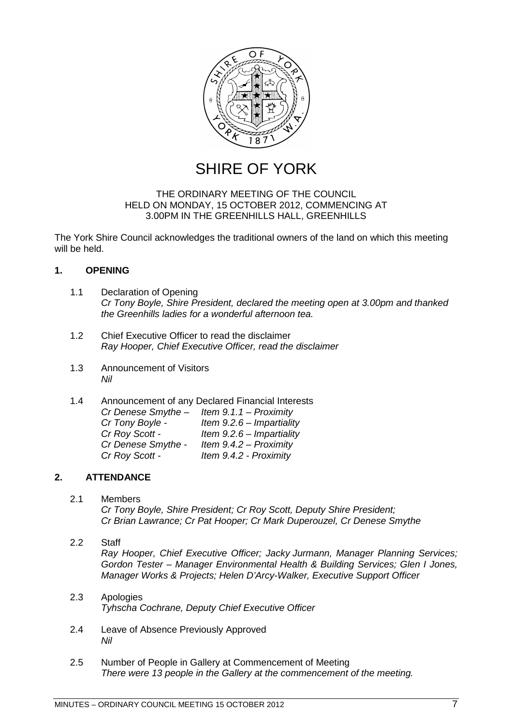

SHIRE OF YORK

# THE ORDINARY MEETING OF THE COUNCIL HELD ON MONDAY, 15 OCTOBER 2012, COMMENCING AT 3.00PM IN THE GREENHILLS HALL, GREENHILLS

The York Shire Council acknowledges the traditional owners of the land on which this meeting will be held.

# <span id="page-6-0"></span>**1. OPENING**

- <span id="page-6-1"></span>1.1 Declaration of Opening *Cr Tony Boyle, Shire President, declared the meeting open at 3.00pm and thanked the Greenhills ladies for a wonderful afternoon tea.*
- <span id="page-6-2"></span>1.2 Chief Executive Officer to read the disclaimer *Ray Hooper, Chief Executive Officer, read the disclaimer*
- <span id="page-6-3"></span>1.3 Announcement of Visitors *Nil*
- <span id="page-6-4"></span>1.4 Announcement of any Declared Financial Interests *Cr Denese Smythe – Item 9.1.1 – Proximity Cr Tony Boyle - Item 9.2.6 – Impartiality Cr Roy Scott - Item 9.2.6 – Impartiality Cr Denese Smythe - Item 9.4.2 – Proximity Cr Roy Scott - Item 9.4.2 - Proximity*

# <span id="page-6-5"></span>**2. ATTENDANCE**

- <span id="page-6-6"></span>2.1 Members *Cr Tony Boyle, Shire President; Cr Roy Scott, Deputy Shire President; Cr Brian Lawrance; Cr Pat Hooper; Cr Mark Duperouzel, Cr Denese Smythe*
- <span id="page-6-7"></span>2.2 Staff *Ray Hooper, Chief Executive Officer; Jacky Jurmann, Manager Planning Services; Gordon Tester – Manager Environmental Health & Building Services; Glen I Jones, Manager Works & Projects; Helen D'Arcy-Walker, Executive Support Officer*
- <span id="page-6-8"></span>2.3 Apologies *Tyhscha Cochrane, Deputy Chief Executive Officer*
- <span id="page-6-9"></span>2.4 Leave of Absence Previously Approved *Nil*
- <span id="page-6-10"></span>2.5 Number of People in Gallery at Commencement of Meeting *There were 13 people in the Gallery at the commencement of the meeting.*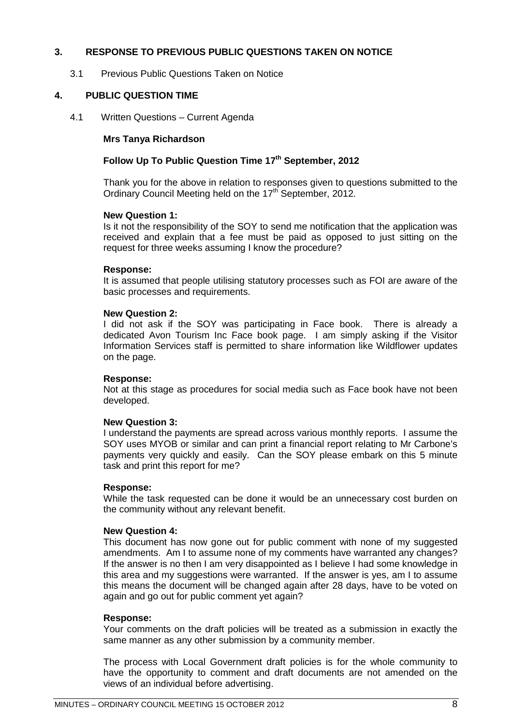# <span id="page-7-0"></span>**3. RESPONSE TO PREVIOUS PUBLIC QUESTIONS TAKEN ON NOTICE**

<span id="page-7-1"></span>3.1 Previous Public Questions Taken on Notice

# <span id="page-7-2"></span>**4. PUBLIC QUESTION TIME**

<span id="page-7-3"></span>4.1 Written Questions – Current Agenda

# **Mrs Tanya Richardson**

# Follow Up To Public Question Time 17<sup>th</sup> September, 2012

Thank you for the above in relation to responses given to questions submitted to the Ordinary Council Meeting held on the 17<sup>th</sup> September, 2012.

#### **New Question 1:**

Is it not the responsibility of the SOY to send me notification that the application was received and explain that a fee must be paid as opposed to just sitting on the request for three weeks assuming I know the procedure?

#### **Response:**

It is assumed that people utilising statutory processes such as FOI are aware of the basic processes and requirements.

#### **New Question 2:**

I did not ask if the SOY was participating in Face book. There is already a dedicated Avon Tourism Inc Face book page. I am simply asking if the Visitor Information Services staff is permitted to share information like Wildflower updates on the page.

# **Response:**

Not at this stage as procedures for social media such as Face book have not been developed.

# **New Question 3:**

I understand the payments are spread across various monthly reports. I assume the SOY uses MYOB or similar and can print a financial report relating to Mr Carbone's payments very quickly and easily. Can the SOY please embark on this 5 minute task and print this report for me?

#### **Response:**

While the task requested can be done it would be an unnecessary cost burden on the community without any relevant benefit.

# **New Question 4:**

This document has now gone out for public comment with none of my suggested amendments. Am I to assume none of my comments have warranted any changes? If the answer is no then I am very disappointed as I believe I had some knowledge in this area and my suggestions were warranted. If the answer is yes, am I to assume this means the document will be changed again after 28 days, have to be voted on again and go out for public comment yet again?

# **Response:**

Your comments on the draft policies will be treated as a submission in exactly the same manner as any other submission by a community member.

The process with Local Government draft policies is for the whole community to have the opportunity to comment and draft documents are not amended on the views of an individual before advertising.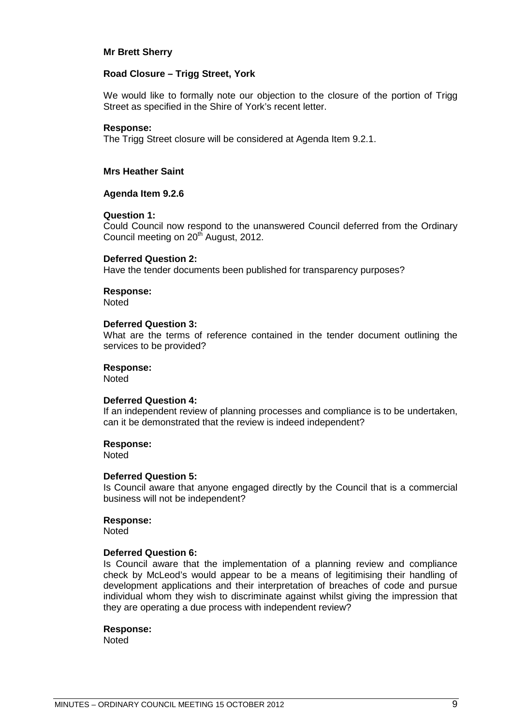#### **Mr Brett Sherry**

#### **Road Closure – Trigg Street, York**

We would like to formally note our objection to the closure of the portion of Trigg Street as specified in the Shire of York's recent letter.

#### **Response:**

The Trigg Street closure will be considered at Agenda Item 9.2.1.

#### **Mrs Heather Saint**

#### **Agenda Item 9.2.6**

#### **Question 1:**

Could Council now respond to the unanswered Council deferred from the Ordinary Council meeting on 20<sup>th</sup> August, 2012.

#### **Deferred Question 2:**

Have the tender documents been published for transparency purposes?

# **Response:**

**Noted** 

#### **Deferred Question 3:**

What are the terms of reference contained in the tender document outlining the services to be provided?

#### **Response:**

**Noted** 

# **Deferred Question 4:**

If an independent review of planning processes and compliance is to be undertaken, can it be demonstrated that the review is indeed independent?

#### **Response:**

**Noted** 

#### **Deferred Question 5:**

Is Council aware that anyone engaged directly by the Council that is a commercial business will not be independent?

#### **Response:**

Noted

#### **Deferred Question 6:**

Is Council aware that the implementation of a planning review and compliance check by McLeod's would appear to be a means of legitimising their handling of development applications and their interpretation of breaches of code and pursue individual whom they wish to discriminate against whilst giving the impression that they are operating a due process with independent review?

#### **Response:**

**Noted**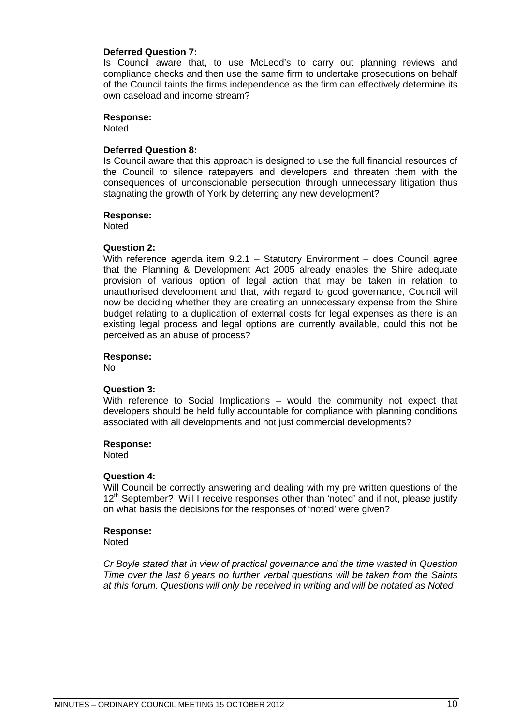# **Deferred Question 7:**

Is Council aware that, to use McLeod's to carry out planning reviews and compliance checks and then use the same firm to undertake prosecutions on behalf of the Council taints the firms independence as the firm can effectively determine its own caseload and income stream?

#### **Response:**

Noted

#### **Deferred Question 8:**

Is Council aware that this approach is designed to use the full financial resources of the Council to silence ratepayers and developers and threaten them with the consequences of unconscionable persecution through unnecessary litigation thus stagnating the growth of York by deterring any new development?

# **Response:**

**Noted** 

#### **Question 2:**

With reference agenda item 9.2.1 – Statutory Environment – does Council agree that the Planning & Development Act 2005 already enables the Shire adequate provision of various option of legal action that may be taken in relation to unauthorised development and that, with regard to good governance, Council will now be deciding whether they are creating an unnecessary expense from the Shire budget relating to a duplication of external costs for legal expenses as there is an existing legal process and legal options are currently available, could this not be perceived as an abuse of process?

#### **Response:**

No

#### **Question 3:**

With reference to Social Implications – would the community not expect that developers should be held fully accountable for compliance with planning conditions associated with all developments and not just commercial developments?

#### **Response:**

**Noted** 

#### **Question 4:**

Will Council be correctly answering and dealing with my pre written questions of the 12<sup>th</sup> September? Will I receive responses other than 'noted' and if not, please justify on what basis the decisions for the responses of 'noted' were given?

#### **Response: Noted**

*Cr Boyle stated that in view of practical governance and the time wasted in Question Time over the last 6 years no further verbal questions will be taken from the Saints at this forum. Questions will only be received in writing and will be notated as Noted.*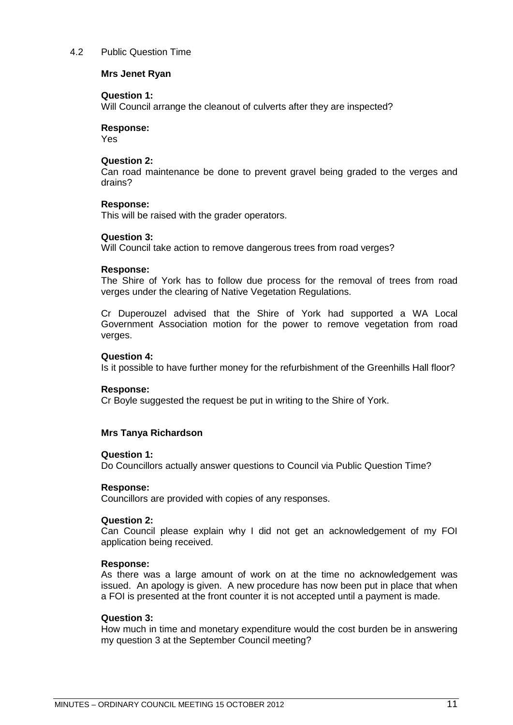## <span id="page-10-0"></span>4.2 Public Question Time

#### **Mrs Jenet Ryan**

#### **Question 1:**

Will Council arrange the cleanout of culverts after they are inspected?

#### **Response:**

Yes

# **Question 2:**

Can road maintenance be done to prevent gravel being graded to the verges and drains?

#### **Response:**

This will be raised with the grader operators.

#### **Question 3:**

Will Council take action to remove dangerous trees from road verges?

#### **Response:**

The Shire of York has to follow due process for the removal of trees from road verges under the clearing of Native Vegetation Regulations.

Cr Duperouzel advised that the Shire of York had supported a WA Local Government Association motion for the power to remove vegetation from road verges.

#### **Question 4:**

Is it possible to have further money for the refurbishment of the Greenhills Hall floor?

#### **Response:**

Cr Boyle suggested the request be put in writing to the Shire of York.

# **Mrs Tanya Richardson**

#### **Question 1:**

Do Councillors actually answer questions to Council via Public Question Time?

#### **Response:**

Councillors are provided with copies of any responses.

#### **Question 2:**

Can Council please explain why I did not get an acknowledgement of my FOI application being received.

#### **Response:**

As there was a large amount of work on at the time no acknowledgement was issued. An apology is given. A new procedure has now been put in place that when a FOI is presented at the front counter it is not accepted until a payment is made.

#### **Question 3:**

How much in time and monetary expenditure would the cost burden be in answering my question 3 at the September Council meeting?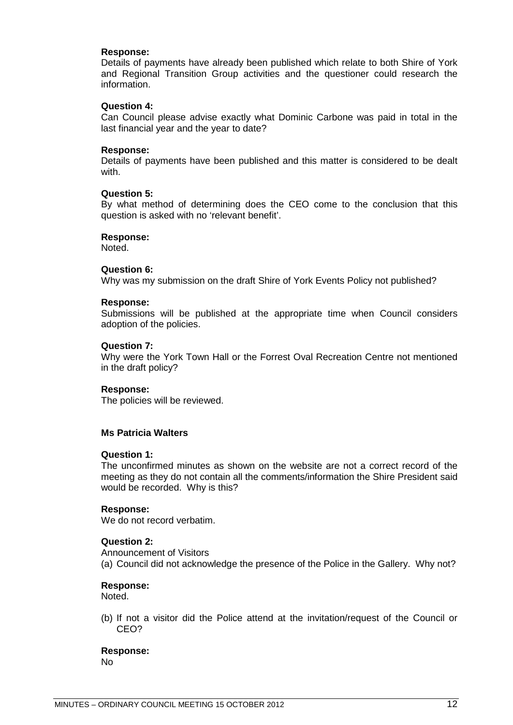#### **Response:**

Details of payments have already been published which relate to both Shire of York and Regional Transition Group activities and the questioner could research the information.

#### **Question 4:**

Can Council please advise exactly what Dominic Carbone was paid in total in the last financial year and the year to date?

#### **Response:**

Details of payments have been published and this matter is considered to be dealt with.

#### **Question 5:**

By what method of determining does the CEO come to the conclusion that this question is asked with no 'relevant benefit'.

#### **Response:**

Noted.

#### **Question 6:**

Why was my submission on the draft Shire of York Events Policy not published?

#### **Response:**

Submissions will be published at the appropriate time when Council considers adoption of the policies.

#### **Question 7:**

Why were the York Town Hall or the Forrest Oval Recreation Centre not mentioned in the draft policy?

#### **Response:**

The policies will be reviewed.

#### **Ms Patricia Walters**

#### **Question 1:**

The unconfirmed minutes as shown on the website are not a correct record of the meeting as they do not contain all the comments/information the Shire President said would be recorded. Why is this?

#### **Response:**

We do not record verbatim.

# **Question 2:**

Announcement of Visitors (a) Council did not acknowledge the presence of the Police in the Gallery. Why not?

#### **Response:**

Noted.

(b) If not a visitor did the Police attend at the invitation/request of the Council or CEO?

**Response:** No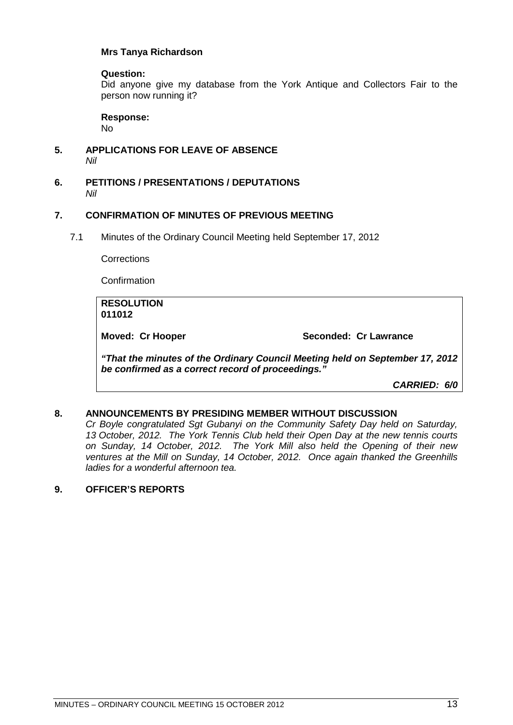# **Mrs Tanya Richardson**

## **Question:**

Did anyone give my database from the York Antique and Collectors Fair to the person now running it?

#### **Response:**

No

- <span id="page-12-0"></span>**5. APPLICATIONS FOR LEAVE OF ABSENCE**  *Nil*
- <span id="page-12-1"></span>**6. PETITIONS / PRESENTATIONS / DEPUTATIONS** *Nil*

#### <span id="page-12-2"></span>**7. CONFIRMATION OF MINUTES OF PREVIOUS MEETING**

<span id="page-12-3"></span>7.1 Minutes of the Ordinary Council Meeting held September 17, 2012

**Corrections** 

Confirmation

**RESOLUTION 011012**

**Moved: Cr Hooper Seconded: Cr Lawrance**

*"That the minutes of the Ordinary Council Meeting held on September 17, 2012 be confirmed as a correct record of proceedings."*

*CARRIED: 6/0*

# <span id="page-12-4"></span>**8. ANNOUNCEMENTS BY PRESIDING MEMBER WITHOUT DISCUSSION**

*Cr Boyle congratulated Sgt Gubanyi on the Community Safety Day held on Saturday, 13 October, 2012. The York Tennis Club held their Open Day at the new tennis courts on Sunday, 14 October, 2012. The York Mill also held the Opening of their new ventures at the Mill on Sunday, 14 October, 2012. Once again thanked the Greenhills ladies for a wonderful afternoon tea.*

# <span id="page-12-5"></span>**9. OFFICER'S REPORTS**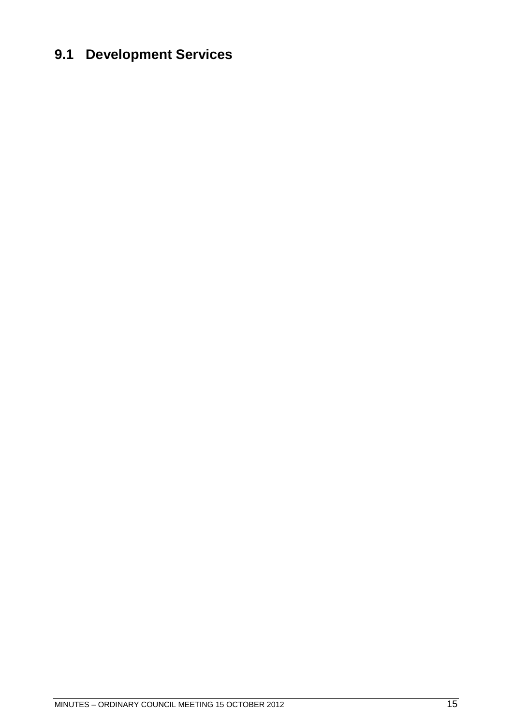# <span id="page-14-0"></span>**9.1 Development Services**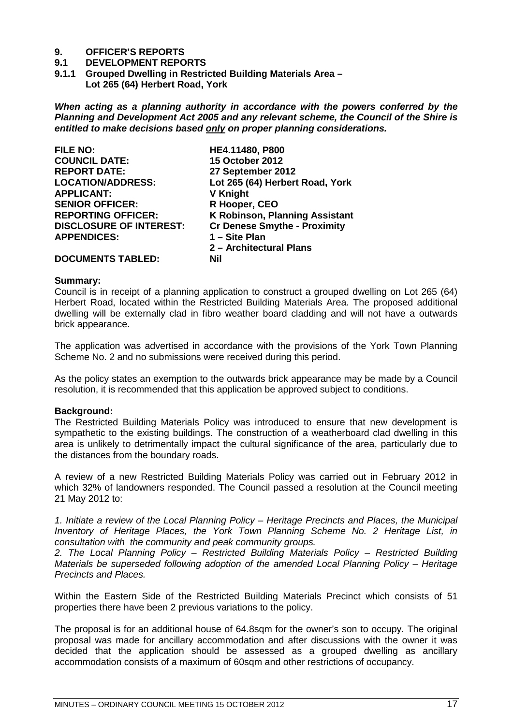# **9. OFFICER'S REPORTS**

#### **9.1 DEVELOPMENT REPORTS**

<span id="page-16-1"></span><span id="page-16-0"></span>**9.1.1 Grouped Dwelling in Restricted Building Materials Area – Lot 265 (64) Herbert Road, York** 

*When acting as a planning authority in accordance with the powers conferred by the Planning and Development Act 2005 and any relevant scheme, the Council of the Shire is entitled to make decisions based only on proper planning considerations.*

| <b>FILE NO:</b>                | HE4.11480, P800                       |
|--------------------------------|---------------------------------------|
| <b>COUNCIL DATE:</b>           | <b>15 October 2012</b>                |
| <b>REPORT DATE:</b>            | 27 September 2012                     |
| <b>LOCATION/ADDRESS:</b>       | Lot 265 (64) Herbert Road, York       |
| <b>APPLICANT:</b>              | <b>V Knight</b>                       |
| <b>SENIOR OFFICER:</b>         | R Hooper, CEO                         |
| <b>REPORTING OFFICER:</b>      | <b>K Robinson, Planning Assistant</b> |
| <b>DISCLOSURE OF INTEREST:</b> | <b>Cr Denese Smythe - Proximity</b>   |
| <b>APPENDICES:</b>             | 1 - Site Plan                         |
|                                | 2 - Architectural Plans               |
| <b>DOCUMENTS TABLED:</b>       | <b>Nil</b>                            |

#### **Summary:**

Council is in receipt of a planning application to construct a grouped dwelling on Lot 265 (64) Herbert Road, located within the Restricted Building Materials Area. The proposed additional dwelling will be externally clad in fibro weather board cladding and will not have a outwards brick appearance.

The application was advertised in accordance with the provisions of the York Town Planning Scheme No. 2 and no submissions were received during this period.

As the policy states an exemption to the outwards brick appearance may be made by a Council resolution, it is recommended that this application be approved subject to conditions.

#### **Background:**

The Restricted Building Materials Policy was introduced to ensure that new development is sympathetic to the existing buildings. The construction of a weatherboard clad dwelling in this area is unlikely to detrimentally impact the cultural significance of the area, particularly due to the distances from the boundary roads.

A review of a new Restricted Building Materials Policy was carried out in February 2012 in which 32% of landowners responded. The Council passed a resolution at the Council meeting 21 May 2012 to:

*1. Initiate a review of the Local Planning Policy – Heritage Precincts and Places, the Municipal Inventory of Heritage Places, the York Town Planning Scheme No. 2 Heritage List, in consultation with the community and peak community groups.* 

*2. The Local Planning Policy – Restricted Building Materials Policy – Restricted Building Materials be superseded following adoption of the amended Local Planning Policy – Heritage Precincts and Places.* 

Within the Eastern Side of the Restricted Building Materials Precinct which consists of 51 properties there have been 2 previous variations to the policy.

The proposal is for an additional house of 64.8sqm for the owner's son to occupy. The original proposal was made for ancillary accommodation and after discussions with the owner it was decided that the application should be assessed as a grouped dwelling as ancillary accommodation consists of a maximum of 60sqm and other restrictions of occupancy.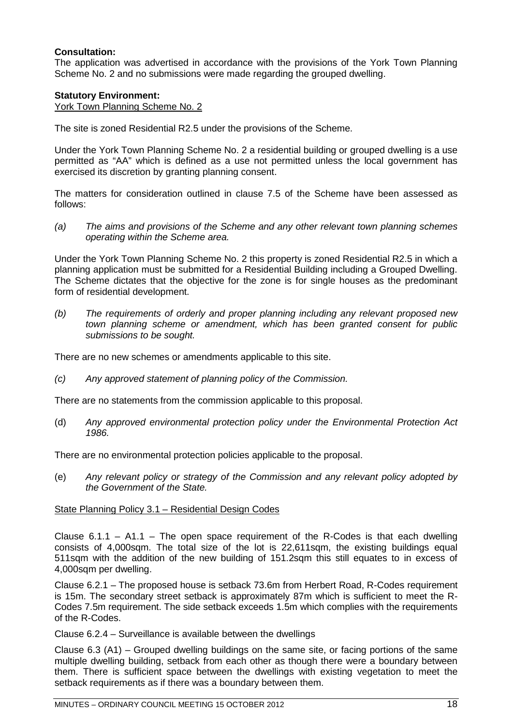# **Consultation:**

The application was advertised in accordance with the provisions of the York Town Planning Scheme No. 2 and no submissions were made regarding the grouped dwelling.

# **Statutory Environment:**

York Town Planning Scheme No. 2

The site is zoned Residential R2.5 under the provisions of the Scheme.

Under the York Town Planning Scheme No. 2 a residential building or grouped dwelling is a use permitted as "AA" which is defined as a use not permitted unless the local government has exercised its discretion by granting planning consent.

The matters for consideration outlined in clause 7.5 of the Scheme have been assessed as follows:

*(a) The aims and provisions of the Scheme and any other relevant town planning schemes operating within the Scheme area.*

Under the York Town Planning Scheme No. 2 this property is zoned Residential R2.5 in which a planning application must be submitted for a Residential Building including a Grouped Dwelling. The Scheme dictates that the objective for the zone is for single houses as the predominant form of residential development.

*(b) The requirements of orderly and proper planning including any relevant proposed new town planning scheme or amendment, which has been granted consent for public submissions to be sought.*

There are no new schemes or amendments applicable to this site.

*(c) Any approved statement of planning policy of the Commission.*

There are no statements from the commission applicable to this proposal.

(d) *Any approved environmental protection policy under the Environmental Protection Act 1986.*

There are no environmental protection policies applicable to the proposal.

(e) *Any relevant policy or strategy of the Commission and any relevant policy adopted by the Government of the State.*

# State Planning Policy 3.1 – Residential Design Codes

Clause  $6.1.1 - A1.1$  – The open space requirement of the R-Codes is that each dwelling consists of 4,000sqm. The total size of the lot is 22,611sqm, the existing buildings equal 511sqm with the addition of the new building of 151.2sqm this still equates to in excess of 4,000sqm per dwelling.

Clause 6.2.1 – The proposed house is setback 73.6m from Herbert Road, R-Codes requirement is 15m. The secondary street setback is approximately 87m which is sufficient to meet the R-Codes 7.5m requirement. The side setback exceeds 1.5m which complies with the requirements of the R-Codes.

Clause 6.2.4 – Surveillance is available between the dwellings

Clause 6.3 (A1) – Grouped dwelling buildings on the same site, or facing portions of the same multiple dwelling building, setback from each other as though there were a boundary between them. There is sufficient space between the dwellings with existing vegetation to meet the setback requirements as if there was a boundary between them.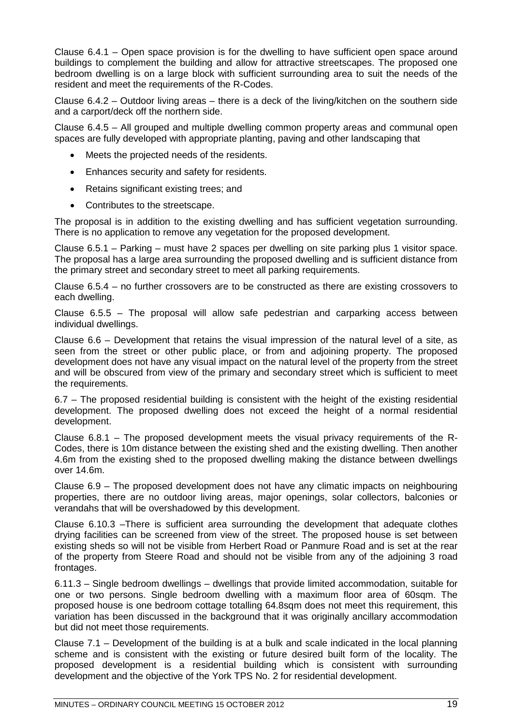Clause 6.4.1 – Open space provision is for the dwelling to have sufficient open space around buildings to complement the building and allow for attractive streetscapes. The proposed one bedroom dwelling is on a large block with sufficient surrounding area to suit the needs of the resident and meet the requirements of the R-Codes.

Clause 6.4.2 – Outdoor living areas – there is a deck of the living/kitchen on the southern side and a carport/deck off the northern side.

Clause 6.4.5 – All grouped and multiple dwelling common property areas and communal open spaces are fully developed with appropriate planting, paving and other landscaping that

- Meets the projected needs of the residents.
- Enhances security and safety for residents.
- Retains significant existing trees; and
- Contributes to the streetscape.

The proposal is in addition to the existing dwelling and has sufficient vegetation surrounding. There is no application to remove any vegetation for the proposed development.

Clause 6.5.1 – Parking – must have 2 spaces per dwelling on site parking plus 1 visitor space. The proposal has a large area surrounding the proposed dwelling and is sufficient distance from the primary street and secondary street to meet all parking requirements.

Clause 6.5.4 – no further crossovers are to be constructed as there are existing crossovers to each dwelling.

Clause 6.5.5 – The proposal will allow safe pedestrian and carparking access between individual dwellings.

Clause 6.6 – Development that retains the visual impression of the natural level of a site, as seen from the street or other public place, or from and adjoining property. The proposed development does not have any visual impact on the natural level of the property from the street and will be obscured from view of the primary and secondary street which is sufficient to meet the requirements.

6.7 – The proposed residential building is consistent with the height of the existing residential development. The proposed dwelling does not exceed the height of a normal residential development.

Clause 6.8.1 – The proposed development meets the visual privacy requirements of the R-Codes, there is 10m distance between the existing shed and the existing dwelling. Then another 4.6m from the existing shed to the proposed dwelling making the distance between dwellings over 14.6m.

Clause 6.9 – The proposed development does not have any climatic impacts on neighbouring properties, there are no outdoor living areas, major openings, solar collectors, balconies or verandahs that will be overshadowed by this development.

Clause 6.10.3 –There is sufficient area surrounding the development that adequate clothes drying facilities can be screened from view of the street. The proposed house is set between existing sheds so will not be visible from Herbert Road or Panmure Road and is set at the rear of the property from Steere Road and should not be visible from any of the adjoining 3 road frontages.

6.11.3 – Single bedroom dwellings – dwellings that provide limited accommodation, suitable for one or two persons. Single bedroom dwelling with a maximum floor area of 60sqm. The proposed house is one bedroom cottage totalling 64.8sqm does not meet this requirement, this variation has been discussed in the background that it was originally ancillary accommodation but did not meet those requirements.

Clause 7.1 – Development of the building is at a bulk and scale indicated in the local planning scheme and is consistent with the existing or future desired built form of the locality. The proposed development is a residential building which is consistent with surrounding development and the objective of the York TPS No. 2 for residential development.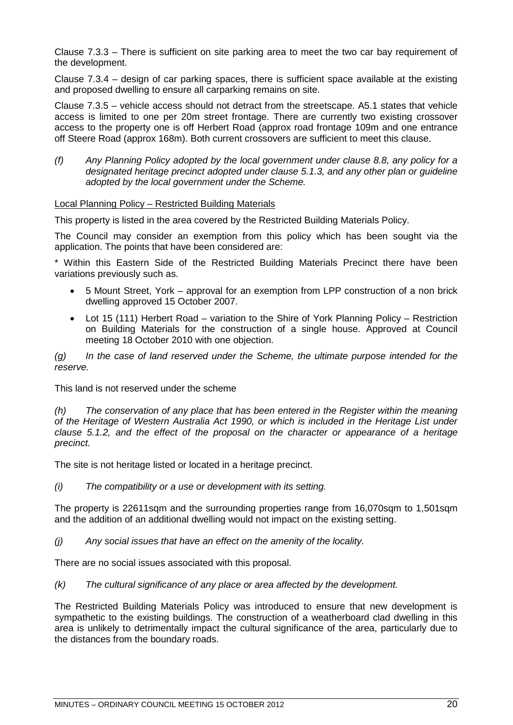Clause 7.3.3 – There is sufficient on site parking area to meet the two car bay requirement of the development.

Clause 7.3.4 – design of car parking spaces, there is sufficient space available at the existing and proposed dwelling to ensure all carparking remains on site.

Clause 7.3.5 – vehicle access should not detract from the streetscape. A5.1 states that vehicle access is limited to one per 20m street frontage. There are currently two existing crossover access to the property one is off Herbert Road (approx road frontage 109m and one entrance off Steere Road (approx 168m). Both current crossovers are sufficient to meet this clause.

*(f) Any Planning Policy adopted by the local government under clause 8.8, any policy for a designated heritage precinct adopted under clause 5.1.3, and any other plan or guideline adopted by the local government under the Scheme.*

# Local Planning Policy – Restricted Building Materials

This property is listed in the area covered by the Restricted Building Materials Policy.

The Council may consider an exemption from this policy which has been sought via the application. The points that have been considered are:

\* Within this Eastern Side of the Restricted Building Materials Precinct there have been variations previously such as.

- 5 Mount Street, York approval for an exemption from LPP construction of a non brick dwelling approved 15 October 2007.
- Lot 15 (111) Herbert Road variation to the Shire of York Planning Policy Restriction on Building Materials for the construction of a single house. Approved at Council meeting 18 October 2010 with one objection.

*(g) In the case of land reserved under the Scheme, the ultimate purpose intended for the reserve.*

This land is not reserved under the scheme

*(h) The conservation of any place that has been entered in the Register within the meaning of the Heritage of Western Australia Act 1990, or which is included in the Heritage List under clause 5.1.2, and the effect of the proposal on the character or appearance of a heritage precinct.*

The site is not heritage listed or located in a heritage precinct.

*(i) The compatibility or a use or development with its setting.*

The property is 22611sqm and the surrounding properties range from 16,070sqm to 1,501sqm and the addition of an additional dwelling would not impact on the existing setting.

*(j) Any social issues that have an effect on the amenity of the locality.*

There are no social issues associated with this proposal.

*(k) The cultural significance of any place or area affected by the development.*

The Restricted Building Materials Policy was introduced to ensure that new development is sympathetic to the existing buildings. The construction of a weatherboard clad dwelling in this area is unlikely to detrimentally impact the cultural significance of the area, particularly due to the distances from the boundary roads.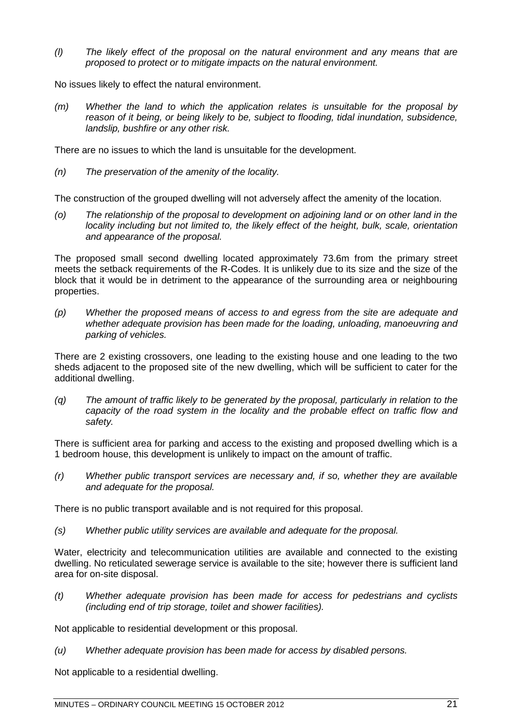*(l) The likely effect of the proposal on the natural environment and any means that are proposed to protect or to mitigate impacts on the natural environment.*

No issues likely to effect the natural environment.

*(m) Whether the land to which the application relates is unsuitable for the proposal by reason of it being, or being likely to be, subject to flooding, tidal inundation, subsidence, landslip, bushfire or any other risk.*

There are no issues to which the land is unsuitable for the development.

*(n) The preservation of the amenity of the locality.*

The construction of the grouped dwelling will not adversely affect the amenity of the location.

*(o) The relationship of the proposal to development on adjoining land or on other land in the locality including but not limited to, the likely effect of the height, bulk, scale, orientation and appearance of the proposal.*

The proposed small second dwelling located approximately 73.6m from the primary street meets the setback requirements of the R-Codes. It is unlikely due to its size and the size of the block that it would be in detriment to the appearance of the surrounding area or neighbouring properties.

*(p) Whether the proposed means of access to and egress from the site are adequate and whether adequate provision has been made for the loading, unloading, manoeuvring and parking of vehicles.*

There are 2 existing crossovers, one leading to the existing house and one leading to the two sheds adjacent to the proposed site of the new dwelling, which will be sufficient to cater for the additional dwelling.

*(q) The amount of traffic likely to be generated by the proposal, particularly in relation to the capacity of the road system in the locality and the probable effect on traffic flow and safety.*

There is sufficient area for parking and access to the existing and proposed dwelling which is a 1 bedroom house, this development is unlikely to impact on the amount of traffic.

*(r) Whether public transport services are necessary and, if so, whether they are available and adequate for the proposal.*

There is no public transport available and is not required for this proposal.

*(s) Whether public utility services are available and adequate for the proposal.*

Water, electricity and telecommunication utilities are available and connected to the existing dwelling. No reticulated sewerage service is available to the site; however there is sufficient land area for on-site disposal.

*(t) Whether adequate provision has been made for access for pedestrians and cyclists (including end of trip storage, toilet and shower facilities).*

Not applicable to residential development or this proposal.

*(u) Whether adequate provision has been made for access by disabled persons.*

Not applicable to a residential dwelling.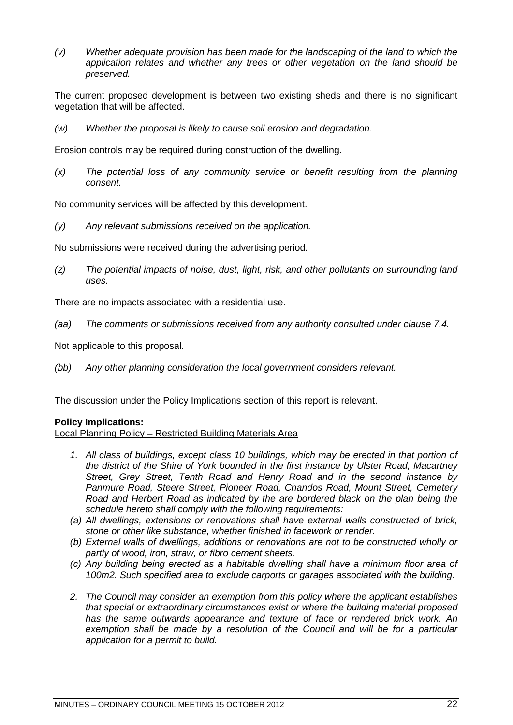*(v) Whether adequate provision has been made for the landscaping of the land to which the application relates and whether any trees or other vegetation on the land should be preserved.*

The current proposed development is between two existing sheds and there is no significant vegetation that will be affected.

*(w) Whether the proposal is likely to cause soil erosion and degradation.*

Erosion controls may be required during construction of the dwelling.

*(x) The potential loss of any community service or benefit resulting from the planning consent.*

No community services will be affected by this development.

*(y) Any relevant submissions received on the application.*

No submissions were received during the advertising period.

*(z) The potential impacts of noise, dust, light, risk, and other pollutants on surrounding land uses.*

There are no impacts associated with a residential use.

*(aa) The comments or submissions received from any authority consulted under clause 7.4.*

Not applicable to this proposal.

*(bb) Any other planning consideration the local government considers relevant.*

The discussion under the Policy Implications section of this report is relevant.

# **Policy Implications:**

# Local Planning Policy – Restricted Building Materials Area

- 1. All class of buildings, except class 10 buildings, which may be erected in that portion of *the district of the Shire of York bounded in the first instance by Ulster Road, Macartney Street, Grey Street, Tenth Road and Henry Road and in the second instance by Panmure Road, Steere Street, Pioneer Road, Chandos Road, Mount Street, Cemetery Road and Herbert Road as indicated by the are bordered black on the plan being the schedule hereto shall comply with the following requirements:*
- *(a) All dwellings, extensions or renovations shall have external walls constructed of brick, stone or other like substance, whether finished in facework or render.*
- *(b) External walls of dwellings, additions or renovations are not to be constructed wholly or partly of wood, iron, straw, or fibro cement sheets.*
- *(c) Any building being erected as a habitable dwelling shall have a minimum floor area of 100m2. Such specified area to exclude carports or garages associated with the building.*
- *2. The Council may consider an exemption from this policy where the applicant establishes that special or extraordinary circumstances exist or where the building material proposed has the same outwards appearance and texture of face or rendered brick work. An exemption shall be made by a resolution of the Council and will be for a particular application for a permit to build.*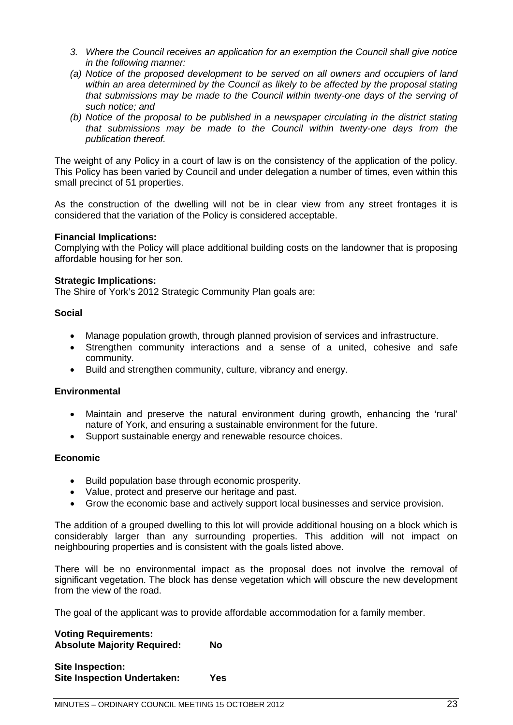- *3. Where the Council receives an application for an exemption the Council shall give notice in the following manner:*
- *(a) Notice of the proposed development to be served on all owners and occupiers of land within an area determined by the Council as likely to be affected by the proposal stating that submissions may be made to the Council within twenty-one days of the serving of such notice; and*
- *(b) Notice of the proposal to be published in a newspaper circulating in the district stating that submissions may be made to the Council within twenty-one days from the publication thereof.*

The weight of any Policy in a court of law is on the consistency of the application of the policy. This Policy has been varied by Council and under delegation a number of times, even within this small precinct of 51 properties.

As the construction of the dwelling will not be in clear view from any street frontages it is considered that the variation of the Policy is considered acceptable.

# **Financial Implications:**

Complying with the Policy will place additional building costs on the landowner that is proposing affordable housing for her son.

# **Strategic Implications:**

The Shire of York's 2012 Strategic Community Plan goals are:

# **Social**

- Manage population growth, through planned provision of services and infrastructure.
- Strengthen community interactions and a sense of a united, cohesive and safe community.
- Build and strengthen community, culture, vibrancy and energy.

# **Environmental**

- Maintain and preserve the natural environment during growth, enhancing the 'rural' nature of York, and ensuring a sustainable environment for the future.
- Support sustainable energy and renewable resource choices.

# **Economic**

- Build population base through economic prosperity.
- Value, protect and preserve our heritage and past.
- Grow the economic base and actively support local businesses and service provision.

The addition of a grouped dwelling to this lot will provide additional housing on a block which is considerably larger than any surrounding properties. This addition will not impact on neighbouring properties and is consistent with the goals listed above.

There will be no environmental impact as the proposal does not involve the removal of significant vegetation. The block has dense vegetation which will obscure the new development from the view of the road.

The goal of the applicant was to provide affordable accommodation for a family member.

**Voting Requirements: Absolute Majority Required: No**

| <b>Site Inspection:</b>            |     |
|------------------------------------|-----|
| <b>Site Inspection Undertaken:</b> | Yes |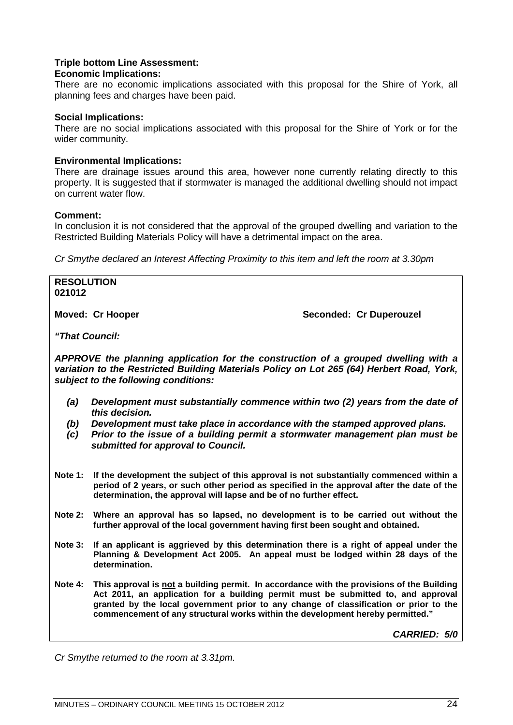# **Triple bottom Line Assessment:**

# **Economic Implications:**

There are no economic implications associated with this proposal for the Shire of York, all planning fees and charges have been paid.

#### **Social Implications:**

There are no social implications associated with this proposal for the Shire of York or for the wider community.

# **Environmental Implications:**

There are drainage issues around this area, however none currently relating directly to this property. It is suggested that if stormwater is managed the additional dwelling should not impact on current water flow.

#### **Comment:**

In conclusion it is not considered that the approval of the grouped dwelling and variation to the Restricted Building Materials Policy will have a detrimental impact on the area.

*Cr Smythe declared an Interest Affecting Proximity to this item and left the room at 3.30pm*

| <b>RESOLUTION</b><br>021012                                                                                                                                                                                             |                                                                                                 |  |
|-------------------------------------------------------------------------------------------------------------------------------------------------------------------------------------------------------------------------|-------------------------------------------------------------------------------------------------|--|
|                                                                                                                                                                                                                         | Seconded: Cr Duperouzel<br>Moved: Cr Hooper                                                     |  |
|                                                                                                                                                                                                                         | "That Council:                                                                                  |  |
| APPROVE the planning application for the construction of a grouped dwelling with a<br>variation to the Restricted Building Materials Policy on Lot 265 (64) Herbert Road, York,<br>subject to the following conditions: |                                                                                                 |  |
| (a)                                                                                                                                                                                                                     | Development must substantially commence within two (2) years from the date of<br>this decision. |  |
|                                                                                                                                                                                                                         |                                                                                                 |  |

- *(b) Development must take place in accordance with the stamped approved plans.*
- *(c) Prior to the issue of a building permit a stormwater management plan must be submitted for approval to Council.*
- **Note 1: If the development the subject of this approval is not substantially commenced within a period of 2 years, or such other period as specified in the approval after the date of the determination, the approval will lapse and be of no further effect.**
- **Note 2: Where an approval has so lapsed, no development is to be carried out without the further approval of the local government having first been sought and obtained.**
- **Note 3: If an applicant is aggrieved by this determination there is a right of appeal under the Planning & Development Act 2005. An appeal must be lodged within 28 days of the determination.**
- **Note 4: This approval is not a building permit. In accordance with the provisions of the Building Act 2011, an application for a building permit must be submitted to, and approval granted by the local government prior to any change of classification or prior to the commencement of any structural works within the development hereby permitted."**

*CARRIED: 5/0*

*Cr Smythe returned to the room at 3.31pm.*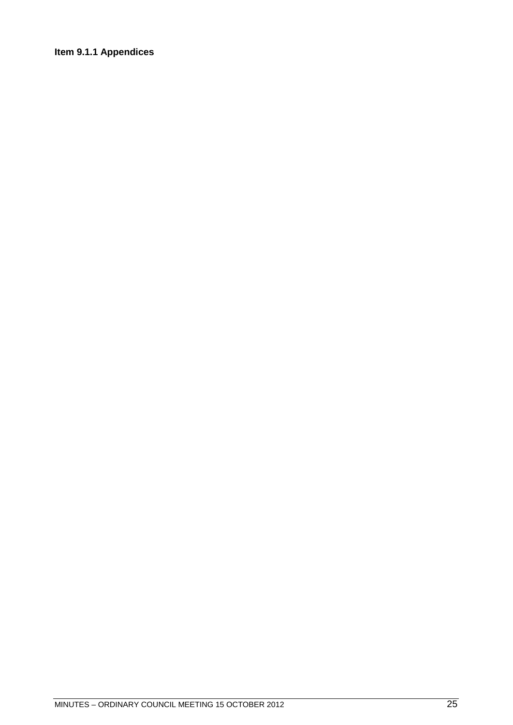# <span id="page-24-0"></span>**Item 9.1.1 Appendices**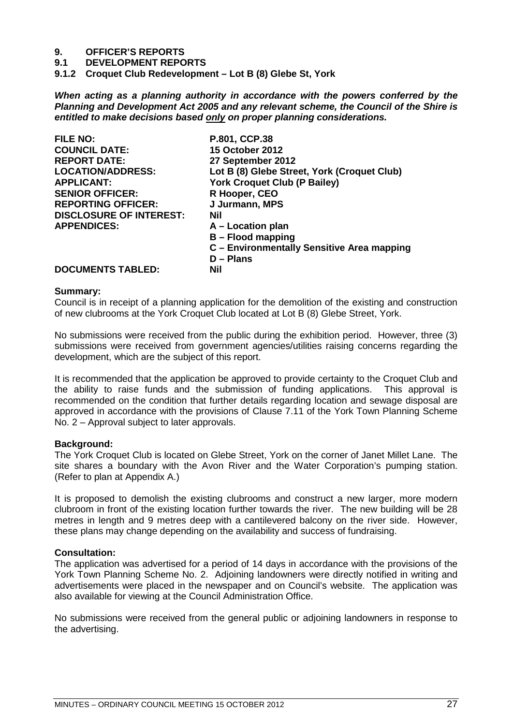# **9. OFFICER'S REPORTS**

**9.1 DEVELOPMENT REPORTS**

<span id="page-26-0"></span>**9.1.2 Croquet Club Redevelopment – Lot B (8) Glebe St, York**

*When acting as a planning authority in accordance with the powers conferred by the Planning and Development Act 2005 and any relevant scheme, the Council of the Shire is entitled to make decisions based only on proper planning considerations.*

| <b>FILE NO:</b>                |                                             |
|--------------------------------|---------------------------------------------|
|                                | P.801, CCP.38                               |
| <b>COUNCIL DATE:</b>           | <b>15 October 2012</b>                      |
| <b>REPORT DATE:</b>            | 27 September 2012                           |
| <b>LOCATION/ADDRESS:</b>       | Lot B (8) Glebe Street, York (Croquet Club) |
| <b>APPLICANT:</b>              | <b>York Croquet Club (P Bailey)</b>         |
| <b>SENIOR OFFICER:</b>         | R Hooper, CEO                               |
| <b>REPORTING OFFICER:</b>      | J Jurmann, MPS                              |
| <b>DISCLOSURE OF INTEREST:</b> | Nil                                         |
| <b>APPENDICES:</b>             | A – Location plan                           |
|                                | <b>B</b> – Flood mapping                    |
|                                | C - Environmentally Sensitive Area mapping  |
|                                | $D -$ Plans                                 |
| <b>DOCUMENTS TABLED:</b>       | <b>Nil</b>                                  |
|                                |                                             |

#### **Summary:**

Council is in receipt of a planning application for the demolition of the existing and construction of new clubrooms at the York Croquet Club located at Lot B (8) Glebe Street, York.

No submissions were received from the public during the exhibition period. However, three (3) submissions were received from government agencies/utilities raising concerns regarding the development, which are the subject of this report.

It is recommended that the application be approved to provide certainty to the Croquet Club and the ability to raise funds and the submission of funding applications. This approval is recommended on the condition that further details regarding location and sewage disposal are approved in accordance with the provisions of Clause 7.11 of the York Town Planning Scheme No. 2 – Approval subject to later approvals.

# **Background:**

The York Croquet Club is located on Glebe Street, York on the corner of Janet Millet Lane. The site shares a boundary with the Avon River and the Water Corporation's pumping station. (Refer to plan at Appendix A.)

It is proposed to demolish the existing clubrooms and construct a new larger, more modern clubroom in front of the existing location further towards the river. The new building will be 28 metres in length and 9 metres deep with a cantilevered balcony on the river side. However, these plans may change depending on the availability and success of fundraising.

# **Consultation:**

The application was advertised for a period of 14 days in accordance with the provisions of the York Town Planning Scheme No. 2. Adjoining landowners were directly notified in writing and advertisements were placed in the newspaper and on Council's website. The application was also available for viewing at the Council Administration Office.

No submissions were received from the general public or adjoining landowners in response to the advertising.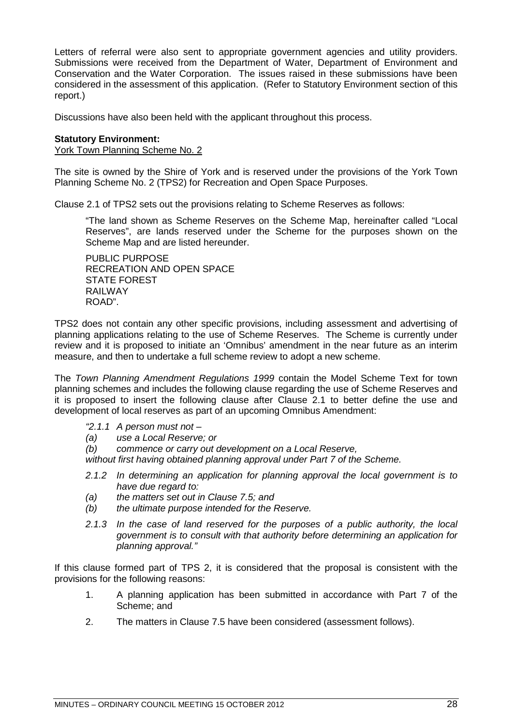Letters of referral were also sent to appropriate government agencies and utility providers. Submissions were received from the Department of Water, Department of Environment and Conservation and the Water Corporation. The issues raised in these submissions have been considered in the assessment of this application. (Refer to Statutory Environment section of this report.)

Discussions have also been held with the applicant throughout this process.

# **Statutory Environment:**

York Town Planning Scheme No. 2

The site is owned by the Shire of York and is reserved under the provisions of the York Town Planning Scheme No. 2 (TPS2) for Recreation and Open Space Purposes.

Clause 2.1 of TPS2 sets out the provisions relating to Scheme Reserves as follows:

"The land shown as Scheme Reserves on the Scheme Map, hereinafter called "Local Reserves", are lands reserved under the Scheme for the purposes shown on the Scheme Map and are listed hereunder.

PUBLIC PURPOSE RECREATION AND OPEN SPACE STATE FOREST RAILWAY ROAD".

TPS2 does not contain any other specific provisions, including assessment and advertising of planning applications relating to the use of Scheme Reserves. The Scheme is currently under review and it is proposed to initiate an 'Omnibus' amendment in the near future as an interim measure, and then to undertake a full scheme review to adopt a new scheme.

The *Town Planning Amendment Regulations 1999* contain the Model Scheme Text for town planning schemes and includes the following clause regarding the use of Scheme Reserves and it is proposed to insert the following clause after Clause 2.1 to better define the use and development of local reserves as part of an upcoming Omnibus Amendment:

- *"2.1.1 A person must not –*
- *(a) use a Local Reserve; or*
- *(b) commence or carry out development on a Local Reserve,*

*without first having obtained planning approval under Part 7 of the Scheme.*

- *2.1.2 In determining an application for planning approval the local government is to have due regard to:*
- *(a) the matters set out in Clause 7.5; and*
- *(b) the ultimate purpose intended for the Reserve.*
- *2.1.3 In the case of land reserved for the purposes of a public authority, the local government is to consult with that authority before determining an application for planning approval."*

If this clause formed part of TPS 2, it is considered that the proposal is consistent with the provisions for the following reasons:

- 1. A planning application has been submitted in accordance with Part 7 of the Scheme; and
- 2. The matters in Clause 7.5 have been considered (assessment follows).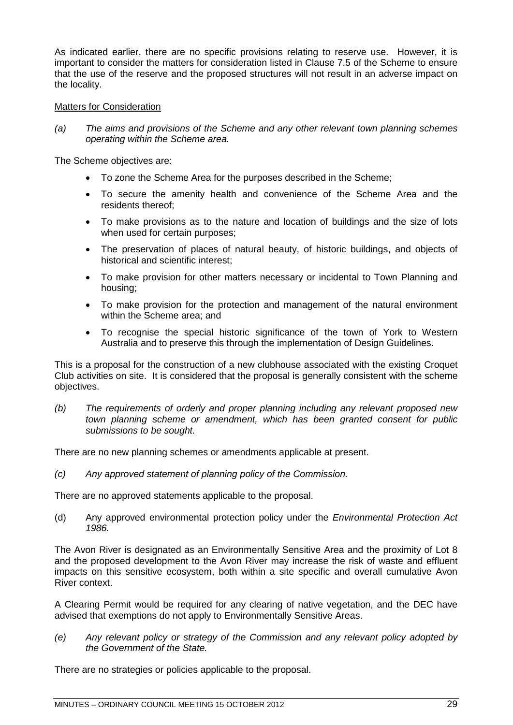As indicated earlier, there are no specific provisions relating to reserve use. However, it is important to consider the matters for consideration listed in Clause 7.5 of the Scheme to ensure that the use of the reserve and the proposed structures will not result in an adverse impact on the locality.

# Matters for Consideration

*(a) The aims and provisions of the Scheme and any other relevant town planning schemes operating within the Scheme area.*

The Scheme objectives are:

- To zone the Scheme Area for the purposes described in the Scheme;
- To secure the amenity health and convenience of the Scheme Area and the residents thereof;
- To make provisions as to the nature and location of buildings and the size of lots when used for certain purposes;
- The preservation of places of natural beauty, of historic buildings, and objects of historical and scientific interest;
- To make provision for other matters necessary or incidental to Town Planning and housing;
- To make provision for the protection and management of the natural environment within the Scheme area; and
- To recognise the special historic significance of the town of York to Western Australia and to preserve this through the implementation of Design Guidelines.

This is a proposal for the construction of a new clubhouse associated with the existing Croquet Club activities on site. It is considered that the proposal is generally consistent with the scheme objectives.

*(b) The requirements of orderly and proper planning including any relevant proposed new town planning scheme or amendment, which has been granted consent for public submissions to be sought.*

There are no new planning schemes or amendments applicable at present.

*(c) Any approved statement of planning policy of the Commission.*

There are no approved statements applicable to the proposal.

(d) Any approved environmental protection policy under the *Environmental Protection Act 1986.*

The Avon River is designated as an Environmentally Sensitive Area and the proximity of Lot 8 and the proposed development to the Avon River may increase the risk of waste and effluent impacts on this sensitive ecosystem, both within a site specific and overall cumulative Avon River context.

A Clearing Permit would be required for any clearing of native vegetation, and the DEC have advised that exemptions do not apply to Environmentally Sensitive Areas.

*(e) Any relevant policy or strategy of the Commission and any relevant policy adopted by the Government of the State.*

There are no strategies or policies applicable to the proposal.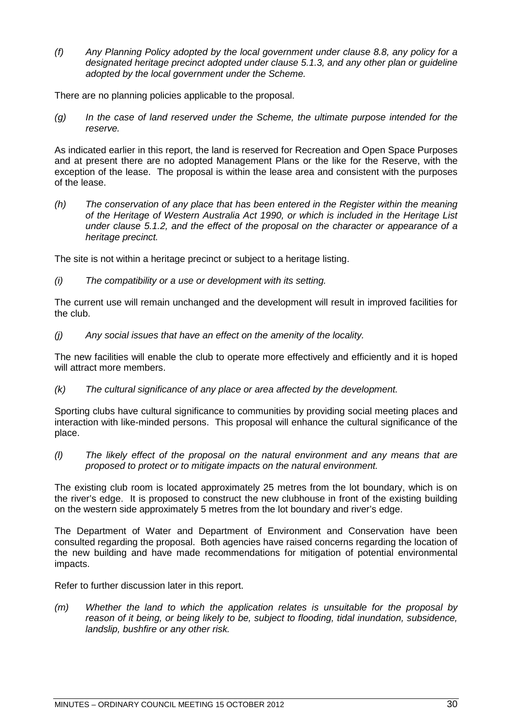*(f) Any Planning Policy adopted by the local government under clause 8.8, any policy for a designated heritage precinct adopted under clause 5.1.3, and any other plan or guideline adopted by the local government under the Scheme.*

There are no planning policies applicable to the proposal.

*(g) In the case of land reserved under the Scheme, the ultimate purpose intended for the reserve.*

As indicated earlier in this report, the land is reserved for Recreation and Open Space Purposes and at present there are no adopted Management Plans or the like for the Reserve, with the exception of the lease. The proposal is within the lease area and consistent with the purposes of the lease.

*(h) The conservation of any place that has been entered in the Register within the meaning of the Heritage of Western Australia Act 1990, or which is included in the Heritage List under clause 5.1.2, and the effect of the proposal on the character or appearance of a heritage precinct.*

The site is not within a heritage precinct or subject to a heritage listing.

*(i) The compatibility or a use or development with its setting.*

The current use will remain unchanged and the development will result in improved facilities for the club.

*(j) Any social issues that have an effect on the amenity of the locality.*

The new facilities will enable the club to operate more effectively and efficiently and it is hoped will attract more members.

*(k) The cultural significance of any place or area affected by the development.*

Sporting clubs have cultural significance to communities by providing social meeting places and interaction with like-minded persons. This proposal will enhance the cultural significance of the place.

*(l) The likely effect of the proposal on the natural environment and any means that are proposed to protect or to mitigate impacts on the natural environment.*

The existing club room is located approximately 25 metres from the lot boundary, which is on the river's edge. It is proposed to construct the new clubhouse in front of the existing building on the western side approximately 5 metres from the lot boundary and river's edge.

The Department of Water and Department of Environment and Conservation have been consulted regarding the proposal. Both agencies have raised concerns regarding the location of the new building and have made recommendations for mitigation of potential environmental impacts.

Refer to further discussion later in this report.

*(m) Whether the land to which the application relates is unsuitable for the proposal by reason of it being, or being likely to be, subject to flooding, tidal inundation, subsidence, landslip, bushfire or any other risk.*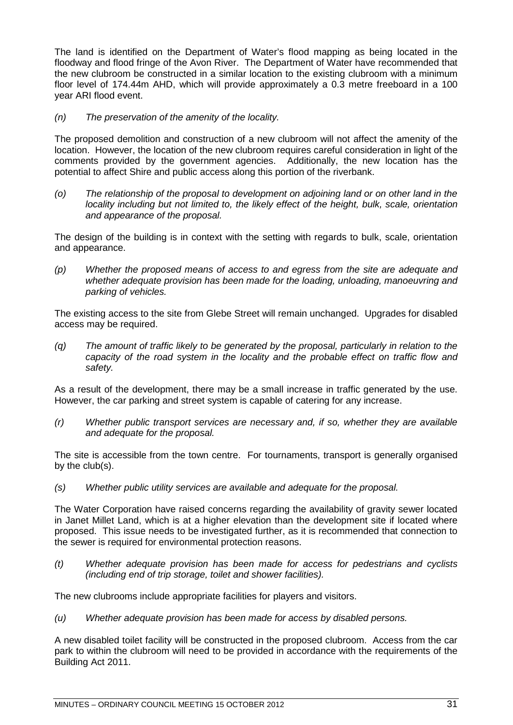The land is identified on the Department of Water's flood mapping as being located in the floodway and flood fringe of the Avon River. The Department of Water have recommended that the new clubroom be constructed in a similar location to the existing clubroom with a minimum floor level of 174.44m AHD, which will provide approximately a 0.3 metre freeboard in a 100 year ARI flood event.

*(n) The preservation of the amenity of the locality.*

The proposed demolition and construction of a new clubroom will not affect the amenity of the location. However, the location of the new clubroom requires careful consideration in light of the comments provided by the government agencies. Additionally, the new location has the potential to affect Shire and public access along this portion of the riverbank.

*(o) The relationship of the proposal to development on adjoining land or on other land in the locality including but not limited to, the likely effect of the height, bulk, scale, orientation and appearance of the proposal.*

The design of the building is in context with the setting with regards to bulk, scale, orientation and appearance.

*(p) Whether the proposed means of access to and egress from the site are adequate and whether adequate provision has been made for the loading, unloading, manoeuvring and parking of vehicles.*

The existing access to the site from Glebe Street will remain unchanged. Upgrades for disabled access may be required.

*(q) The amount of traffic likely to be generated by the proposal, particularly in relation to the capacity of the road system in the locality and the probable effect on traffic flow and safety.*

As a result of the development, there may be a small increase in traffic generated by the use. However, the car parking and street system is capable of catering for any increase.

*(r) Whether public transport services are necessary and, if so, whether they are available and adequate for the proposal.*

The site is accessible from the town centre. For tournaments, transport is generally organised by the club(s).

*(s) Whether public utility services are available and adequate for the proposal.*

The Water Corporation have raised concerns regarding the availability of gravity sewer located in Janet Millet Land, which is at a higher elevation than the development site if located where proposed. This issue needs to be investigated further, as it is recommended that connection to the sewer is required for environmental protection reasons.

*(t) Whether adequate provision has been made for access for pedestrians and cyclists (including end of trip storage, toilet and shower facilities).*

The new clubrooms include appropriate facilities for players and visitors.

*(u) Whether adequate provision has been made for access by disabled persons.*

A new disabled toilet facility will be constructed in the proposed clubroom. Access from the car park to within the clubroom will need to be provided in accordance with the requirements of the Building Act 2011.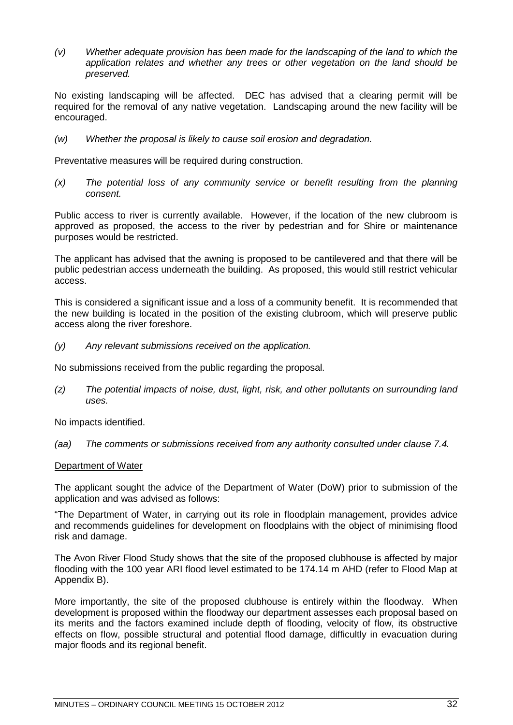*(v) Whether adequate provision has been made for the landscaping of the land to which the application relates and whether any trees or other vegetation on the land should be preserved.*

No existing landscaping will be affected. DEC has advised that a clearing permit will be required for the removal of any native vegetation. Landscaping around the new facility will be encouraged.

*(w) Whether the proposal is likely to cause soil erosion and degradation.*

Preventative measures will be required during construction.

*(x) The potential loss of any community service or benefit resulting from the planning consent.*

Public access to river is currently available. However, if the location of the new clubroom is approved as proposed, the access to the river by pedestrian and for Shire or maintenance purposes would be restricted.

The applicant has advised that the awning is proposed to be cantilevered and that there will be public pedestrian access underneath the building. As proposed, this would still restrict vehicular access.

This is considered a significant issue and a loss of a community benefit. It is recommended that the new building is located in the position of the existing clubroom, which will preserve public access along the river foreshore.

*(y) Any relevant submissions received on the application.*

No submissions received from the public regarding the proposal.

*(z) The potential impacts of noise, dust, light, risk, and other pollutants on surrounding land uses.*

No impacts identified.

*(aa) The comments or submissions received from any authority consulted under clause 7.4.*

# Department of Water

The applicant sought the advice of the Department of Water (DoW) prior to submission of the application and was advised as follows:

"The Department of Water, in carrying out its role in floodplain management, provides advice and recommends guidelines for development on floodplains with the object of minimising flood risk and damage.

The Avon River Flood Study shows that the site of the proposed clubhouse is affected by major flooding with the 100 year ARI flood level estimated to be 174.14 m AHD (refer to Flood Map at Appendix B).

More importantly, the site of the proposed clubhouse is entirely within the floodway. When development is proposed within the floodway our department assesses each proposal based on its merits and the factors examined include depth of flooding, velocity of flow, its obstructive effects on flow, possible structural and potential flood damage, difficultly in evacuation during major floods and its regional benefit.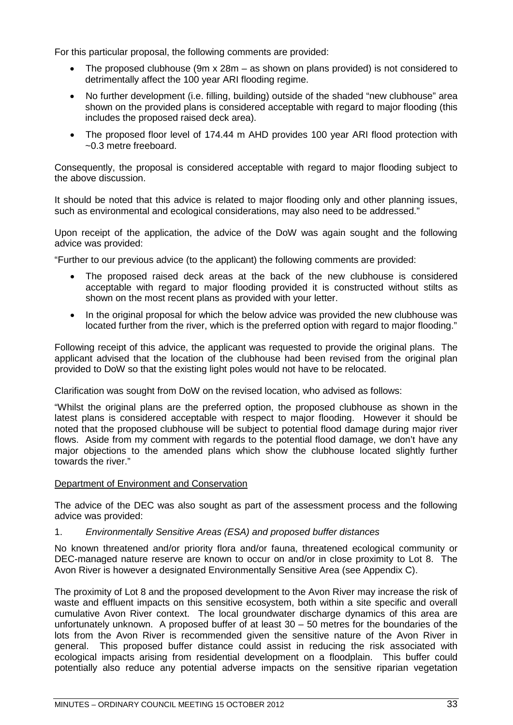For this particular proposal, the following comments are provided:

- The proposed clubhouse (9m x 28m as shown on plans provided) is not considered to detrimentally affect the 100 year ARI flooding regime.
- No further development (i.e. filling, building) outside of the shaded "new clubhouse" area shown on the provided plans is considered acceptable with regard to major flooding (this includes the proposed raised deck area).
- The proposed floor level of 174.44 m AHD provides 100 year ARI flood protection with ~0.3 metre freeboard.

Consequently, the proposal is considered acceptable with regard to major flooding subject to the above discussion.

It should be noted that this advice is related to major flooding only and other planning issues, such as environmental and ecological considerations, may also need to be addressed."

Upon receipt of the application, the advice of the DoW was again sought and the following advice was provided:

"Further to our previous advice (to the applicant) the following comments are provided:

- The proposed raised deck areas at the back of the new clubhouse is considered acceptable with regard to major flooding provided it is constructed without stilts as shown on the most recent plans as provided with your letter.
- In the original proposal for which the below advice was provided the new clubhouse was located further from the river, which is the preferred option with regard to major flooding."

Following receipt of this advice, the applicant was requested to provide the original plans. The applicant advised that the location of the clubhouse had been revised from the original plan provided to DoW so that the existing light poles would not have to be relocated.

Clarification was sought from DoW on the revised location, who advised as follows:

"Whilst the original plans are the preferred option, the proposed clubhouse as shown in the latest plans is considered acceptable with respect to major flooding. However it should be noted that the proposed clubhouse will be subject to potential flood damage during major river flows. Aside from my comment with regards to the potential flood damage, we don't have any major objections to the amended plans which show the clubhouse located slightly further towards the river."

# Department of Environment and Conservation

The advice of the DEC was also sought as part of the assessment process and the following advice was provided:

1. *Environmentally Sensitive Areas (ESA) and proposed buffer distances*

No known threatened and/or priority flora and/or fauna, threatened ecological community or DEC-managed nature reserve are known to occur on and/or in close proximity to Lot 8. The Avon River is however a designated Environmentally Sensitive Area (see Appendix C).

The proximity of Lot 8 and the proposed development to the Avon River may increase the risk of waste and effluent impacts on this sensitive ecosystem, both within a site specific and overall cumulative Avon River context. The local groundwater discharge dynamics of this area are unfortunately unknown. A proposed buffer of at least 30 – 50 metres for the boundaries of the lots from the Avon River is recommended given the sensitive nature of the Avon River in general. This proposed buffer distance could assist in reducing the risk associated with ecological impacts arising from residential development on a floodplain. This buffer could potentially also reduce any potential adverse impacts on the sensitive riparian vegetation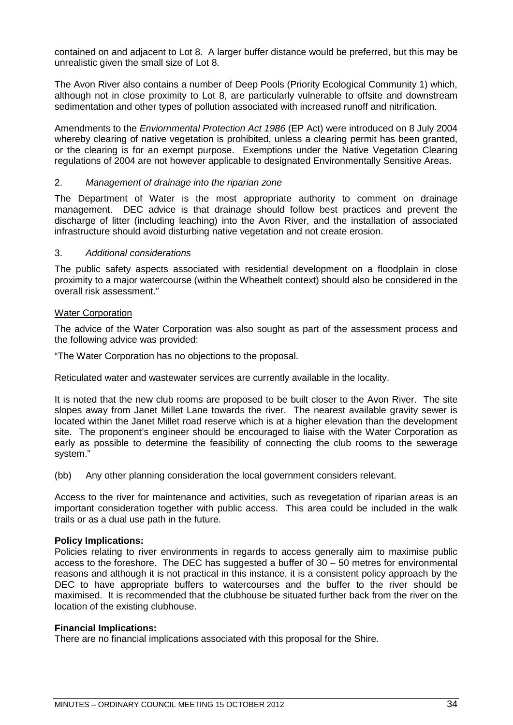contained on and adjacent to Lot 8. A larger buffer distance would be preferred, but this may be unrealistic given the small size of Lot 8.

The Avon River also contains a number of Deep Pools (Priority Ecological Community 1) which, although not in close proximity to Lot 8, are particularly vulnerable to offsite and downstream sedimentation and other types of pollution associated with increased runoff and nitrification.

Amendments to the *Enviornmental Protection Act 1986* (EP Act) were introduced on 8 July 2004 whereby clearing of native vegetation is prohibited, unless a clearing permit has been granted, or the clearing is for an exempt purpose. Exemptions under the Native Vegetation Clearing regulations of 2004 are not however applicable to designated Environmentally Sensitive Areas.

# 2. *Management of drainage into the riparian zone*

The Department of Water is the most appropriate authority to comment on drainage management. DEC advice is that drainage should follow best practices and prevent the discharge of litter (including leaching) into the Avon River, and the installation of associated infrastructure should avoid disturbing native vegetation and not create erosion.

# 3. *Additional considerations*

The public safety aspects associated with residential development on a floodplain in close proximity to a major watercourse (within the Wheatbelt context) should also be considered in the overall risk assessment."

# Water Corporation

The advice of the Water Corporation was also sought as part of the assessment process and the following advice was provided:

"The Water Corporation has no objections to the proposal.

Reticulated water and wastewater services are currently available in the locality.

It is noted that the new club rooms are proposed to be built closer to the Avon River. The site slopes away from Janet Millet Lane towards the river. The nearest available gravity sewer is located within the Janet Millet road reserve which is at a higher elevation than the development site. The proponent's engineer should be encouraged to liaise with the Water Corporation as early as possible to determine the feasibility of connecting the club rooms to the sewerage system."

(bb) Any other planning consideration the local government considers relevant.

Access to the river for maintenance and activities, such as revegetation of riparian areas is an important consideration together with public access. This area could be included in the walk trails or as a dual use path in the future.

# **Policy Implications:**

Policies relating to river environments in regards to access generally aim to maximise public access to the foreshore. The DEC has suggested a buffer of 30 – 50 metres for environmental reasons and although it is not practical in this instance, it is a consistent policy approach by the DEC to have appropriate buffers to watercourses and the buffer to the river should be maximised. It is recommended that the clubhouse be situated further back from the river on the location of the existing clubhouse.

# **Financial Implications:**

There are no financial implications associated with this proposal for the Shire.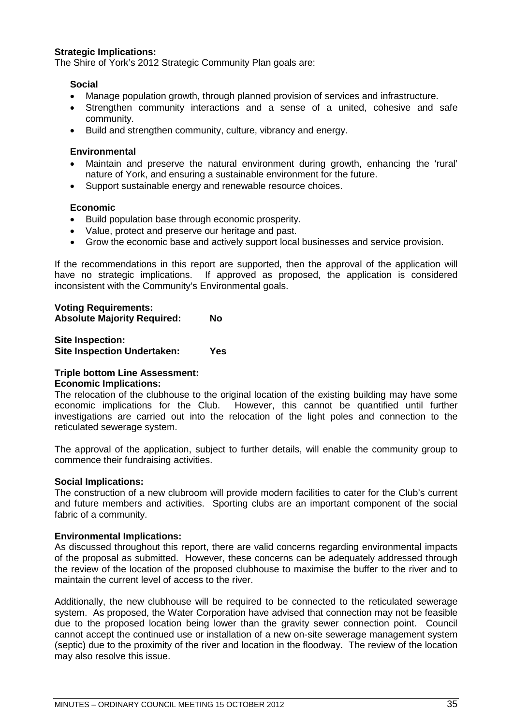# **Strategic Implications:**

The Shire of York's 2012 Strategic Community Plan goals are:

#### **Social**

- Manage population growth, through planned provision of services and infrastructure.
- Strengthen community interactions and a sense of a united, cohesive and safe community.
- Build and strengthen community, culture, vibrancy and energy.

#### **Environmental**

- Maintain and preserve the natural environment during growth, enhancing the 'rural' nature of York, and ensuring a sustainable environment for the future.
- Support sustainable energy and renewable resource choices.

#### **Economic**

- Build population base through economic prosperity.
- Value, protect and preserve our heritage and past.
- Grow the economic base and actively support local businesses and service provision.

If the recommendations in this report are supported, then the approval of the application will have no strategic implications. If approved as proposed, the application is considered inconsistent with the Community's Environmental goals.

# **Voting Requirements: Absolute Majority Required: No**

# **Site Inspection: Site Inspection Undertaken: Yes**

# **Triple bottom Line Assessment:**

#### **Economic Implications:**

The relocation of the clubhouse to the original location of the existing building may have some economic implications for the Club. However, this cannot be quantified until further investigations are carried out into the relocation of the light poles and connection to the reticulated sewerage system.

The approval of the application, subject to further details, will enable the community group to commence their fundraising activities.

#### **Social Implications:**

The construction of a new clubroom will provide modern facilities to cater for the Club's current and future members and activities. Sporting clubs are an important component of the social fabric of a community.

# **Environmental Implications:**

As discussed throughout this report, there are valid concerns regarding environmental impacts of the proposal as submitted. However, these concerns can be adequately addressed through the review of the location of the proposed clubhouse to maximise the buffer to the river and to maintain the current level of access to the river.

Additionally, the new clubhouse will be required to be connected to the reticulated sewerage system. As proposed, the Water Corporation have advised that connection may not be feasible due to the proposed location being lower than the gravity sewer connection point. Council cannot accept the continued use or installation of a new on-site sewerage management system (septic) due to the proximity of the river and location in the floodway. The review of the location may also resolve this issue.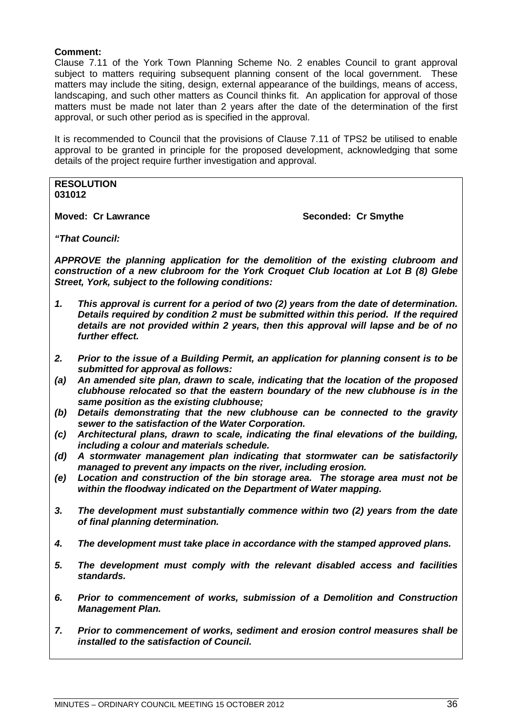# **Comment:**

Clause 7.11 of the York Town Planning Scheme No. 2 enables Council to grant approval subject to matters requiring subsequent planning consent of the local government. These matters may include the siting, design, external appearance of the buildings, means of access, landscaping, and such other matters as Council thinks fit. An application for approval of those matters must be made not later than 2 years after the date of the determination of the first approval, or such other period as is specified in the approval.

It is recommended to Council that the provisions of Clause 7.11 of TPS2 be utilised to enable approval to be granted in principle for the proposed development, acknowledging that some details of the project require further investigation and approval.

**RESOLUTION 031012**

**Moved: Cr Lawrance Seconded: Cr Smythe** 

*"That Council:*

*APPROVE the planning application for the demolition of the existing clubroom and construction of a new clubroom for the York Croquet Club location at Lot B (8) Glebe Street, York, subject to the following conditions:*

- *1. This approval is current for a period of two (2) years from the date of determination. Details required by condition 2 must be submitted within this period. If the required details are not provided within 2 years, then this approval will lapse and be of no further effect.*
- *2. Prior to the issue of a Building Permit, an application for planning consent is to be submitted for approval as follows:*
- *(a) An amended site plan, drawn to scale, indicating that the location of the proposed clubhouse relocated so that the eastern boundary of the new clubhouse is in the same position as the existing clubhouse;*
- *(b) Details demonstrating that the new clubhouse can be connected to the gravity sewer to the satisfaction of the Water Corporation.*
- *(c) Architectural plans, drawn to scale, indicating the final elevations of the building, including a colour and materials schedule.*
- *(d) A stormwater management plan indicating that stormwater can be satisfactorily managed to prevent any impacts on the river, including erosion.*
- *(e) Location and construction of the bin storage area. The storage area must not be within the floodway indicated on the Department of Water mapping.*
- *3. The development must substantially commence within two (2) years from the date of final planning determination.*
- *4. The development must take place in accordance with the stamped approved plans.*
- *5. The development must comply with the relevant disabled access and facilities standards.*
- *6. Prior to commencement of works, submission of a Demolition and Construction Management Plan.*
- *7. Prior to commencement of works, sediment and erosion control measures shall be installed to the satisfaction of Council.*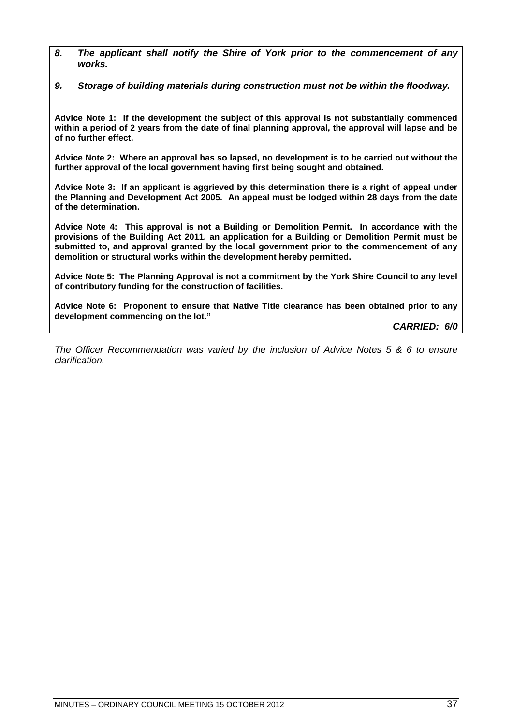*8. The applicant shall notify the Shire of York prior to the commencement of any works.*

*9. Storage of building materials during construction must not be within the floodway.*

**Advice Note 1: If the development the subject of this approval is not substantially commenced within a period of 2 years from the date of final planning approval, the approval will lapse and be of no further effect.**

**Advice Note 2: Where an approval has so lapsed, no development is to be carried out without the further approval of the local government having first being sought and obtained.**

**Advice Note 3: If an applicant is aggrieved by this determination there is a right of appeal under the Planning and Development Act 2005. An appeal must be lodged within 28 days from the date of the determination.**

**Advice Note 4: This approval is not a Building or Demolition Permit. In accordance with the provisions of the Building Act 2011, an application for a Building or Demolition Permit must be submitted to, and approval granted by the local government prior to the commencement of any demolition or structural works within the development hereby permitted.**

**Advice Note 5: The Planning Approval is not a commitment by the York Shire Council to any level of contributory funding for the construction of facilities.**

**Advice Note 6: Proponent to ensure that Native Title clearance has been obtained prior to any development commencing on the lot."**

*CARRIED: 6/0*

*The Officer Recommendation was varied by the inclusion of Advice Notes 5 & 6 to ensure clarification.*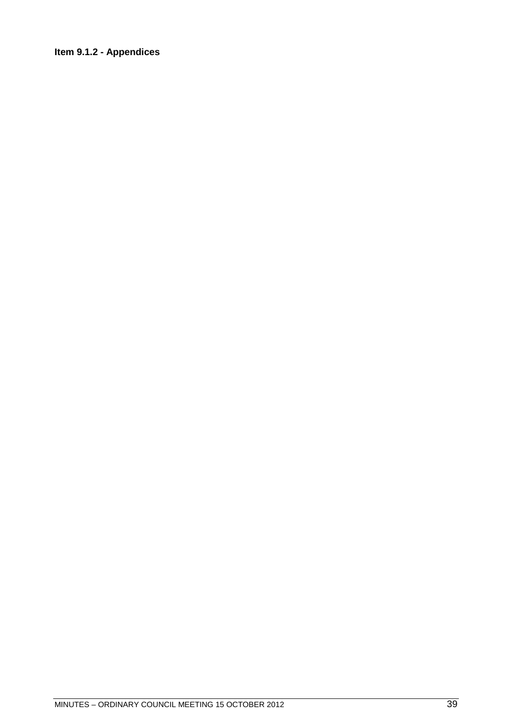# Item 9.1.2 - Appendices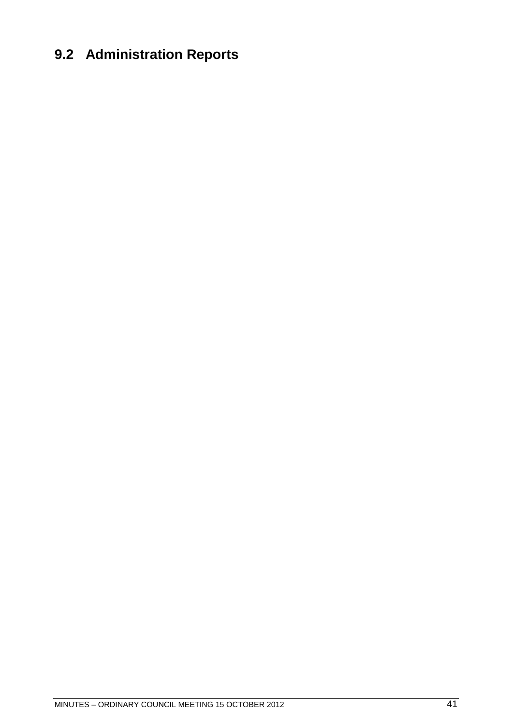# **9.2 Administration Reports**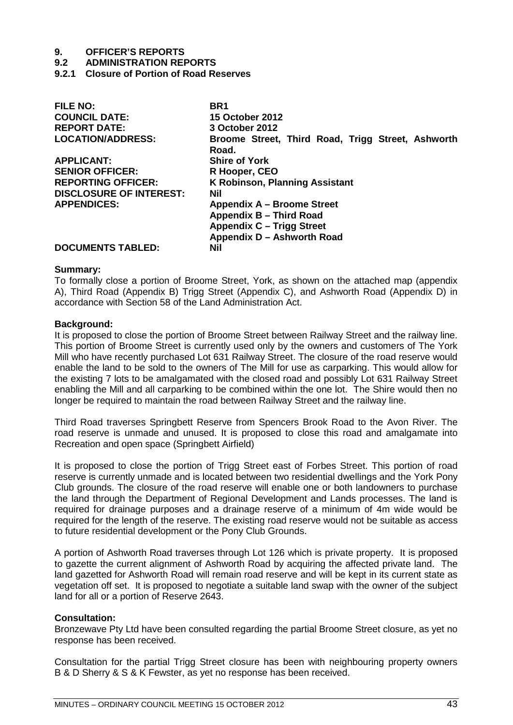**9.2 ADMINISTRATION REPORTS**

**9.2.1 Closure of Portion of Road Reserves** 

| <b>FILE NO:</b>                | BR <sub>1</sub>                                            |
|--------------------------------|------------------------------------------------------------|
| <b>COUNCIL DATE:</b>           | <b>15 October 2012</b>                                     |
| <b>REPORT DATE:</b>            | 3 October 2012                                             |
| <b>LOCATION/ADDRESS:</b>       | Broome Street, Third Road, Trigg Street, Ashworth<br>Road. |
| <b>APPLICANT:</b>              | <b>Shire of York</b>                                       |
| <b>SENIOR OFFICER:</b>         | R Hooper, CEO                                              |
| <b>REPORTING OFFICER:</b>      | <b>K Robinson, Planning Assistant</b>                      |
| <b>DISCLOSURE OF INTEREST:</b> | Nil                                                        |
| <b>APPENDICES:</b>             | <b>Appendix A – Broome Street</b>                          |
|                                | Appendix B - Third Road                                    |
|                                | Appendix C - Trigg Street                                  |
|                                | Appendix D - Ashworth Road                                 |
| <b>DOCUMENTS TABLED:</b>       | Nil                                                        |
|                                |                                                            |

#### **Summary:**

To formally close a portion of Broome Street, York, as shown on the attached map (appendix A), Third Road (Appendix B) Trigg Street (Appendix C), and Ashworth Road (Appendix D) in accordance with Section 58 of the Land Administration Act.

#### **Background:**

It is proposed to close the portion of Broome Street between Railway Street and the railway line. This portion of Broome Street is currently used only by the owners and customers of The York Mill who have recently purchased Lot 631 Railway Street. The closure of the road reserve would enable the land to be sold to the owners of The Mill for use as carparking. This would allow for the existing 7 lots to be amalgamated with the closed road and possibly Lot 631 Railway Street enabling the Mill and all carparking to be combined within the one lot. The Shire would then no longer be required to maintain the road between Railway Street and the railway line.

Third Road traverses Springbett Reserve from Spencers Brook Road to the Avon River. The road reserve is unmade and unused. It is proposed to close this road and amalgamate into Recreation and open space (Springbett Airfield)

It is proposed to close the portion of Trigg Street east of Forbes Street. This portion of road reserve is currently unmade and is located between two residential dwellings and the York Pony Club grounds. The closure of the road reserve will enable one or both landowners to purchase the land through the Department of Regional Development and Lands processes. The land is required for drainage purposes and a drainage reserve of a minimum of 4m wide would be required for the length of the reserve. The existing road reserve would not be suitable as access to future residential development or the Pony Club Grounds.

A portion of Ashworth Road traverses through Lot 126 which is private property. It is proposed to gazette the current alignment of Ashworth Road by acquiring the affected private land. The land gazetted for Ashworth Road will remain road reserve and will be kept in its current state as vegetation off set. It is proposed to negotiate a suitable land swap with the owner of the subject land for all or a portion of Reserve 2643.

## **Consultation:**

Bronzewave Pty Ltd have been consulted regarding the partial Broome Street closure, as yet no response has been received.

Consultation for the partial Trigg Street closure has been with neighbouring property owners B & D Sherry & S & K Fewster, as yet no response has been received.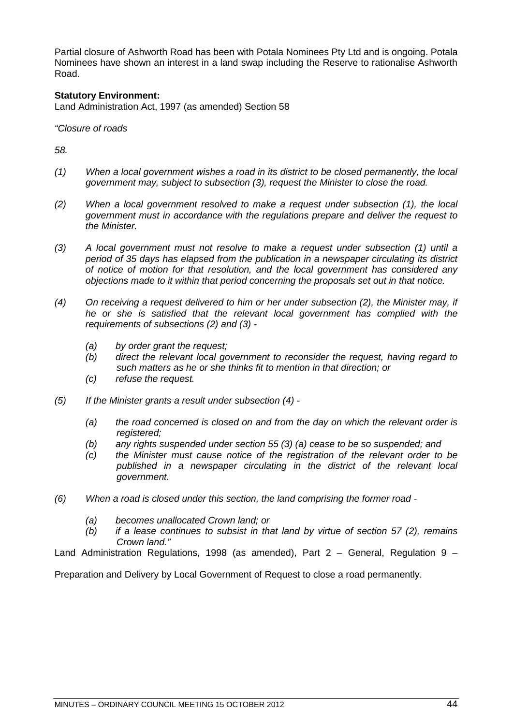Partial closure of Ashworth Road has been with Potala Nominees Pty Ltd and is ongoing. Potala Nominees have shown an interest in a land swap including the Reserve to rationalise Ashworth Road.

# **Statutory Environment:**

Land Administration Act, 1997 (as amended) Section 58

*"Closure of roads*

*58.*

- *(1) When a local government wishes a road in its district to be closed permanently, the local government may, subject to subsection (3), request the Minister to close the road.*
- *(2) When a local government resolved to make a request under subsection (1), the local government must in accordance with the regulations prepare and deliver the request to the Minister.*
- *(3) A local government must not resolve to make a request under subsection (1) until a period of 35 days has elapsed from the publication in a newspaper circulating its district of notice of motion for that resolution, and the local government has considered any objections made to it within that period concerning the proposals set out in that notice.*
- *(4) On receiving a request delivered to him or her under subsection (2), the Minister may, if he or she is satisfied that the relevant local government has complied with the requirements of subsections (2) and (3) -*
	- *(a) by order grant the request;*
	- *(b) direct the relevant local government to reconsider the request, having regard to such matters as he or she thinks fit to mention in that direction; or*
	- *(c) refuse the request.*
- *(5) If the Minister grants a result under subsection (4) -*
	- *(a) the road concerned is closed on and from the day on which the relevant order is registered;*
	- *(b) any rights suspended under section 55 (3) (a) cease to be so suspended; and*
	- *(c) the Minister must cause notice of the registration of the relevant order to be published in a newspaper circulating in the district of the relevant local government.*
- *(6) When a road is closed under this section, the land comprising the former road -*
	- *(a) becomes unallocated Crown land; or*
	- *(b) if a lease continues to subsist in that land by virtue of section 57 (2), remains Crown land."*

Land Administration Regulations, 1998 (as amended), Part 2 – General, Regulation 9 –

Preparation and Delivery by Local Government of Request to close a road permanently.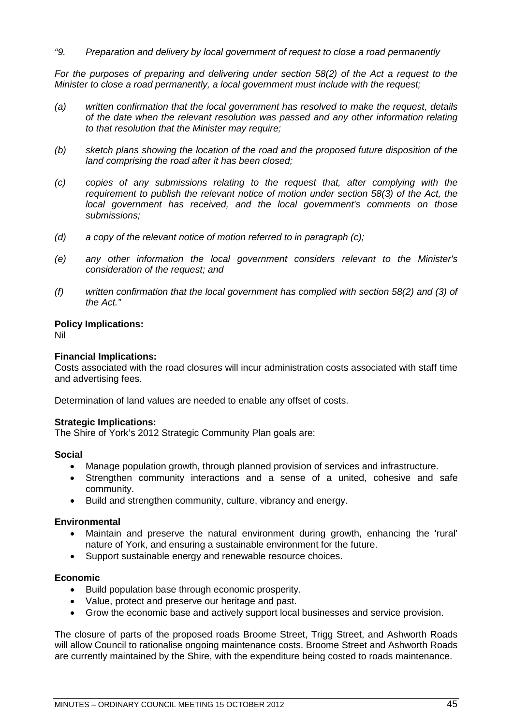# *"9. Preparation and delivery by local government of request to close a road permanently*

For the purposes of preparing and delivering under section 58(2) of the Act a request to the *Minister to close a road permanently, a local government must include with the request;*

- *(a) written confirmation that the local government has resolved to make the request, details of the date when the relevant resolution was passed and any other information relating to that resolution that the Minister may require;*
- *(b) sketch plans showing the location of the road and the proposed future disposition of the land comprising the road after it has been closed;*
- *(c) copies of any submissions relating to the request that, after complying with the requirement to publish the relevant notice of motion under section 58(3) of the Act, the local government has received, and the local government's comments on those submissions;*
- *(d) a copy of the relevant notice of motion referred to in paragraph (c);*
- *(e) any other information the local government considers relevant to the Minister's consideration of the request; and*
- *(f) written confirmation that the local government has complied with section 58(2) and (3) of the Act."*

#### **Policy Implications:**

Nil

## **Financial Implications:**

Costs associated with the road closures will incur administration costs associated with staff time and advertising fees.

Determination of land values are needed to enable any offset of costs.

#### **Strategic Implications:**

The Shire of York's 2012 Strategic Community Plan goals are:

#### **Social**

- Manage population growth, through planned provision of services and infrastructure.
- Strengthen community interactions and a sense of a united, cohesive and safe community.
- Build and strengthen community, culture, vibrancy and energy.

## **Environmental**

- Maintain and preserve the natural environment during growth, enhancing the 'rural' nature of York, and ensuring a sustainable environment for the future.
- Support sustainable energy and renewable resource choices.

#### **Economic**

- Build population base through economic prosperity.
- Value, protect and preserve our heritage and past.
- Grow the economic base and actively support local businesses and service provision.

The closure of parts of the proposed roads Broome Street, Trigg Street, and Ashworth Roads will allow Council to rationalise ongoing maintenance costs. Broome Street and Ashworth Roads are currently maintained by the Shire, with the expenditure being costed to roads maintenance.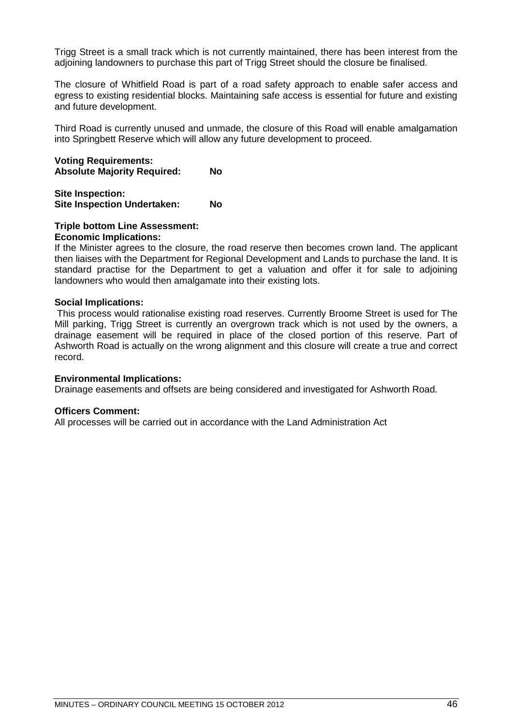Trigg Street is a small track which is not currently maintained, there has been interest from the adjoining landowners to purchase this part of Trigg Street should the closure be finalised.

The closure of Whitfield Road is part of a road safety approach to enable safer access and egress to existing residential blocks. Maintaining safe access is essential for future and existing and future development.

Third Road is currently unused and unmade, the closure of this Road will enable amalgamation into Springbett Reserve which will allow any future development to proceed.

**Voting Requirements: Absolute Majority Required: No**

**Site Inspection: Site Inspection Undertaken: No**

# **Triple bottom Line Assessment:**

#### **Economic Implications:**

If the Minister agrees to the closure, the road reserve then becomes crown land. The applicant then liaises with the Department for Regional Development and Lands to purchase the land. It is standard practise for the Department to get a valuation and offer it for sale to adjoining landowners who would then amalgamate into their existing lots.

## **Social Implications:**

This process would rationalise existing road reserves. Currently Broome Street is used for The Mill parking, Trigg Street is currently an overgrown track which is not used by the owners, a drainage easement will be required in place of the closed portion of this reserve. Part of Ashworth Road is actually on the wrong alignment and this closure will create a true and correct record.

#### **Environmental Implications:**

Drainage easements and offsets are being considered and investigated for Ashworth Road.

#### **Officers Comment:**

All processes will be carried out in accordance with the Land Administration Act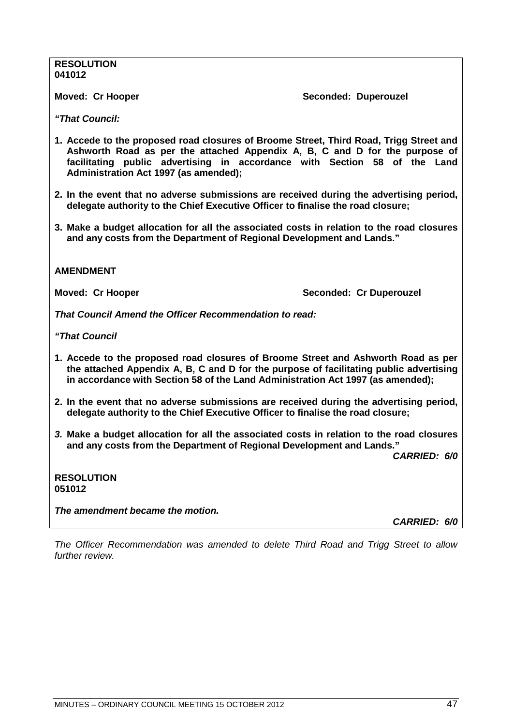#### **RESOLUTION 041012**

**Moved: Cr Hooper Seconded: Duperouzel** 

*"That Council:*

- **1. Accede to the proposed road closures of Broome Street, Third Road, Trigg Street and Ashworth Road as per the attached Appendix A, B, C and D for the purpose of facilitating public advertising in accordance with Section 58 of the Land Administration Act 1997 (as amended);**
- **2. In the event that no adverse submissions are received during the advertising period, delegate authority to the Chief Executive Officer to finalise the road closure;**
- **3. Make a budget allocation for all the associated costs in relation to the road closures and any costs from the Department of Regional Development and Lands."**

# **AMENDMENT**

**Moved: Cr Hooper Seconded: Cr Duperouzel** 

*That Council Amend the Officer Recommendation to read:*

*"That Council*

- **1. Accede to the proposed road closures of Broome Street and Ashworth Road as per the attached Appendix A, B, C and D for the purpose of facilitating public advertising in accordance with Section 58 of the Land Administration Act 1997 (as amended);**
- **2. In the event that no adverse submissions are received during the advertising period, delegate authority to the Chief Executive Officer to finalise the road closure;**
- *3.* **Make a budget allocation for all the associated costs in relation to the road closures and any costs from the Department of Regional Development and Lands."**

*CARRIED: 6/0*

| <b>RESOLUTION</b> |  |
|-------------------|--|
| 051012            |  |

*The amendment became the motion.*

*CARRIED: 6/0*

*The Officer Recommendation was amended to delete Third Road and Trigg Street to allow further review.*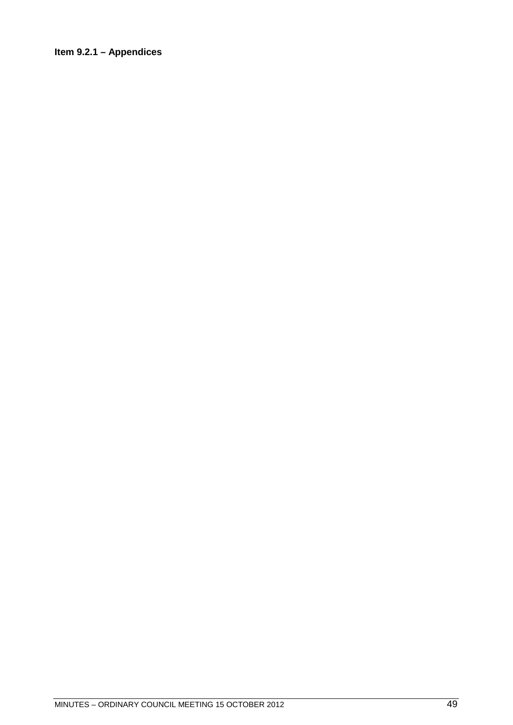# Item 9.2.1 - Appendices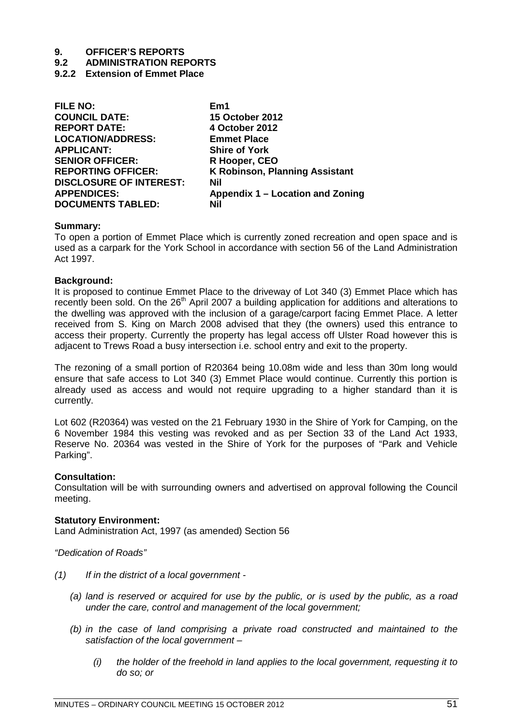- **9.2 ADMINISTRATION REPORTS**
- **9.2.2 Extension of Emmet Place**

| <b>FILE NO:</b>                | Em1                                   |
|--------------------------------|---------------------------------------|
| <b>COUNCIL DATE:</b>           | <b>15 October 2012</b>                |
| <b>REPORT DATE:</b>            | 4 October 2012                        |
| <b>LOCATION/ADDRESS:</b>       | <b>Emmet Place</b>                    |
| <b>APPLICANT:</b>              | <b>Shire of York</b>                  |
| <b>SENIOR OFFICER:</b>         | R Hooper, CEO                         |
| <b>REPORTING OFFICER:</b>      | <b>K Robinson, Planning Assistant</b> |
| <b>DISCLOSURE OF INTEREST:</b> | <b>Nil</b>                            |
| <b>APPENDICES:</b>             | Appendix 1 – Location and Zoning      |
| <b>DOCUMENTS TABLED:</b>       | Nil                                   |
|                                |                                       |

#### **Summary:**

To open a portion of Emmet Place which is currently zoned recreation and open space and is used as a carpark for the York School in accordance with section 56 of the Land Administration Act 1997.

#### **Background:**

It is proposed to continue Emmet Place to the driveway of Lot 340 (3) Emmet Place which has recently been sold. On the 26<sup>th</sup> April 2007 a building application for additions and alterations to the dwelling was approved with the inclusion of a garage/carport facing Emmet Place. A letter received from S. King on March 2008 advised that they (the owners) used this entrance to access their property. Currently the property has legal access off Ulster Road however this is adjacent to Trews Road a busy intersection i.e. school entry and exit to the property.

The rezoning of a small portion of R20364 being 10.08m wide and less than 30m long would ensure that safe access to Lot 340 (3) Emmet Place would continue. Currently this portion is already used as access and would not require upgrading to a higher standard than it is currently.

Lot 602 (R20364) was vested on the 21 February 1930 in the Shire of York for Camping, on the 6 November 1984 this vesting was revoked and as per Section 33 of the Land Act 1933, Reserve No. 20364 was vested in the Shire of York for the purposes of "Park and Vehicle Parking".

## **Consultation:**

Consultation will be with surrounding owners and advertised on approval following the Council meeting.

## **Statutory Environment:**

Land Administration Act, 1997 (as amended) Section 56

*"Dedication of Roads"* 

- *(1) If in the district of a local government -*
	- *(a) land is reserved or acquired for use by the public, or is used by the public, as a road under the care, control and management of the local government;*
	- *(b) in the case of land comprising a private road constructed and maintained to the satisfaction of the local government –*
		- *(i) the holder of the freehold in land applies to the local government, requesting it to do so; or*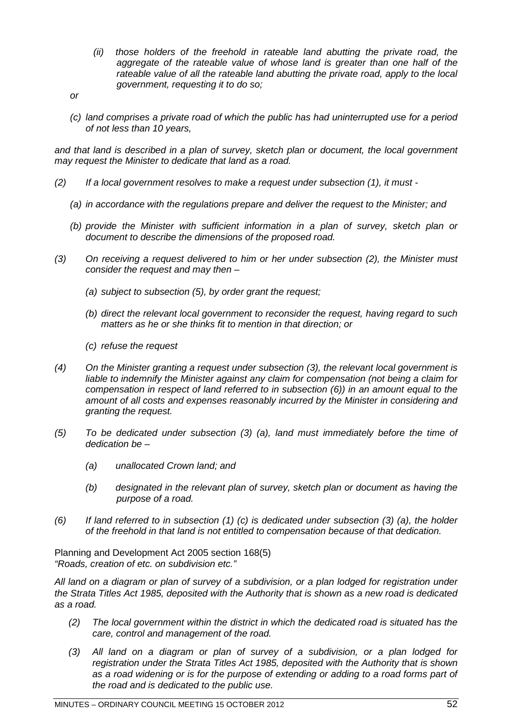- *(ii) those holders of the freehold in rateable land abutting the private road, the aggregate of the rateable value of whose land is greater than one half of the rateable value of all the rateable land abutting the private road, apply to the local government, requesting it to do so;*
- *or*
- *(c) land comprises a private road of which the public has had uninterrupted use for a period of not less than 10 years,*

*and that land is described in a plan of survey, sketch plan or document, the local government may request the Minister to dedicate that land as a road.* 

- *(2) If a local government resolves to make a request under subsection (1), it must -*
	- *(a) in accordance with the regulations prepare and deliver the request to the Minister; and*
	- *(b) provide the Minister with sufficient information in a plan of survey, sketch plan or document to describe the dimensions of the proposed road.*
- *(3) On receiving a request delivered to him or her under subsection (2), the Minister must consider the request and may then –*
	- *(a) subject to subsection (5), by order grant the request;*
	- *(b) direct the relevant local government to reconsider the request, having regard to such matters as he or she thinks fit to mention in that direction; or*
	- *(c) refuse the request*
- *(4) On the Minister granting a request under subsection (3), the relevant local government is liable to indemnify the Minister against any claim for compensation (not being a claim for compensation in respect of land referred to in subsection (6)) in an amount equal to the amount of all costs and expenses reasonably incurred by the Minister in considering and granting the request.*
- *(5) To be dedicated under subsection (3) (a), land must immediately before the time of dedication be –*
	- *(a) unallocated Crown land; and*
	- *(b) designated in the relevant plan of survey, sketch plan or document as having the purpose of a road.*
- *(6) If land referred to in subsection (1) (c) is dedicated under subsection (3) (a), the holder of the freehold in that land is not entitled to compensation because of that dedication.*

Planning and Development Act 2005 section 168(5) *"Roads, creation of etc. on subdivision etc."*

*All land on a diagram or plan of survey of a subdivision, or a plan lodged for registration under the Strata Titles Act 1985, deposited with the Authority that is shown as a new road is dedicated as a road.*

- *(2) The local government within the district in which the dedicated road is situated has the care, control and management of the road.*
- *(3) All land on a diagram or plan of survey of a subdivision, or a plan lodged for registration under the Strata Titles Act 1985, deposited with the Authority that is shown as a road widening or is for the purpose of extending or adding to a road forms part of the road and is dedicated to the public use.*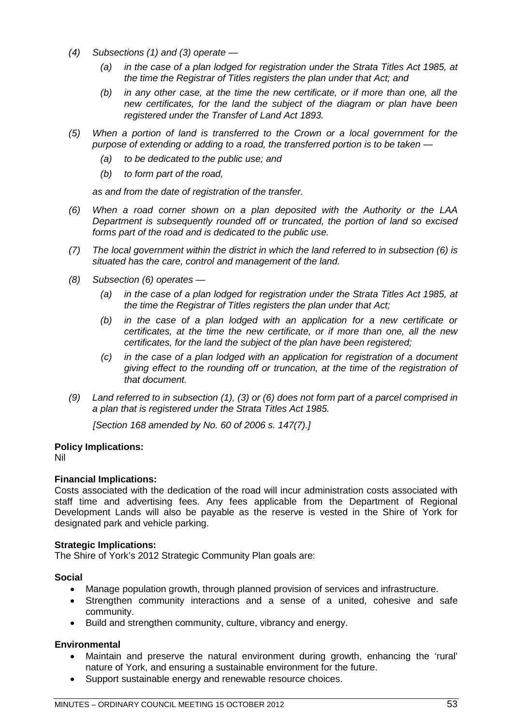- *(4) Subsections (1) and (3) operate —*
	- *(a) in the case of a plan lodged for registration under the Strata Titles Act 1985, at the time the Registrar of Titles registers the plan under that Act; and*
	- *(b) in any other case, at the time the new certificate, or if more than one, all the new certificates, for the land the subject of the diagram or plan have been registered under the Transfer of Land Act 1893.*
- *(5) When a portion of land is transferred to the Crown or a local government for the purpose of extending or adding to a road, the transferred portion is to be taken —*
	- *(a) to be dedicated to the public use; and*
	- *(b) to form part of the road,*

*as and from the date of registration of the transfer.*

- *(6) When a road corner shown on a plan deposited with the Authority or the LAA Department is subsequently rounded off or truncated, the portion of land so excised forms part of the road and is dedicated to the public use.*
- *(7) The local government within the district in which the land referred to in subsection (6) is situated has the care, control and management of the land.*
- *(8) Subsection (6) operates —*
	- *(a) in the case of a plan lodged for registration under the Strata Titles Act 1985, at the time the Registrar of Titles registers the plan under that Act;*
	- *(b) in the case of a plan lodged with an application for a new certificate or certificates, at the time the new certificate, or if more than one, all the new certificates, for the land the subject of the plan have been registered;*
	- *(c) in the case of a plan lodged with an application for registration of a document giving effect to the rounding off or truncation, at the time of the registration of that document.*
- *(9) Land referred to in subsection (1), (3) or (6) does not form part of a parcel comprised in a plan that is registered under the Strata Titles Act 1985.*

*[Section 168 amended by No. 60 of 2006 s. 147(7).]*

# **Policy Implications:**

Nil

# **Financial Implications:**

Costs associated with the dedication of the road will incur administration costs associated with staff time and advertising fees. Any fees applicable from the Department of Regional Development Lands will also be payable as the reserve is vested in the Shire of York for designated park and vehicle parking.

## **Strategic Implications:**

The Shire of York's 2012 Strategic Community Plan goals are:

## **Social**

- Manage population growth, through planned provision of services and infrastructure.
- Strengthen community interactions and a sense of a united, cohesive and safe community.
- Build and strengthen community, culture, vibrancy and energy.

# **Environmental**

- Maintain and preserve the natural environment during growth, enhancing the 'rural' nature of York, and ensuring a sustainable environment for the future.
- Support sustainable energy and renewable resource choices.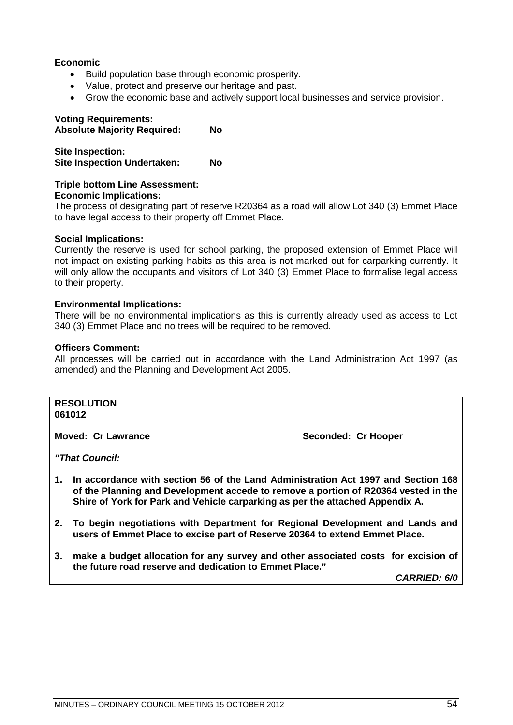## **Economic**

- Build population base through economic prosperity.
- Value, protect and preserve our heritage and past.
- Grow the economic base and actively support local businesses and service provision.

# **Voting Requirements:**

**Absolute Majority Required: No**

**Site Inspection: Site Inspection Undertaken: No**

#### **Triple bottom Line Assessment: Economic Implications:**

The process of designating part of reserve R20364 as a road will allow Lot 340 (3) Emmet Place to have legal access to their property off Emmet Place.

#### **Social Implications:**

Currently the reserve is used for school parking, the proposed extension of Emmet Place will not impact on existing parking habits as this area is not marked out for carparking currently. It will only allow the occupants and visitors of Lot 340 (3) Emmet Place to formalise legal access to their property.

#### **Environmental Implications:**

There will be no environmental implications as this is currently already used as access to Lot 340 (3) Emmet Place and no trees will be required to be removed.

#### **Officers Comment:**

All processes will be carried out in accordance with the Land Administration Act 1997 (as amended) and the Planning and Development Act 2005.

#### **RESOLUTION 061012**

**Moved: Cr Lawrance Seconded: Cr Hooper** 

*"That Council:*

- **1. In accordance with section 56 of the Land Administration Act 1997 and Section 168 of the Planning and Development accede to remove a portion of R20364 vested in the Shire of York for Park and Vehicle carparking as per the attached Appendix A.**
- **2. To begin negotiations with Department for Regional Development and Lands and users of Emmet Place to excise part of Reserve 20364 to extend Emmet Place.**
- **3. make a budget allocation for any survey and other associated costs for excision of the future road reserve and dedication to Emmet Place."**

*CARRIED: 6/0*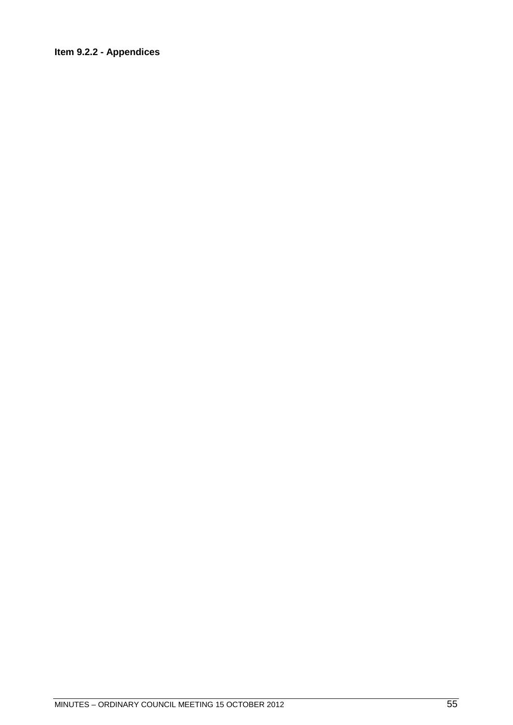# Item 9.2.2 - Appendices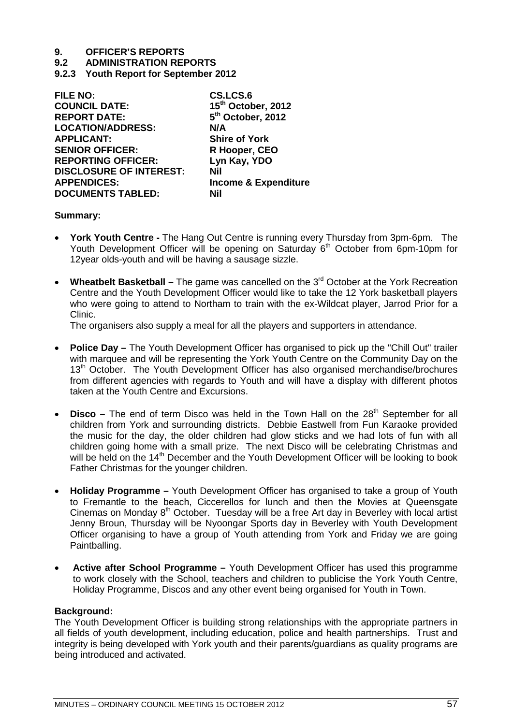**9.2 ADMINISTRATION REPORTS**

**9.2.3 Youth Report for September 2012**

| <b>FILE NO:</b>                | CS.LCS.6                        |
|--------------------------------|---------------------------------|
| <b>COUNCIL DATE:</b>           | 15 <sup>th</sup> October, 2012  |
| <b>REPORT DATE:</b>            | 5 <sup>th</sup> October, 2012   |
| <b>LOCATION/ADDRESS:</b>       | N/A                             |
| <b>APPLICANT:</b>              | <b>Shire of York</b>            |
| <b>SENIOR OFFICER:</b>         | R Hooper, CEO                   |
| <b>REPORTING OFFICER:</b>      | Lyn Kay, YDO                    |
| <b>DISCLOSURE OF INTEREST:</b> | Nil                             |
| <b>APPENDICES:</b>             | <b>Income &amp; Expenditure</b> |
| <b>DOCUMENTS TABLED:</b>       | Nil                             |
|                                |                                 |

#### **Summary:**

- **York Youth Centre -** The Hang Out Centre is running every Thursday from 3pm-6pm. The Youth Development Officer will be opening on Saturday 6<sup>th</sup> October from 6pm-10pm for 12year olds-youth and will be having a sausage sizzle.
- **Wheatbelt Basketball –** The game was cancelled on the 3rd October at the York Recreation Centre and the Youth Development Officer would like to take the 12 York basketball players who were going to attend to Northam to train with the ex-Wildcat player, Jarrod Prior for a Clinic.

The organisers also supply a meal for all the players and supporters in attendance.

- **Police Day –** The Youth Development Officer has organised to pick up the "Chill Out" trailer with marquee and will be representing the York Youth Centre on the Community Day on the 13<sup>th</sup> October. The Youth Development Officer has also organised merchandise/brochures from different agencies with regards to Youth and will have a display with different photos taken at the Youth Centre and Excursions.
- **Disco** The end of term Disco was held in the Town Hall on the 28<sup>th</sup> September for all children from York and surrounding districts. Debbie Eastwell from Fun Karaoke provided the music for the day, the older children had glow sticks and we had lots of fun with all children going home with a small prize. The next Disco will be celebrating Christmas and will be held on the 14<sup>th</sup> December and the Youth Development Officer will be looking to book Father Christmas for the younger children.
- **Holiday Programme –** Youth Development Officer has organised to take a group of Youth to Fremantle to the beach, Ciccerellos for lunch and then the Movies at Queensgate Cinemas on Monday 8<sup>th</sup> October. Tuesday will be a free Art day in Beverley with local artist Jenny Broun, Thursday will be Nyoongar Sports day in Beverley with Youth Development Officer organising to have a group of Youth attending from York and Friday we are going Paintballing.
- **Active after School Programme –** Youth Development Officer has used this programme to work closely with the School, teachers and children to publicise the York Youth Centre, Holiday Programme, Discos and any other event being organised for Youth in Town.

## **Background:**

The Youth Development Officer is building strong relationships with the appropriate partners in all fields of youth development, including education, police and health partnerships. Trust and integrity is being developed with York youth and their parents/guardians as quality programs are being introduced and activated.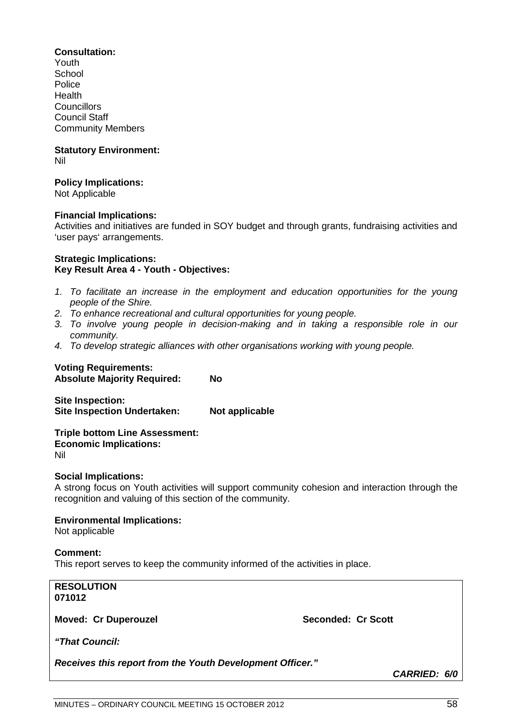#### **Consultation:**

Youth School Police Health **Councillors** Council Staff Community Members

#### **Statutory Environment:** Nil

#### **Policy Implications:**

Not Applicable

#### **Financial Implications:**

Activities and initiatives are funded in SOY budget and through grants, fundraising activities and 'user pays' arrangements.

#### **Strategic Implications: Key Result Area 4 - Youth - Objectives:**

- *1. To facilitate an increase in the employment and education opportunities for the young people of the Shire.*
- *2. To enhance recreational and cultural opportunities for young people.*
- *3. To involve young people in decision-making and in taking a responsible role in our community.*
- *4. To develop strategic alliances with other organisations working with young people.*

# **Voting Requirements:**

**Absolute Majority Required: No**

**Site Inspection: Site Inspection Undertaken: Not applicable**

**Triple bottom Line Assessment: Economic Implications:** Nil

## **Social Implications:**

A strong focus on Youth activities will support community cohesion and interaction through the recognition and valuing of this section of the community.

## **Environmental Implications:**

Not applicable

## **Comment:**

This report serves to keep the community informed of the activities in place.

# **RESOLUTION 071012**

**Moved: Cr Duperouzel Seconded: Cr Scott** 

*"That Council:*

*Receives this report from the Youth Development Officer."*

*CARRIED: 6/0*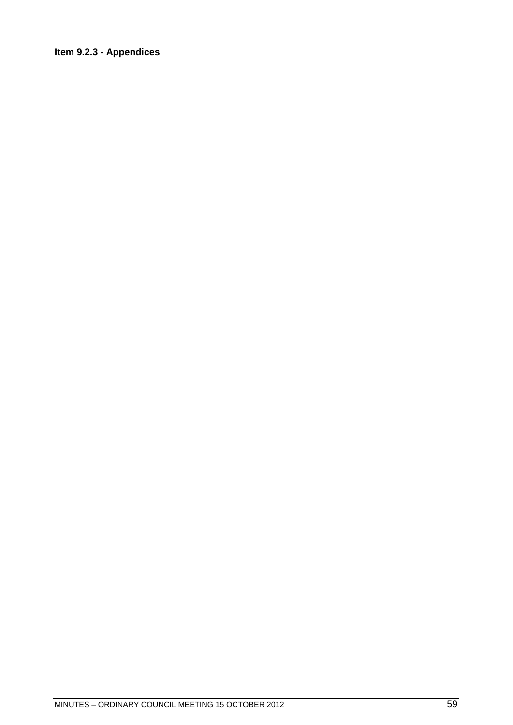# Item 9.2.3 - Appendices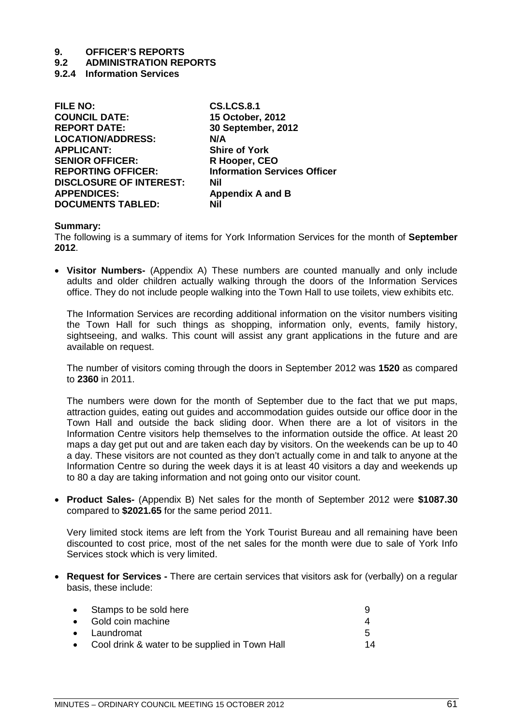# **9.2 ADMINISTRATION REPORTS**

**9.2.4 Information Services**

| <b>FILE NO:</b>                | <b>CS.LCS.8.1</b>                   |
|--------------------------------|-------------------------------------|
| <b>COUNCIL DATE:</b>           | 15 October, 2012                    |
| <b>REPORT DATE:</b>            | 30 September, 2012                  |
| <b>LOCATION/ADDRESS:</b>       | N/A                                 |
| <b>APPLICANT:</b>              | <b>Shire of York</b>                |
| <b>SENIOR OFFICER:</b>         | R Hooper, CEO                       |
| <b>REPORTING OFFICER:</b>      | <b>Information Services Officer</b> |
| <b>DISCLOSURE OF INTEREST:</b> | Nil                                 |
| <b>APPENDICES:</b>             | <b>Appendix A and B</b>             |
| <b>DOCUMENTS TABLED:</b>       | Nil                                 |
|                                |                                     |

#### **Summary:**

The following is a summary of items for York Information Services for the month of **September 2012**.

• **Visitor Numbers-** (Appendix A) These numbers are counted manually and only include adults and older children actually walking through the doors of the Information Services office. They do not include people walking into the Town Hall to use toilets, view exhibits etc.

The Information Services are recording additional information on the visitor numbers visiting the Town Hall for such things as shopping, information only, events, family history, sightseeing, and walks. This count will assist any grant applications in the future and are available on request.

The number of visitors coming through the doors in September 2012 was **1520** as compared to **2360** in 2011.

The numbers were down for the month of September due to the fact that we put maps, attraction guides, eating out guides and accommodation guides outside our office door in the Town Hall and outside the back sliding door. When there are a lot of visitors in the Information Centre visitors help themselves to the information outside the office. At least 20 maps a day get put out and are taken each day by visitors. On the weekends can be up to 40 a day. These visitors are not counted as they don't actually come in and talk to anyone at the Information Centre so during the week days it is at least 40 visitors a day and weekends up to 80 a day are taking information and not going onto our visitor count.

• **Product Sales-** (Appendix B) Net sales for the month of September 2012 were **\$1087.30**  compared to **\$2021.65** for the same period 2011.

Very limited stock items are left from the York Tourist Bureau and all remaining have been discounted to cost price, most of the net sales for the month were due to sale of York Info Services stock which is very limited.

• **Request for Services -** There are certain services that visitors ask for (verbally) on a regular basis, these include:

| • Stamps to be sold here                         |    |
|--------------------------------------------------|----|
| • Gold coin machine                              |    |
| $\bullet$ Laundromat                             |    |
| • Cool drink & water to be supplied in Town Hall | 14 |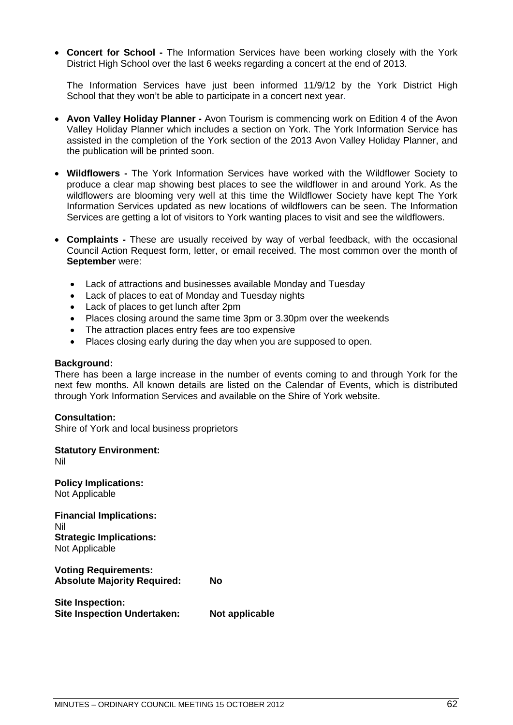• **Concert for School -** The Information Services have been working closely with the York District High School over the last 6 weeks regarding a concert at the end of 2013.

The Information Services have just been informed 11/9/12 by the York District High School that they won't be able to participate in a concert next year.

- **Avon Valley Holiday Planner -** Avon Tourism is commencing work on Edition 4 of the Avon Valley Holiday Planner which includes a section on York. The York Information Service has assisted in the completion of the York section of the 2013 Avon Valley Holiday Planner, and the publication will be printed soon.
- **Wildflowers -** The York Information Services have worked with the Wildflower Society to produce a clear map showing best places to see the wildflower in and around York. As the wildflowers are blooming very well at this time the Wildflower Society have kept The York Information Services updated as new locations of wildflowers can be seen. The Information Services are getting a lot of visitors to York wanting places to visit and see the wildflowers.
- **Complaints -** These are usually received by way of verbal feedback, with the occasional Council Action Request form, letter, or email received. The most common over the month of **September** were:
	- Lack of attractions and businesses available Monday and Tuesday
	- Lack of places to eat of Monday and Tuesday nights
	- Lack of places to get lunch after 2pm
	- Places closing around the same time 3pm or 3.30pm over the weekends
	- The attraction places entry fees are too expensive
	- Places closing early during the day when you are supposed to open.

#### **Background:**

There has been a large increase in the number of events coming to and through York for the next few months. All known details are listed on the Calendar of Events, which is distributed through York Information Services and available on the Shire of York website.

## **Consultation:**

Shire of York and local business proprietors

**Statutory Environment:** Nil

**Policy Implications:** Not Applicable

**Financial Implications:** Nil **Strategic Implications:** Not Applicable

**Voting Requirements: Absolute Majority Required: No**

**Site Inspection: Site Inspection Undertaken: Not applicable**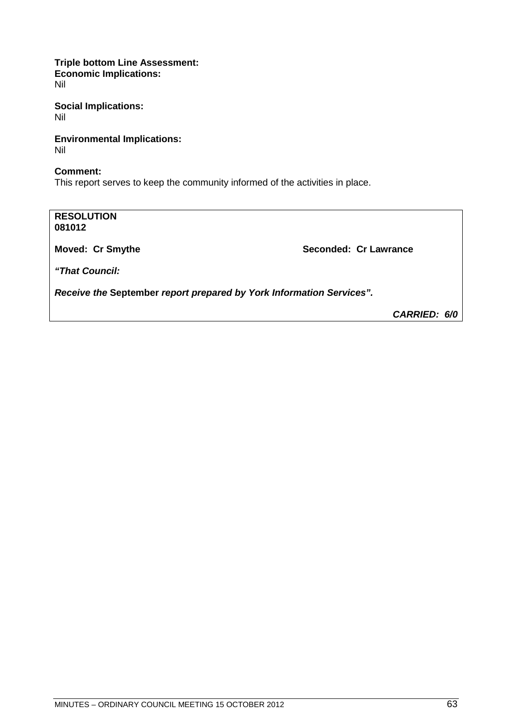**Triple bottom Line Assessment: Economic Implications:** Nil

**Social Implications:** Nil

**Environmental Implications:** Nil

**Comment:** This report serves to keep the community informed of the activities in place.

**RESOLUTION 081012 Moved: Cr Smythe Seconded: Cr Lawrance Seconded: Cr Lawrance** *"That Council: Receive the* **September** *report prepared by York Information Services". CARRIED: 6/0*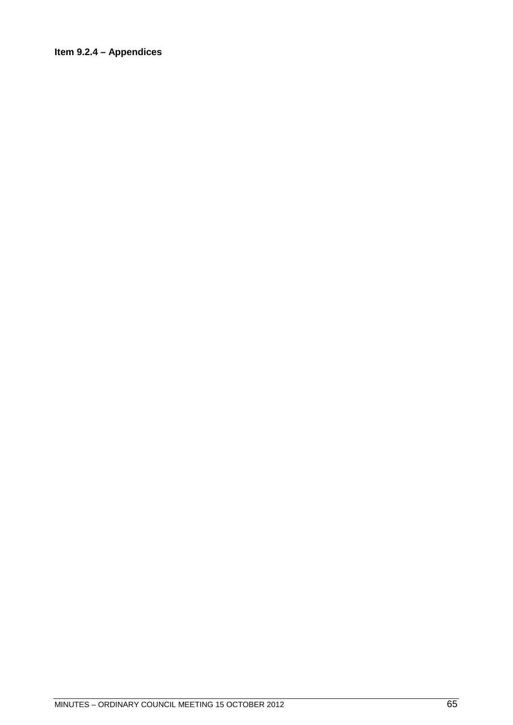# Item 9.2.4 - Appendices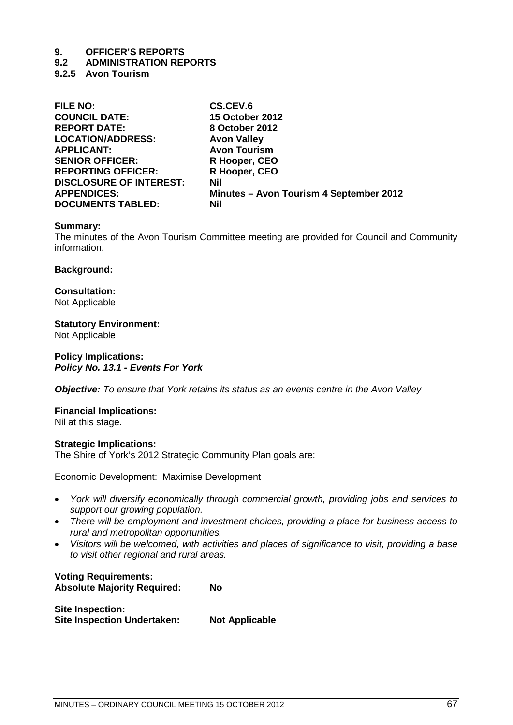#### **9.2 ADMINISTRATION REPORTS**

**9.2.5 Avon Tourism**

| <b>FILE NO:</b>                | CS.CEV.6                                |
|--------------------------------|-----------------------------------------|
| <b>COUNCIL DATE:</b>           | <b>15 October 2012</b>                  |
| <b>REPORT DATE:</b>            | 8 October 2012                          |
| <b>LOCATION/ADDRESS:</b>       | <b>Avon Valley</b>                      |
| <b>APPLICANT:</b>              | <b>Avon Tourism</b>                     |
| <b>SENIOR OFFICER:</b>         | R Hooper, CEO                           |
| <b>REPORTING OFFICER:</b>      | R Hooper, CEO                           |
| <b>DISCLOSURE OF INTEREST:</b> | <b>Nil</b>                              |
| <b>APPENDICES:</b>             | Minutes - Avon Tourism 4 September 2012 |
| <b>DOCUMENTS TABLED:</b>       | <b>Nil</b>                              |

#### **Summary:**

The minutes of the Avon Tourism Committee meeting are provided for Council and Community information.

#### **Background:**

**Consultation:** Not Applicable

# **Statutory Environment:**

Not Applicable

#### **Policy Implications:** *Policy No. 13.1 - Events For York*

*Objective: To ensure that York retains its status as an events centre in the Avon Valley*

#### **Financial Implications:** Nil at this stage.

# **Strategic Implications:**

The Shire of York's 2012 Strategic Community Plan goals are:

Economic Development: Maximise Development

- *York will diversify economically through commercial growth, providing jobs and services to support our growing population.*
- *There will be employment and investment choices, providing a place for business access to rural and metropolitan opportunities.*
- *Visitors will be welcomed, with activities and places of significance to visit, providing a base to visit other regional and rural areas.*

#### **Voting Requirements: Absolute Majority Required: No**

**Site Inspection: Site Inspection Undertaken: Not Applicable**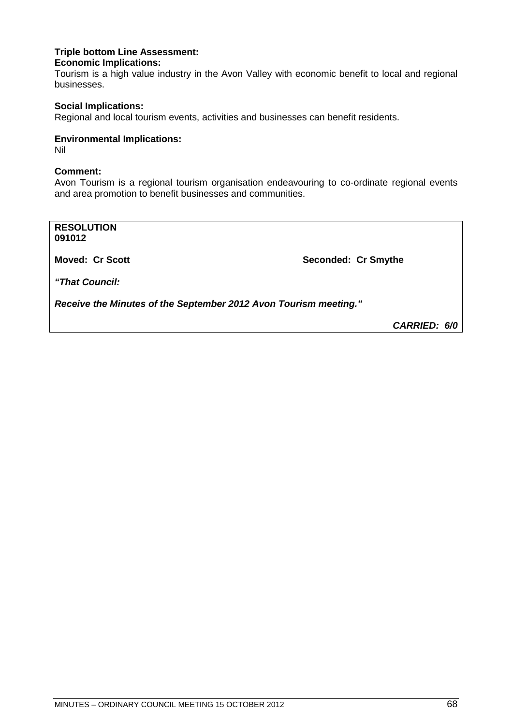#### **Triple bottom Line Assessment: Economic Implications:**

Tourism is a high value industry in the Avon Valley with economic benefit to local and regional businesses.

## **Social Implications:**

Regional and local tourism events, activities and businesses can benefit residents.

## **Environmental Implications:**

Nil

#### **Comment:**

Avon Tourism is a regional tourism organisation endeavouring to co-ordinate regional events and area promotion to benefit businesses and communities.

**RESOLUTION 091012 Moved: Cr Scott Seconded: Cr Smythe** *"That Council: Receive the Minutes of the September 2012 Avon Tourism meeting."*

*CARRIED: 6/0*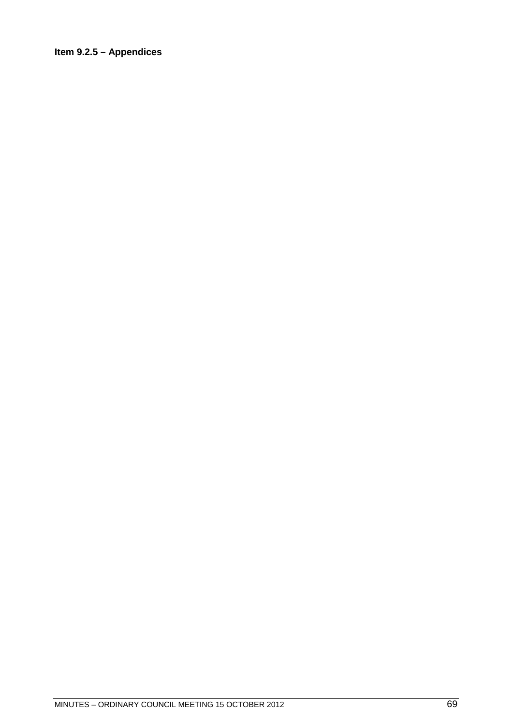# Item  $9.2.5 -$  Appendices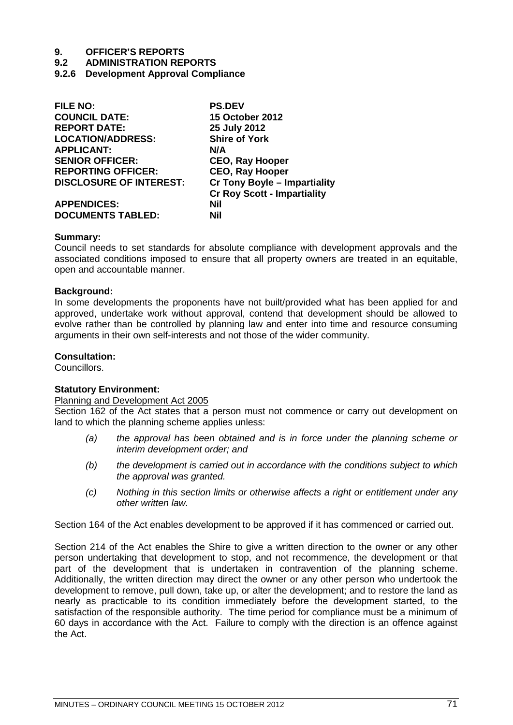#### **9.2 ADMINISTRATION REPORTS**

**9.2.6 Development Approval Compliance**

| <b>FILE NO:</b>                | <b>PS.DEV</b>                       |
|--------------------------------|-------------------------------------|
| <b>COUNCIL DATE:</b>           | <b>15 October 2012</b>              |
| <b>REPORT DATE:</b>            | 25 July 2012                        |
| <b>LOCATION/ADDRESS:</b>       | <b>Shire of York</b>                |
| <b>APPLICANT:</b>              | N/A                                 |
| <b>SENIOR OFFICER:</b>         | <b>CEO, Ray Hooper</b>              |
| <b>REPORTING OFFICER:</b>      | <b>CEO, Ray Hooper</b>              |
| <b>DISCLOSURE OF INTEREST:</b> | <b>Cr Tony Boyle - Impartiality</b> |
|                                | <b>Cr Roy Scott - Impartiality</b>  |
| <b>APPENDICES:</b>             | Nil                                 |
| <b>DOCUMENTS TABLED:</b>       | Nil                                 |

#### **Summary:**

Council needs to set standards for absolute compliance with development approvals and the associated conditions imposed to ensure that all property owners are treated in an equitable. open and accountable manner.

#### **Background:**

In some developments the proponents have not built/provided what has been applied for and approved, undertake work without approval, contend that development should be allowed to evolve rather than be controlled by planning law and enter into time and resource consuming arguments in their own self-interests and not those of the wider community.

#### **Consultation:**

Councillors.

#### **Statutory Environment:**

#### Planning and Development Act 2005

Section 162 of the Act states that a person must not commence or carry out development on land to which the planning scheme applies unless:

- *(a) the approval has been obtained and is in force under the planning scheme or interim development order; and*
- *(b) the development is carried out in accordance with the conditions subject to which the approval was granted.*
- *(c) Nothing in this section limits or otherwise affects a right or entitlement under any other written law.*

Section 164 of the Act enables development to be approved if it has commenced or carried out.

Section 214 of the Act enables the Shire to give a written direction to the owner or any other person undertaking that development to stop, and not recommence, the development or that part of the development that is undertaken in contravention of the planning scheme. Additionally, the written direction may direct the owner or any other person who undertook the development to remove, pull down, take up, or alter the development; and to restore the land as nearly as practicable to its condition immediately before the development started, to the satisfaction of the responsible authority. The time period for compliance must be a minimum of 60 days in accordance with the Act. Failure to comply with the direction is an offence against the Act.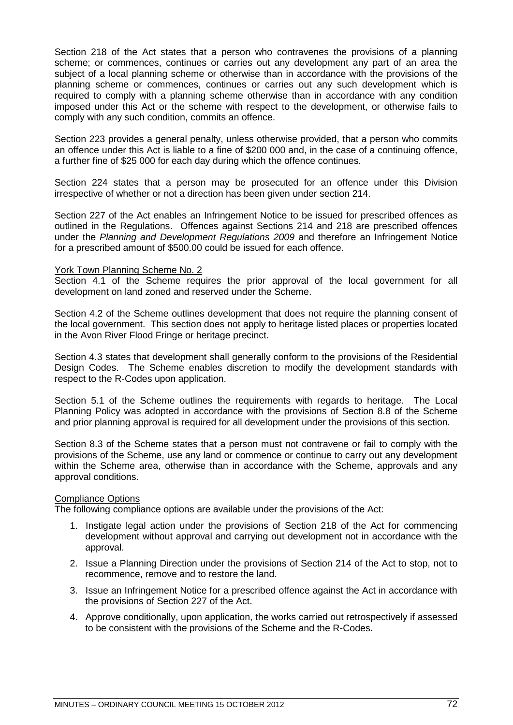Section 218 of the Act states that a person who contravenes the provisions of a planning scheme; or commences, continues or carries out any development any part of an area the subject of a local planning scheme or otherwise than in accordance with the provisions of the planning scheme or commences, continues or carries out any such development which is required to comply with a planning scheme otherwise than in accordance with any condition imposed under this Act or the scheme with respect to the development, or otherwise fails to comply with any such condition, commits an offence.

Section 223 provides a general penalty, unless otherwise provided, that a person who commits an offence under this Act is liable to a fine of \$200 000 and, in the case of a continuing offence, a further fine of \$25 000 for each day during which the offence continues.

Section 224 states that a person may be prosecuted for an offence under this Division irrespective of whether or not a direction has been given under section 214.

Section 227 of the Act enables an Infringement Notice to be issued for prescribed offences as outlined in the Regulations. Offences against Sections 214 and 218 are prescribed offences under the *Planning and Development Regulations 2009* and therefore an Infringement Notice for a prescribed amount of \$500.00 could be issued for each offence.

#### York Town Planning Scheme No. 2

Section 4.1 of the Scheme requires the prior approval of the local government for all development on land zoned and reserved under the Scheme.

Section 4.2 of the Scheme outlines development that does not require the planning consent of the local government. This section does not apply to heritage listed places or properties located in the Avon River Flood Fringe or heritage precinct.

Section 4.3 states that development shall generally conform to the provisions of the Residential Design Codes. The Scheme enables discretion to modify the development standards with respect to the R-Codes upon application.

Section 5.1 of the Scheme outlines the requirements with regards to heritage. The Local Planning Policy was adopted in accordance with the provisions of Section 8.8 of the Scheme and prior planning approval is required for all development under the provisions of this section.

Section 8.3 of the Scheme states that a person must not contravene or fail to comply with the provisions of the Scheme, use any land or commence or continue to carry out any development within the Scheme area, otherwise than in accordance with the Scheme, approvals and any approval conditions.

#### Compliance Options

The following compliance options are available under the provisions of the Act:

- 1. Instigate legal action under the provisions of Section 218 of the Act for commencing development without approval and carrying out development not in accordance with the approval.
- 2. Issue a Planning Direction under the provisions of Section 214 of the Act to stop, not to recommence, remove and to restore the land.
- 3. Issue an Infringement Notice for a prescribed offence against the Act in accordance with the provisions of Section 227 of the Act.
- 4. Approve conditionally, upon application, the works carried out retrospectively if assessed to be consistent with the provisions of the Scheme and the R-Codes.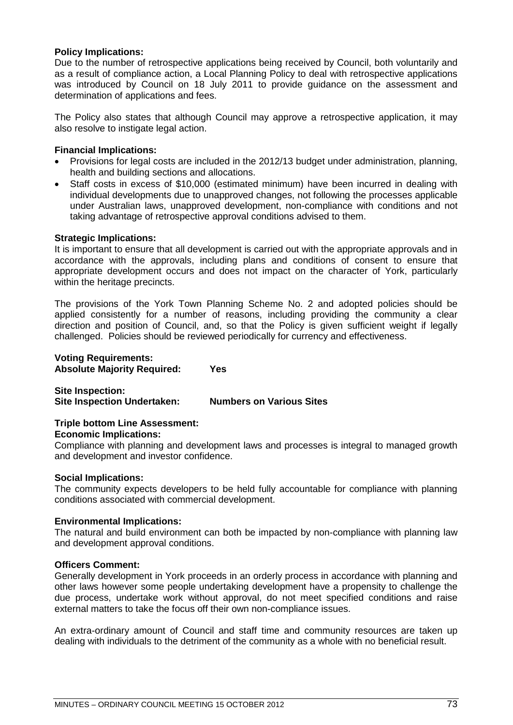## **Policy Implications:**

Due to the number of retrospective applications being received by Council, both voluntarily and as a result of compliance action, a Local Planning Policy to deal with retrospective applications was introduced by Council on 18 July 2011 to provide guidance on the assessment and determination of applications and fees.

The Policy also states that although Council may approve a retrospective application, it may also resolve to instigate legal action.

## **Financial Implications:**

- Provisions for legal costs are included in the 2012/13 budget under administration, planning, health and building sections and allocations.
- Staff costs in excess of \$10,000 (estimated minimum) have been incurred in dealing with individual developments due to unapproved changes, not following the processes applicable under Australian laws, unapproved development, non-compliance with conditions and not taking advantage of retrospective approval conditions advised to them.

## **Strategic Implications:**

It is important to ensure that all development is carried out with the appropriate approvals and in accordance with the approvals, including plans and conditions of consent to ensure that appropriate development occurs and does not impact on the character of York, particularly within the heritage precincts.

The provisions of the York Town Planning Scheme No. 2 and adopted policies should be applied consistently for a number of reasons, including providing the community a clear direction and position of Council, and, so that the Policy is given sufficient weight if legally challenged. Policies should be reviewed periodically for currency and effectiveness.

## **Voting Requirements: Absolute Majority Required: Yes**

**Site Inspection: Site Inspection Undertaken: Numbers on Various Sites**

## **Triple bottom Line Assessment:**

## **Economic Implications:**

Compliance with planning and development laws and processes is integral to managed growth and development and investor confidence.

## **Social Implications:**

The community expects developers to be held fully accountable for compliance with planning conditions associated with commercial development.

## **Environmental Implications:**

The natural and build environment can both be impacted by non-compliance with planning law and development approval conditions.

## **Officers Comment:**

Generally development in York proceeds in an orderly process in accordance with planning and other laws however some people undertaking development have a propensity to challenge the due process, undertake work without approval, do not meet specified conditions and raise external matters to take the focus off their own non-compliance issues.

An extra-ordinary amount of Council and staff time and community resources are taken up dealing with individuals to the detriment of the community as a whole with no beneficial result.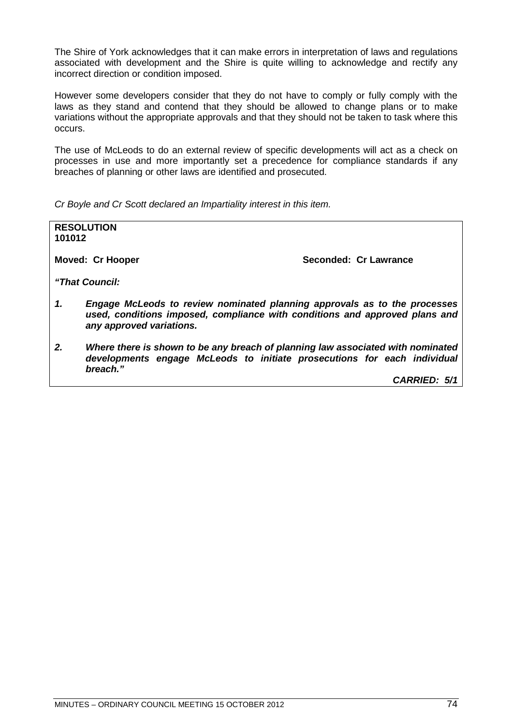The Shire of York acknowledges that it can make errors in interpretation of laws and regulations associated with development and the Shire is quite willing to acknowledge and rectify any incorrect direction or condition imposed.

However some developers consider that they do not have to comply or fully comply with the laws as they stand and contend that they should be allowed to change plans or to make variations without the appropriate approvals and that they should not be taken to task where this occurs.

The use of McLeods to do an external review of specific developments will act as a check on processes in use and more importantly set a precedence for compliance standards if any breaches of planning or other laws are identified and prosecuted.

*Cr Boyle and Cr Scott declared an Impartiality interest in this item.*

| 101012 | <b>RESOLUTION</b>                                                                                                                                                                    |
|--------|--------------------------------------------------------------------------------------------------------------------------------------------------------------------------------------|
|        | Seconded: Cr Lawrance<br>Moved: Cr Hooper                                                                                                                                            |
|        | "That Council:                                                                                                                                                                       |
| 1.     | Engage McLeods to review nominated planning approvals as to the processes<br>used, conditions imposed, compliance with conditions and approved plans and<br>any approved variations. |
| 2.     | Where there is shown to be any breach of planning law associated with nominated<br>developments engage McLeods to initiate prosecutions for each individual<br>breach."              |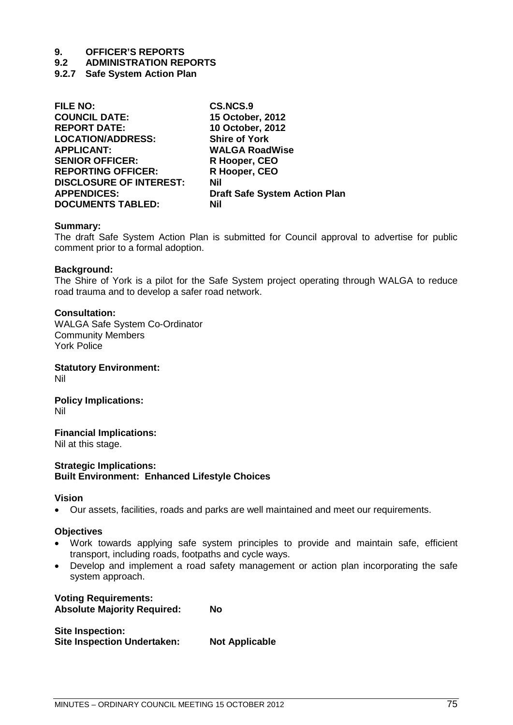- **9.2 ADMINISTRATION REPORTS**
- **9.2.7 Safe System Action Plan**

| <b>FILE NO:</b>                | <b>CS.NCS.9</b>                      |
|--------------------------------|--------------------------------------|
| <b>COUNCIL DATE:</b>           | 15 October, 2012                     |
| <b>REPORT DATE:</b>            | 10 October, 2012                     |
| <b>LOCATION/ADDRESS:</b>       | <b>Shire of York</b>                 |
| <b>APPLICANT:</b>              | <b>WALGA RoadWise</b>                |
| <b>SENIOR OFFICER:</b>         | R Hooper, CEO                        |
| <b>REPORTING OFFICER:</b>      | R Hooper, CEO                        |
| <b>DISCLOSURE OF INTEREST:</b> | Nil                                  |
| <b>APPENDICES:</b>             | <b>Draft Safe System Action Plan</b> |
| <b>DOCUMENTS TABLED:</b>       | Nil                                  |
|                                |                                      |

## **Summary:**

The draft Safe System Action Plan is submitted for Council approval to advertise for public comment prior to a formal adoption.

## **Background:**

The Shire of York is a pilot for the Safe System project operating through WALGA to reduce road trauma and to develop a safer road network.

## **Consultation:**

WALGA Safe System Co-Ordinator Community Members York Police

**Statutory Environment:** Nil

**Policy Implications:** Nil

**Financial Implications:** Nil at this stage.

## **Strategic Implications: Built Environment: Enhanced Lifestyle Choices**

## **Vision**

• Our assets, facilities, roads and parks are well maintained and meet our requirements.

## **Objectives**

- Work towards applying safe system principles to provide and maintain safe, efficient transport, including roads, footpaths and cycle ways.
- Develop and implement a road safety management or action plan incorporating the safe system approach.

**Voting Requirements: Absolute Majority Required: No**

**Site Inspection: Site Inspection Undertaken: Not Applicable**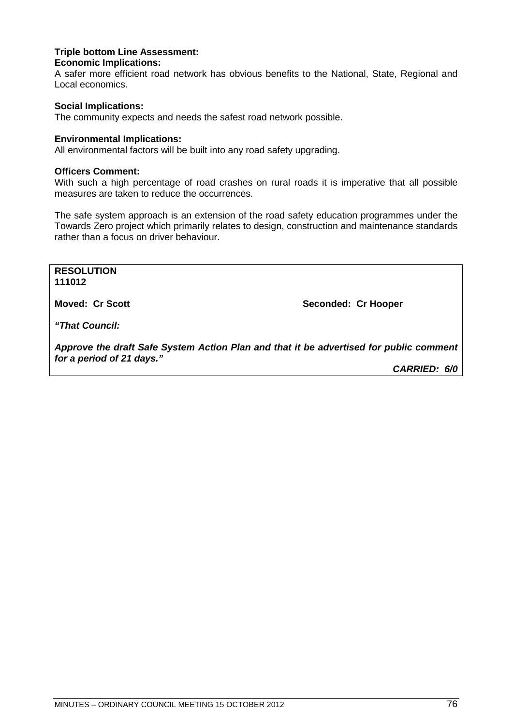## **Triple bottom Line Assessment: Economic Implications:**

A safer more efficient road network has obvious benefits to the National, State, Regional and Local economics.

## **Social Implications:**

The community expects and needs the safest road network possible.

## **Environmental Implications:**

All environmental factors will be built into any road safety upgrading.

## **Officers Comment:**

With such a high percentage of road crashes on rural roads it is imperative that all possible measures are taken to reduce the occurrences.

The safe system approach is an extension of the road safety education programmes under the Towards Zero project which primarily relates to design, construction and maintenance standards rather than a focus on driver behaviour.

**RESOLUTION 111012**

**Moved: Cr Scott Seconded: Cr Hooper**

*"That Council:*

*Approve the draft Safe System Action Plan and that it be advertised for public comment for a period of 21 days."*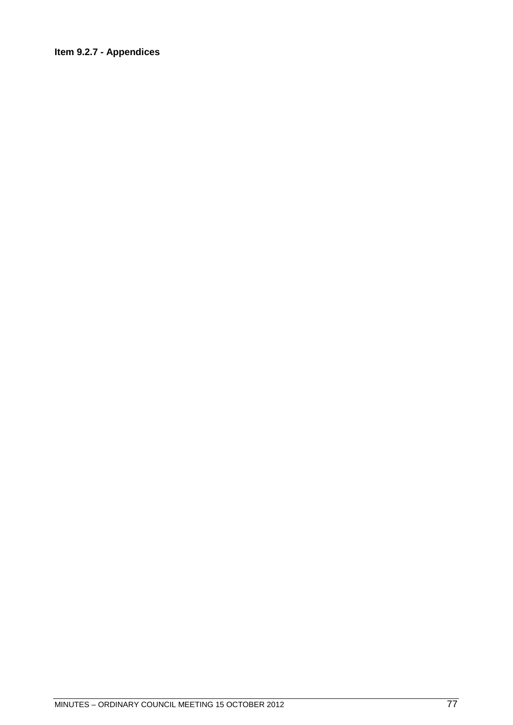## **Item 9.2.7 - Appendices**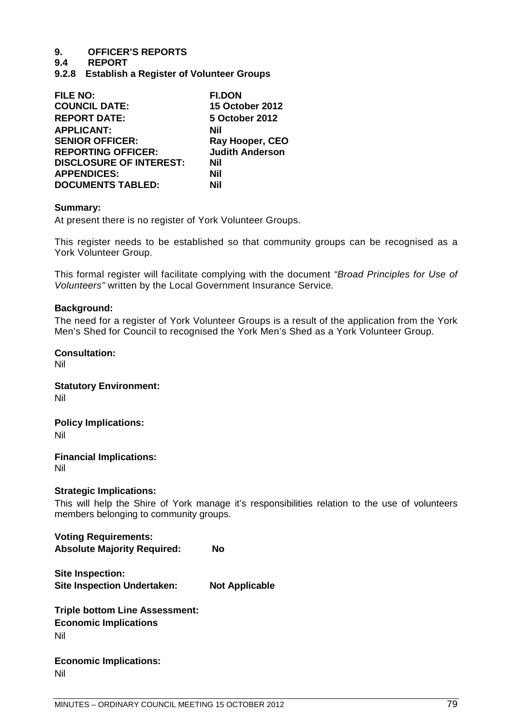- **9.4 REPORT**
- **9.2.8 Establish a Register of Volunteer Groups**

| <b>FILE NO:</b>                | <b>FI.DON</b>          |
|--------------------------------|------------------------|
| <b>COUNCIL DATE:</b>           | <b>15 October 2012</b> |
| <b>REPORT DATE:</b>            | 5 October 2012         |
| <b>APPLICANT:</b>              | Nil                    |
| <b>SENIOR OFFICER:</b>         | Ray Hooper, CEO        |
| <b>REPORTING OFFICER:</b>      | <b>Judith Anderson</b> |
| <b>DISCLOSURE OF INTEREST:</b> | Nil                    |
| <b>APPENDICES:</b>             | Nil                    |
| <b>DOCUMENTS TABLED:</b>       | Nil                    |

## **Summary:**

At present there is no register of York Volunteer Groups.

This register needs to be established so that community groups can be recognised as a York Volunteer Group.

This formal register will facilitate complying with the document *"Broad Principles for Use of Volunteers"* written by the Local Government Insurance Service.

## **Background:**

The need for a register of York Volunteer Groups is a result of the application from the York Men's Shed for Council to recognised the York Men's Shed as a York Volunteer Group.

**Consultation:**  Nil

**Statutory Environment:** Nil

**Policy Implications:** 

Nil

**Financial Implications:**  Nil

## **Strategic Implications:**

This will help the Shire of York manage it's responsibilities relation to the use of volunteers members belonging to community groups.

**Voting Requirements: Absolute Majority Required: No**

**Site Inspection: Site Inspection Undertaken: Not Applicable**

**Triple bottom Line Assessment: Economic Implications** Nil

**Economic Implications:** Nil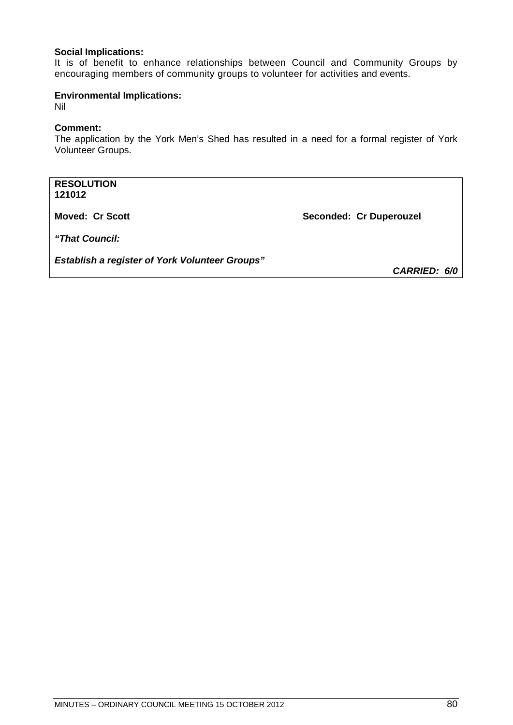## **Social Implications:**

It is of benefit to enhance relationships between Council and Community Groups by encouraging members of community groups to volunteer for activities and events.

## **Environmental Implications:**

Nil

## **Comment:**

The application by the York Men's Shed has resulted in a need for a formal register of York Volunteer Groups.

**RESOLUTION 121012**

**Moved: Cr Scott Seconded: Cr Duperouzel** 

*"That Council:*

*Establish a register of York Volunteer Groups"*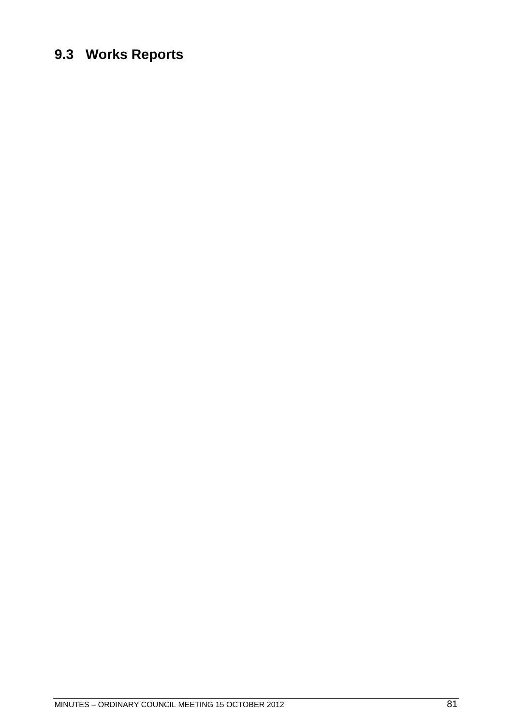## **9.3 Works Reports**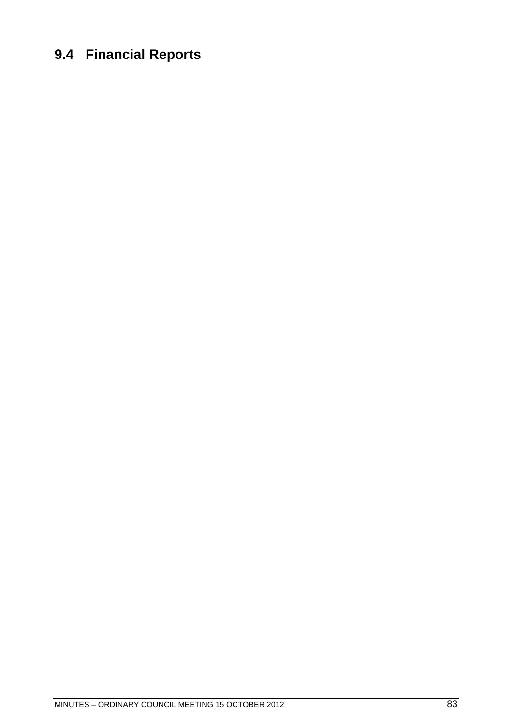## **9.4 Financial Reports**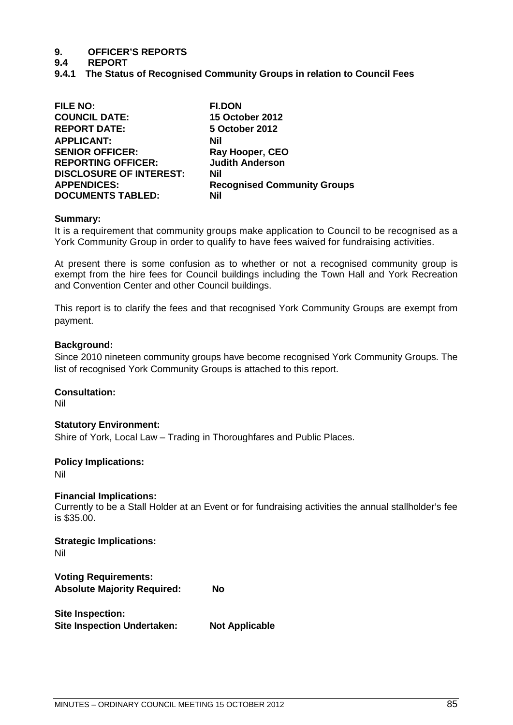- **9.4 REPORT**
- **9.4.1 The Status of Recognised Community Groups in relation to Council Fees**

| <b>FILE NO:</b>                | <b>FI.DON</b>                      |
|--------------------------------|------------------------------------|
| <b>COUNCIL DATE:</b>           | <b>15 October 2012</b>             |
| <b>REPORT DATE:</b>            | 5 October 2012                     |
| <b>APPLICANT:</b>              | Nil                                |
| <b>SENIOR OFFICER:</b>         | Ray Hooper, CEO                    |
| <b>REPORTING OFFICER:</b>      | <b>Judith Anderson</b>             |
| <b>DISCLOSURE OF INTEREST:</b> | Nil                                |
| <b>APPENDICES:</b>             | <b>Recognised Community Groups</b> |
| <b>DOCUMENTS TABLED:</b>       | Nil                                |

## **Summary:**

It is a requirement that community groups make application to Council to be recognised as a York Community Group in order to qualify to have fees waived for fundraising activities.

At present there is some confusion as to whether or not a recognised community group is exempt from the hire fees for Council buildings including the Town Hall and York Recreation and Convention Center and other Council buildings.

This report is to clarify the fees and that recognised York Community Groups are exempt from payment.

## **Background:**

Since 2010 nineteen community groups have become recognised York Community Groups. The list of recognised York Community Groups is attached to this report.

**Consultation:**  Nil

## **Statutory Environment:**

Shire of York, Local Law – Trading in Thoroughfares and Public Places.

## **Policy Implications:**

Nil

## **Financial Implications:**

Currently to be a Stall Holder at an Event or for fundraising activities the annual stallholder's fee is \$35.00.

**Strategic Implications:** Nil

**Voting Requirements: Absolute Majority Required: No**

**Site Inspection: Site Inspection Undertaken: Not Applicable**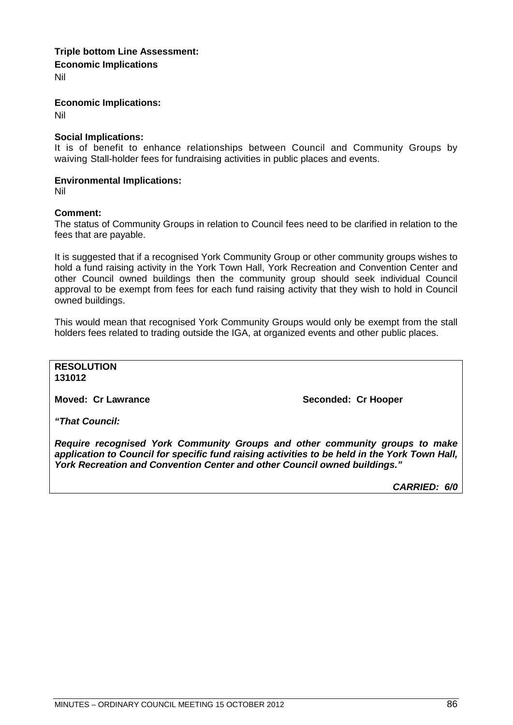## **Triple bottom Line Assessment: Economic Implications**

Nil

**Economic Implications:**

Nil

## **Social Implications:**

It is of benefit to enhance relationships between Council and Community Groups by waiving Stall-holder fees for fundraising activities in public places and events.

## **Environmental Implications:**

Nil

## **Comment:**

The status of Community Groups in relation to Council fees need to be clarified in relation to the fees that are payable.

It is suggested that if a recognised York Community Group or other community groups wishes to hold a fund raising activity in the York Town Hall, York Recreation and Convention Center and other Council owned buildings then the community group should seek individual Council approval to be exempt from fees for each fund raising activity that they wish to hold in Council owned buildings.

This would mean that recognised York Community Groups would only be exempt from the stall holders fees related to trading outside the IGA, at organized events and other public places.

**RESOLUTION 131012**

**Moved: Cr Lawrance Seconded: Cr Hooper** 

*"That Council:*

*Require recognised York Community Groups and other community groups to make application to Council for specific fund raising activities to be held in the York Town Hall, York Recreation and Convention Center and other Council owned buildings."*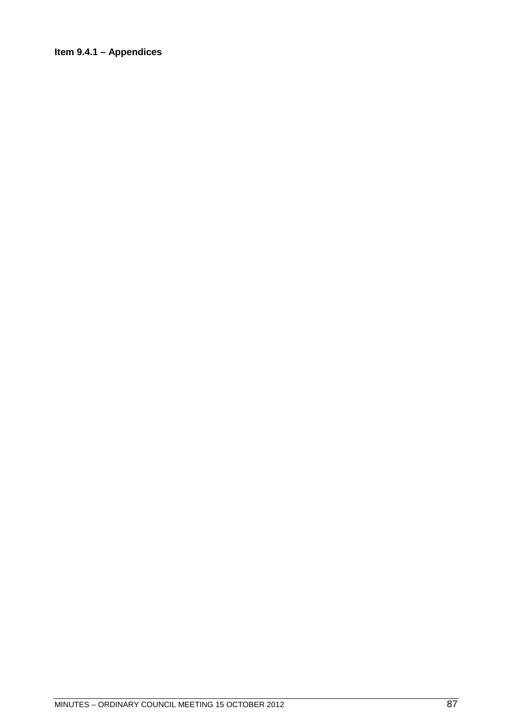## **Item 9.4.1 – Appendices**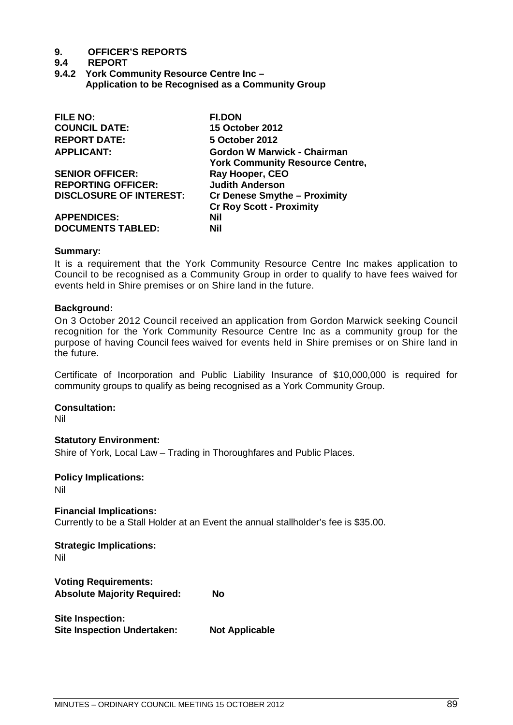## **9.4 REPORT**

**9.4.2 York Community Resource Centre Inc – Application to be Recognised as a Community Group**

| <b>York Community Resource Centre,</b>                             |
|--------------------------------------------------------------------|
|                                                                    |
|                                                                    |
|                                                                    |
|                                                                    |
|                                                                    |
|                                                                    |
| Gordon W Marwick - Chairman<br><b>Cr Denese Smythe - Proximity</b> |

## **Summary:**

It is a requirement that the York Community Resource Centre Inc makes application to Council to be recognised as a Community Group in order to qualify to have fees waived for events held in Shire premises or on Shire land in the future.

## **Background:**

On 3 October 2012 Council received an application from Gordon Marwick seeking Council recognition for the York Community Resource Centre Inc as a community group for the purpose of having Council fees waived for events held in Shire premises or on Shire land in the future.

Certificate of Incorporation and Public Liability Insurance of \$10,000,000 is required for community groups to qualify as being recognised as a York Community Group.

## **Consultation:**

Nil

**Statutory Environment:** Shire of York, Local Law – Trading in Thoroughfares and Public Places.

**Policy Implications:**  Nil

**Financial Implications:**  Currently to be a Stall Holder at an Event the annual stallholder's fee is \$35.00.

**Strategic Implications:** Nil

**Voting Requirements: Absolute Majority Required: No**

**Site Inspection: Site Inspection Undertaken: Not Applicable**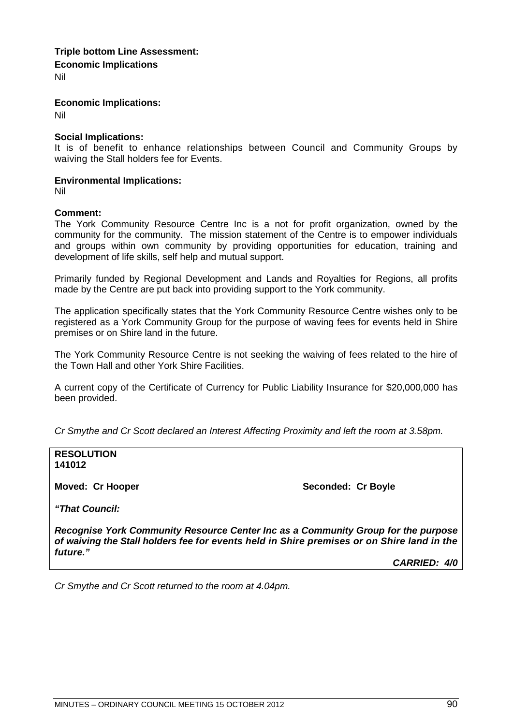## **Triple bottom Line Assessment: Economic Implications**

Nil

**Economic Implications:**

Nil

## **Social Implications:**

It is of benefit to enhance relationships between Council and Community Groups by waiving the Stall holders fee for Events.

## **Environmental Implications:**

Nil

## **Comment:**

The York Community Resource Centre Inc is a not for profit organization, owned by the community for the community. The mission statement of the Centre is to empower individuals and groups within own community by providing opportunities for education, training and development of life skills, self help and mutual support.

Primarily funded by Regional Development and Lands and Royalties for Regions, all profits made by the Centre are put back into providing support to the York community.

The application specifically states that the York Community Resource Centre wishes only to be registered as a York Community Group for the purpose of waving fees for events held in Shire premises or on Shire land in the future.

The York Community Resource Centre is not seeking the waiving of fees related to the hire of the Town Hall and other York Shire Facilities.

A current copy of the Certificate of Currency for Public Liability Insurance for \$20,000,000 has been provided.

*Cr Smythe and Cr Scott declared an Interest Affecting Proximity and left the room at 3.58pm.*

**RESOLUTION 141012**

**Moved: Cr Hooper Seconded: Cr Boyle Seconded: Cr Boyle** 

*"That Council:*

*Recognise York Community Resource Center Inc as a Community Group for the purpose of waiving the Stall holders fee for events held in Shire premises or on Shire land in the future."*

*CARRIED: 4/0*

*Cr Smythe and Cr Scott returned to the room at 4.04pm.*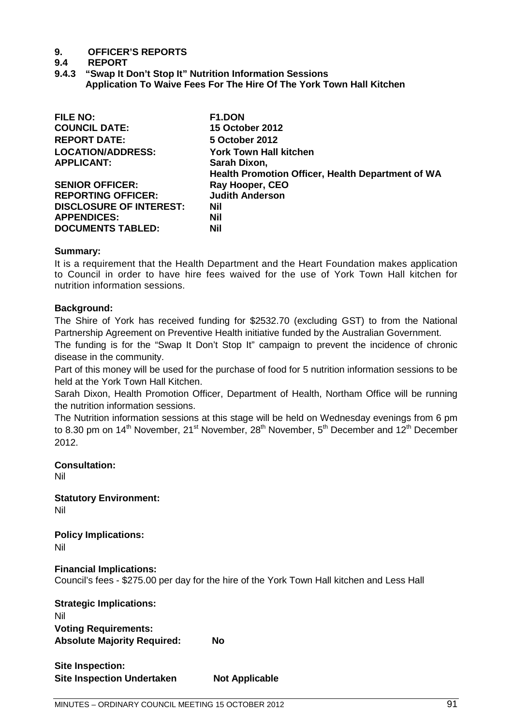## **9.4 REPORT**

**9.4.3 "Swap It Don't Stop It" Nutrition Information Sessions Application To Waive Fees For The Hire Of The York Town Hall Kitchen**

| F1.DON                                                   |
|----------------------------------------------------------|
| <b>15 October 2012</b>                                   |
| 5 October 2012                                           |
| <b>York Town Hall kitchen</b>                            |
| Sarah Dixon,                                             |
| <b>Health Promotion Officer, Health Department of WA</b> |
| Ray Hooper, CEO                                          |
| <b>Judith Anderson</b>                                   |
| Nil                                                      |
| <b>Nil</b>                                               |
| <b>Nil</b>                                               |
|                                                          |

## **Summary:**

It is a requirement that the Health Department and the Heart Foundation makes application to Council in order to have hire fees waived for the use of York Town Hall kitchen for nutrition information sessions.

## **Background:**

The Shire of York has received funding for \$2532.70 (excluding GST) to from the National Partnership Agreement on Preventive Health initiative funded by the Australian Government.

The funding is for the "Swap It Don't Stop It" campaign to prevent the incidence of chronic disease in the community.

Part of this money will be used for the purchase of food for 5 nutrition information sessions to be held at the York Town Hall Kitchen.

Sarah Dixon, Health Promotion Officer, Department of Health, Northam Office will be running the nutrition information sessions.

The Nutrition information sessions at this stage will be held on Wednesday evenings from 6 pm to 8.30 pm on 14<sup>th</sup> November, 21<sup>st</sup> November, 28<sup>th</sup> November, 5<sup>th</sup> December and 12<sup>th</sup> December 2012.

**Consultation:** 

Nil

**Statutory Environment:**

Nil

**Policy Implications:** 

Nil

**Financial Implications:** 

Council's fees - \$275.00 per day for the hire of the York Town Hall kitchen and Less Hall

| <b>Strategic Implications:</b>     |    |
|------------------------------------|----|
| Nil                                |    |
| <b>Voting Requirements:</b>        |    |
| <b>Absolute Majority Required:</b> | No |

**Site Inspection: Site Inspection Undertaken Not Applicable**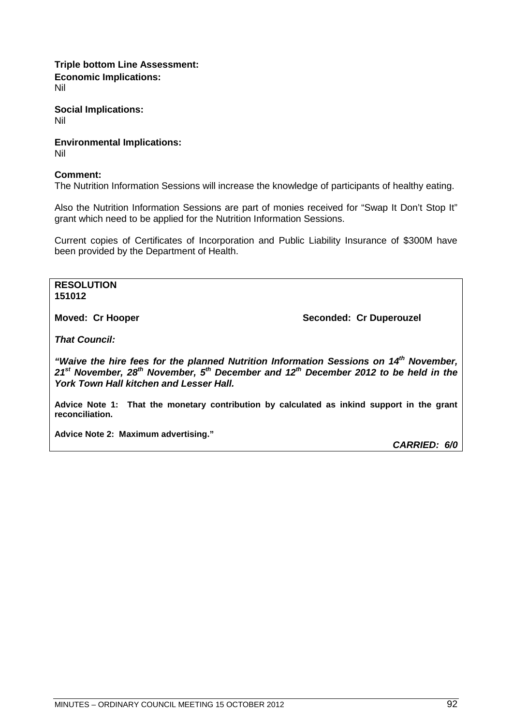**Triple bottom Line Assessment: Economic Implications:** Nil

**Social Implications:** Nil

**Environmental Implications:**  Nil

## **Comment:**

The Nutrition Information Sessions will increase the knowledge of participants of healthy eating.

Also the Nutrition Information Sessions are part of monies received for "Swap It Don't Stop It" grant which need to be applied for the Nutrition Information Sessions.

Current copies of Certificates of Incorporation and Public Liability Insurance of \$300M have been provided by the Department of Health.

**RESOLUTION 151012**

**Moved: Cr Hooper Seconded: Cr Duperouzel** 

*That Council:*

*"Waive the hire fees for the planned Nutrition Information Sessions on 14th November, 21st November, 28th November, 5th December and 12th December 2012 to be held in the York Town Hall kitchen and Lesser Hall.*

**Advice Note 1: That the monetary contribution by calculated as inkind support in the grant reconciliation.**

**Advice Note 2: Maximum advertising."**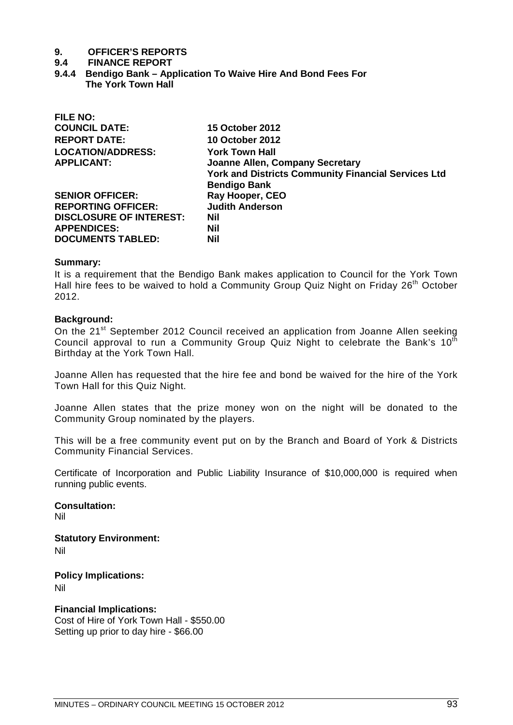#### **9.4 FINANCE REPORT**

**9.4.4 Bendigo Bank – Application To Waive Hire And Bond Fees For The York Town Hall**

| FILE NU:                       |                                                            |
|--------------------------------|------------------------------------------------------------|
| <b>COUNCIL DATE:</b>           | <b>15 October 2012</b>                                     |
| <b>REPORT DATE:</b>            | <b>10 October 2012</b>                                     |
| <b>LOCATION/ADDRESS:</b>       | <b>York Town Hall</b>                                      |
| <b>APPLICANT:</b>              | <b>Joanne Allen, Company Secretary</b>                     |
|                                | <b>York and Districts Community Financial Services Ltd</b> |
|                                | <b>Bendigo Bank</b>                                        |
| <b>SENIOR OFFICER:</b>         | Ray Hooper, CEO                                            |
| <b>REPORTING OFFICER:</b>      | <b>Judith Anderson</b>                                     |
| <b>DISCLOSURE OF INTEREST:</b> | Nil                                                        |
| <b>APPENDICES:</b>             | Nil                                                        |
| <b>DOCUMENTS TABLED:</b>       | <b>Nil</b>                                                 |
|                                |                                                            |

#### **Summary:**

**FILE NO:**

It is a requirement that the Bendigo Bank makes application to Council for the York Town Hall hire fees to be waived to hold a Community Group Quiz Night on Friday 26<sup>th</sup> October 2012.

## **Background:**

On the 21<sup>st</sup> September 2012 Council received an application from Joanne Allen seeking Council approval to run a Community Group Quiz Night to celebrate the Bank's  $10<sup>th</sup>$ Birthday at the York Town Hall.

Joanne Allen has requested that the hire fee and bond be waived for the hire of the York Town Hall for this Quiz Night.

Joanne Allen states that the prize money won on the night will be donated to the Community Group nominated by the players.

This will be a free community event put on by the Branch and Board of York & Districts Community Financial Services.

Certificate of Incorporation and Public Liability Insurance of \$10,000,000 is required when running public events.

## **Consultation:**

Nil

**Statutory Environment:** Nil

**Policy Implications:**  Nil

**Financial Implications:**  Cost of Hire of York Town Hall - \$550.00 Setting up prior to day hire - \$66.00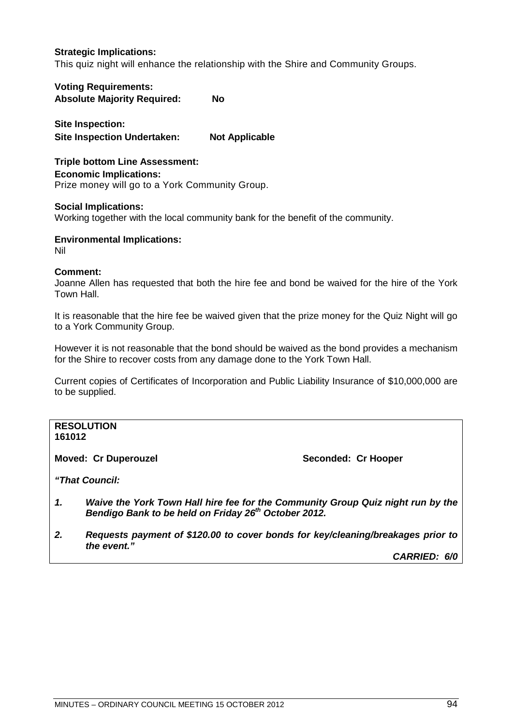## **Strategic Implications:**

This quiz night will enhance the relationship with the Shire and Community Groups.

**Voting Requirements: Absolute Majority Required: No**

**Site Inspection: Site Inspection Undertaken: Not Applicable**

**Triple bottom Line Assessment: Economic Implications:** Prize money will go to a York Community Group.

## **Social Implications:**

Working together with the local community bank for the benefit of the community.

## **Environmental Implications:**

Nil

## **Comment:**

Joanne Allen has requested that both the hire fee and bond be waived for the hire of the York Town Hall.

It is reasonable that the hire fee be waived given that the prize money for the Quiz Night will go to a York Community Group.

However it is not reasonable that the bond should be waived as the bond provides a mechanism for the Shire to recover costs from any damage done to the York Town Hall.

Current copies of Certificates of Incorporation and Public Liability Insurance of \$10,000,000 are to be supplied.

#### **RESOLUTION 161012**

**Moved: Cr Duperouzel Seconded: Cr Hooper**

*"That Council:*

- *1. Waive the York Town Hall hire fee for the Community Group Quiz night run by the Bendigo Bank to be held on Friday 26th October 2012.*
- *2. Requests payment of \$120.00 to cover bonds for key/cleaning/breakages prior to the event."*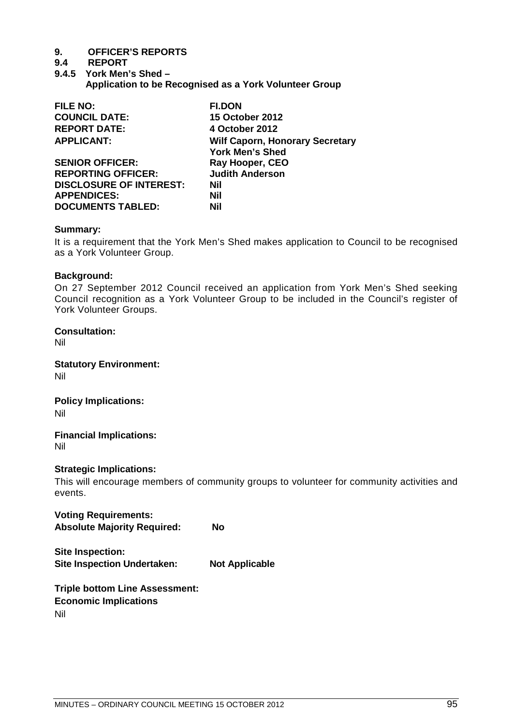## **9.4 REPORT**

**9.4.5 York Men's Shed – Application to be Recognised as a York Volunteer Group** 

| <b>FILE NO:</b>                | <b>FI.DON</b>                                                    |
|--------------------------------|------------------------------------------------------------------|
| <b>COUNCIL DATE:</b>           | <b>15 October 2012</b>                                           |
| <b>REPORT DATE:</b>            | 4 October 2012                                                   |
| <b>APPLICANT:</b>              | <b>Wilf Caporn, Honorary Secretary</b><br><b>York Men's Shed</b> |
| <b>SENIOR OFFICER:</b>         | Ray Hooper, CEO                                                  |
| <b>REPORTING OFFICER:</b>      | <b>Judith Anderson</b>                                           |
| <b>DISCLOSURE OF INTEREST:</b> | <b>Nil</b>                                                       |
| <b>APPENDICES:</b>             | Nil                                                              |
| <b>DOCUMENTS TABLED:</b>       | Nil                                                              |

## **Summary:**

It is a requirement that the York Men's Shed makes application to Council to be recognised as a York Volunteer Group.

## **Background:**

On 27 September 2012 Council received an application from York Men's Shed seeking Council recognition as a York Volunteer Group to be included in the Council's register of York Volunteer Groups.

## **Consultation:**

Nil

**Statutory Environment:** Nil

## **Policy Implications:**

Nil

**Financial Implications:**  Nil

## **Strategic Implications:**

**Site Inspection:**

This will encourage members of community groups to volunteer for community activities and events.

**Voting Requirements: Absolute Majority Required: No**

**Site Inspection Undertaken: Not Applicable**

**Triple bottom Line Assessment: Economic Implications** Nil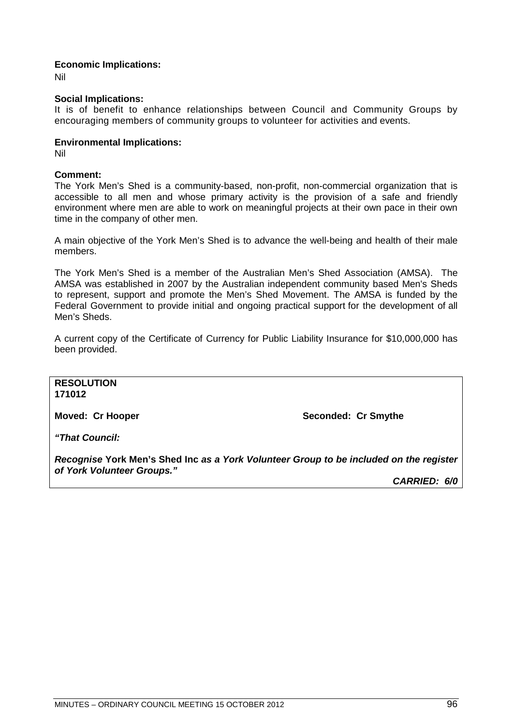## **Economic Implications:**

Nil

## **Social Implications:**

It is of benefit to enhance relationships between Council and Community Groups by encouraging members of community groups to volunteer for activities and events.

## **Environmental Implications:**

Nil

## **Comment:**

The York Men's Shed is a community-based, non-profit, non-commercial organization that is accessible to all men and whose primary activity is the provision of a safe and friendly environment where men are able to work on meaningful projects at their own pace in their own time in the company of other men.

A main objective of the York Men's Shed is to advance the well-being and health of their male members.

The York Men's Shed is a member of the Australian Men's Shed Association (AMSA). The AMSA was established in 2007 by the Australian independent community based Men's Sheds to represent, support and promote the Men's Shed Movement. The AMSA is funded by the Federal Government to provide initial and ongoing practical support for the development of all Men's Sheds.

A current copy of the Certificate of Currency for Public Liability Insurance for \$10,000,000 has been provided.

**RESOLUTION 171012**

**Moved: Cr Hooper Seconded: Cr Smythe**

*"That Council:*

*Recognise* **York Men's Shed Inc** *as a York Volunteer Group to be included on the register of York Volunteer Groups."*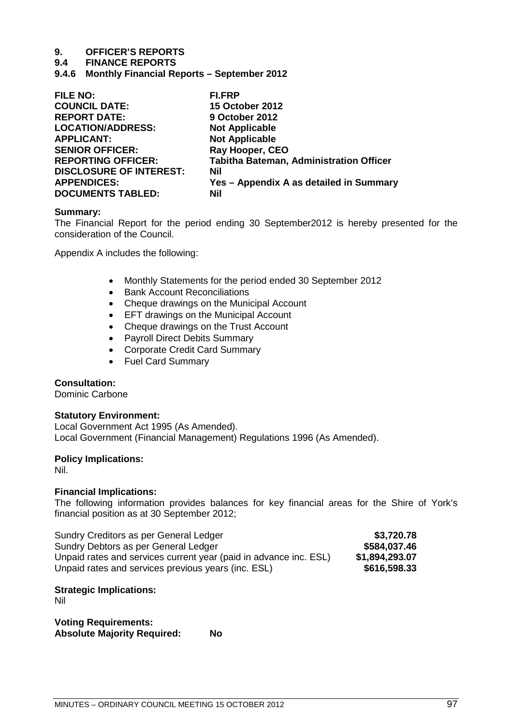## **9.4 FINANCE REPORTS**

**9.4.6 Monthly Financial Reports – September 2012**

| <b>FILE NO:</b>                | <b>FI.FRP</b>                           |
|--------------------------------|-----------------------------------------|
| <b>COUNCIL DATE:</b>           | <b>15 October 2012</b>                  |
| <b>REPORT DATE:</b>            | 9 October 2012                          |
| <b>LOCATION/ADDRESS:</b>       | <b>Not Applicable</b>                   |
| <b>APPLICANT:</b>              | <b>Not Applicable</b>                   |
| <b>SENIOR OFFICER:</b>         | Ray Hooper, CEO                         |
| <b>REPORTING OFFICER:</b>      | Tabitha Bateman, Administration Officer |
| <b>DISCLOSURE OF INTEREST:</b> | <b>Nil</b>                              |
| <b>APPENDICES:</b>             | Yes - Appendix A as detailed in Summary |
| <b>DOCUMENTS TABLED:</b>       | <b>Nil</b>                              |

## **Summary:**

The Financial Report for the period ending 30 September2012 is hereby presented for the consideration of the Council.

Appendix A includes the following:

- Monthly Statements for the period ended 30 September 2012
- Bank Account Reconciliations
- Cheque drawings on the Municipal Account
- EFT drawings on the Municipal Account
- Cheque drawings on the Trust Account
- Payroll Direct Debits Summary
- Corporate Credit Card Summary
- Fuel Card Summary

## **Consultation:**

Dominic Carbone

## **Statutory Environment:**

Local Government Act 1995 (As Amended). Local Government (Financial Management) Regulations 1996 (As Amended).

## **Policy Implications:**

Nil.

## **Financial Implications:**

The following information provides balances for key financial areas for the Shire of York's financial position as at 30 September 2012;

| Sundry Creditors as per General Ledger                            | \$3,720.78     |
|-------------------------------------------------------------------|----------------|
| Sundry Debtors as per General Ledger                              | \$584,037.46   |
| Unpaid rates and services current year (paid in advance inc. ESL) | \$1,894,293.07 |
| Unpaid rates and services previous years (inc. ESL)               | \$616,598.33   |

## **Strategic Implications:**

Nil

**Voting Requirements: Absolute Majority Required: No**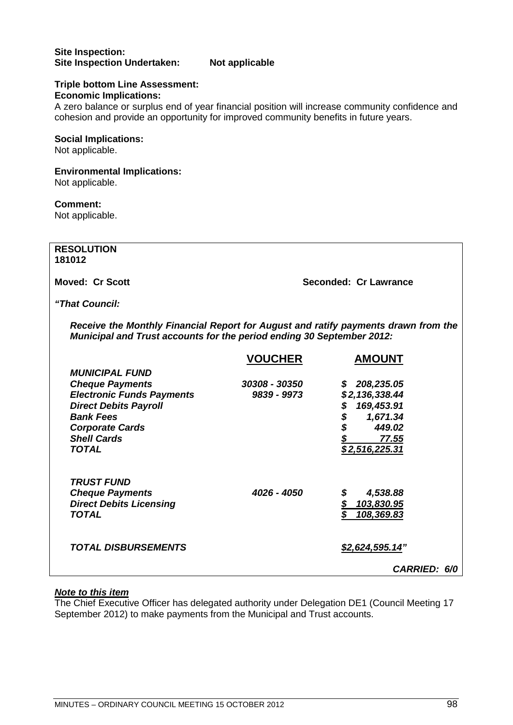## **Site Inspection: Site Inspection Undertaken: Not applicable**

## **Triple bottom Line Assessment: Economic Implications:**

A zero balance or surplus end of year financial position will increase community confidence and cohesion and provide an opportunity for improved community benefits in future years.

## **Social Implications:**

Not applicable.

## **Environmental Implications:**

Not applicable.

## **Comment:**

Not applicable.

**RESOLUTION 181012**

**Moved: Cr Scott Seconded: Cr Lawrance**

## *"That Council:*

*Receive the Monthly Financial Report for August and ratify payments drawn from the Municipal and Trust accounts for the period ending 30 September 2012:*

|                                  | <b>VOUCHER</b> | <b>AMOUNT</b>       |
|----------------------------------|----------------|---------------------|
| <b>MUNICIPAL FUND</b>            |                |                     |
| <b>Cheque Payments</b>           | 30308 - 30350  | 208,235.05<br>S     |
| <b>Electronic Funds Payments</b> | 9839 - 9973    | \$2,136,338.44      |
| <b>Direct Debits Payroll</b>     |                | 169,453.91<br>\$    |
| <b>Bank Fees</b>                 |                | \$<br>1,671.34      |
| <b>Corporate Cards</b>           |                | 449.02              |
| <b>Shell Cards</b>               |                | 77.55               |
| <b>TOTAL</b>                     |                | \$2,516,225.31      |
|                                  |                |                     |
| <b>TRUST FUND</b>                |                |                     |
| <b>Cheque Payments</b>           | 4026 - 4050    | 4,538.88            |
| <b>Direct Debits Licensing</b>   |                | 103,830.95          |
| TOTAL                            |                | 108,369.83          |
|                                  |                |                     |
|                                  |                |                     |
| <b>TOTAL DISBURSEMENTS</b>       |                | \$2,624,595.14"     |
|                                  |                | <b>CARRIED: 6/0</b> |

## *Note to this item*

The Chief Executive Officer has delegated authority under Delegation DE1 (Council Meeting 17 September 2012) to make payments from the Municipal and Trust accounts.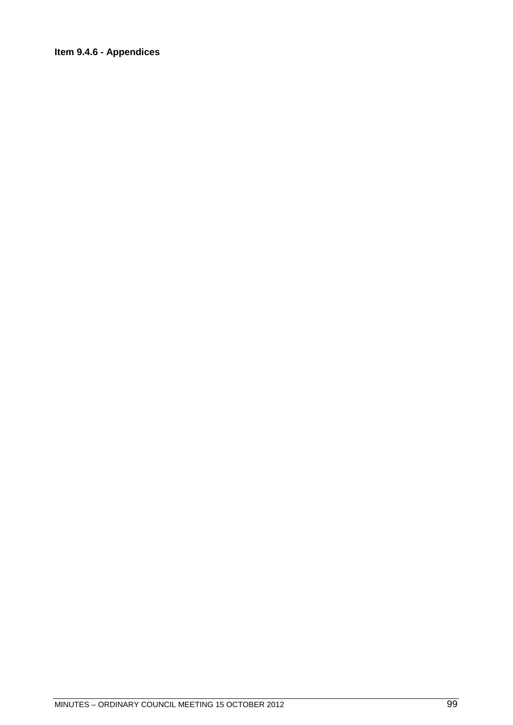## **Item 9.4.6 - Appendices**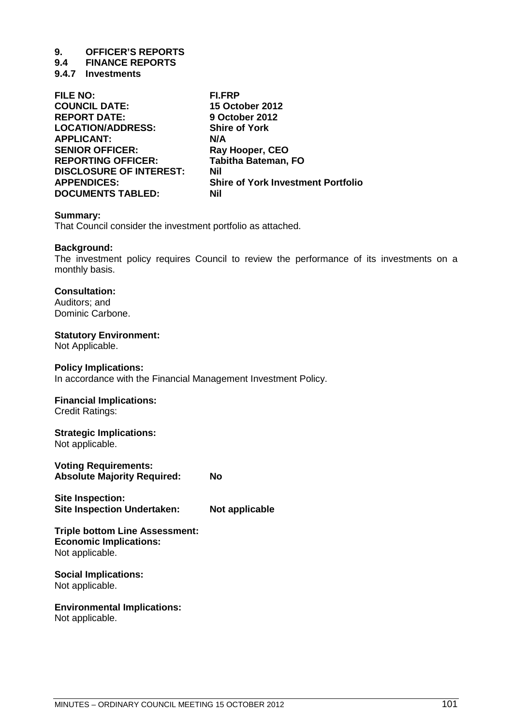## **9.4 FINANCE REPORTS**

**9.4.7 Investments** 

| <b>FILE NO:</b>                | <b>FI.FRP</b>                             |
|--------------------------------|-------------------------------------------|
| <b>COUNCIL DATE:</b>           | <b>15 October 2012</b>                    |
| <b>REPORT DATE:</b>            | 9 October 2012                            |
| <b>LOCATION/ADDRESS:</b>       | <b>Shire of York</b>                      |
| <b>APPLICANT:</b>              | N/A                                       |
| <b>SENIOR OFFICER:</b>         | Ray Hooper, CEO                           |
| <b>REPORTING OFFICER:</b>      | <b>Tabitha Bateman, FO</b>                |
| <b>DISCLOSURE OF INTEREST:</b> | <b>Nil</b>                                |
| <b>APPENDICES:</b>             | <b>Shire of York Investment Portfolio</b> |
| <b>DOCUMENTS TABLED:</b>       | Nil                                       |
|                                |                                           |

## **Summary:**

That Council consider the investment portfolio as attached.

## **Background:**

The investment policy requires Council to review the performance of its investments on a monthly basis.

## **Consultation:**

Auditors; and Dominic Carbone.

## **Statutory Environment:**

Not Applicable.

## **Policy Implications:**

In accordance with the Financial Management Investment Policy.

## **Financial Implications:**

Credit Ratings:

## **Strategic Implications:**

Not applicable.

**Voting Requirements: Absolute Majority Required: No**

**Site Inspection: Site Inspection Undertaken: Not applicable**

#### **Triple bottom Line Assessment: Economic Implications:** Not applicable.

## **Social Implications:** Not applicable.

## **Environmental Implications:**

Not applicable.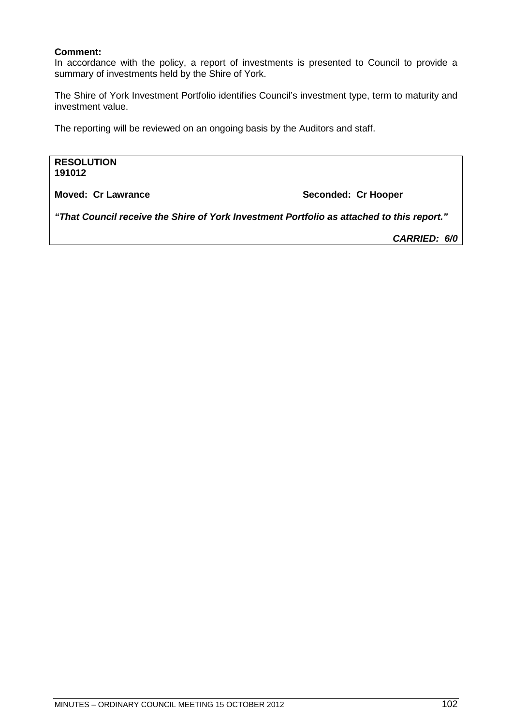## **Comment:**

In accordance with the policy, a report of investments is presented to Council to provide a summary of investments held by the Shire of York.

The Shire of York Investment Portfolio identifies Council's investment type, term to maturity and investment value.

The reporting will be reviewed on an ongoing basis by the Auditors and staff.

**RESOLUTION 191012**

**Moved: Cr Lawrance Moved: Cr Hooper** 

*"That Council receive the Shire of York Investment Portfolio as attached to this report."*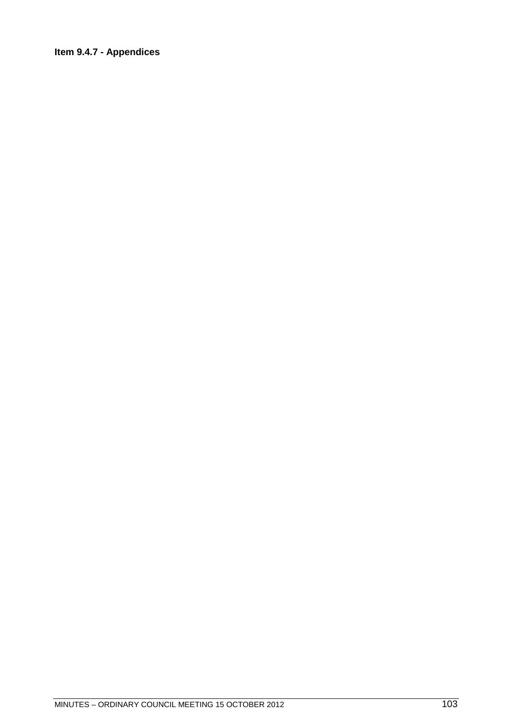## **Item 9.4.7 - Appendices**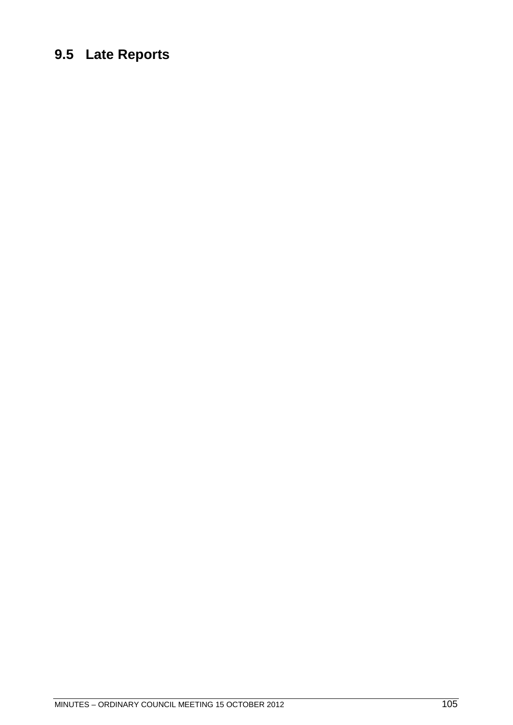## **9.5 Late Reports**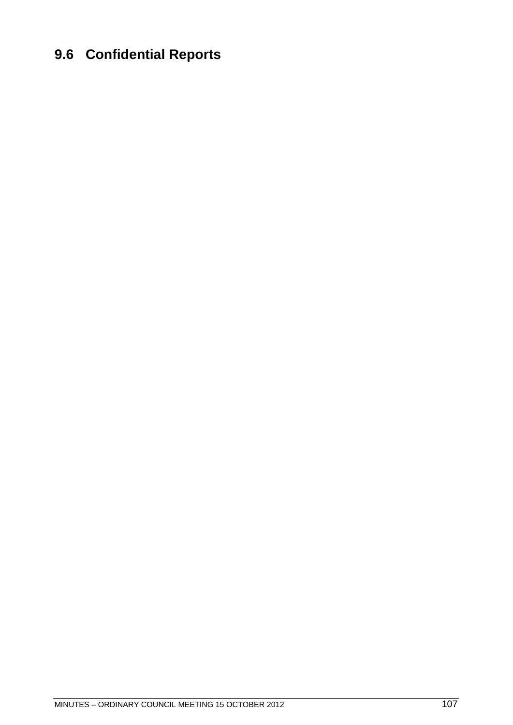## **9.6 Confidential Reports**